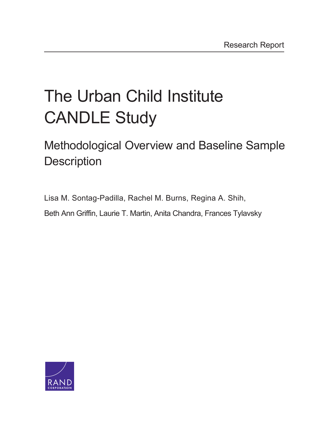# [The Urban Child Institute](http://www.rand.org/pubs/research_reports/RR1336.html)  CANDLE Study

## Methodological Overview and Baseline Sample **Description**

Lisa M. Sontag-Padilla, Rachel M. Burns, Regina A. Shih, Beth Ann Griffin, Laurie T. Martin, Anita Chandra, Frances Tylavsky

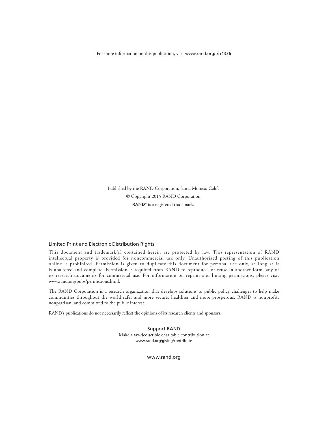For more information on this publication, visit [www.rand.org/t/rr1336](http://www.rand.org/t/rr1336)

Published by the RAND Corporation, Santa Monica, Calif. © Copyright 2015 RAND Corporation RAND<sup>®</sup> is a registered trademark.

#### Limited Print and Electronic Distribution Rights

This document and trademark(s) contained herein are protected by law. This representation of RAND intellectual property is provided for noncommercial use only. Unauthorized posting of this publication online is prohibited. Permission is given to duplicate this document for personal use only, as long as it is unaltered and complete. Permission is required from RAND to reproduce, or reuse in another form, any of its research documents for commercial use. For information on reprint and linking permissions, please visit [www.rand.org/pubs/permissions.html.](http://www.rand.org/pubs/permissions.html)

The RAND Corporation is a research organization that develops solutions to public policy challenges to help make communities throughout the world safer and more secure, healthier and more prosperous. RAND is nonprofit, nonpartisan, and committed to the public interest.

RAND's publications do not necessarily reflect the opinions of its research clients and sponsors.

Support RAND Make a tax-deductible charitable contribution at [www.rand.org/giving/contribute](http://www.rand.org/giving/contribute)

[www.rand.org](http://www.rand.org)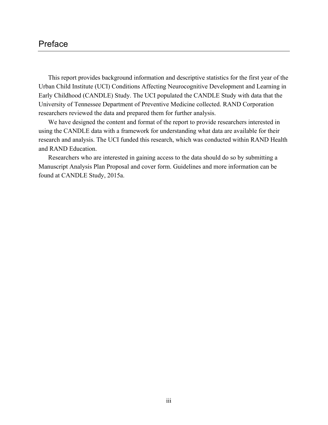#### Preface

This report provides background information and descriptive statistics for the first year of the Urban Child Institute (UCI) Conditions Affecting Neurocognitive Development and Learning in Early Childhood (CANDLE) Study. The UCI populated the CANDLE Study with data that the University of Tennessee Department of Preventive Medicine collected. RAND Corporation researchers reviewed the data and prepared them for further analysis.

We have designed the content and format of the report to provide researchers interested in using the CANDLE data with a framework for understanding what data are available for their research and analysis. The UCI funded this research, which was conducted within RAND Health and RAND Education.

Researchers who are interested in gaining access to the data should do so by submitting a Manuscript Analysis Plan Proposal and cover form. Guidelines and more information can be found at CANDLE Study, 2015a.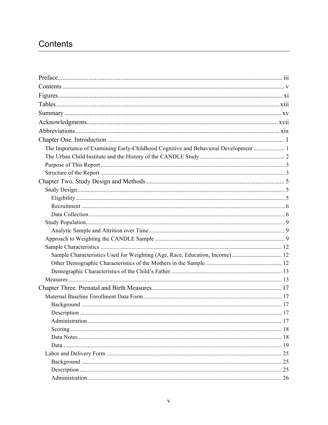## Contents

| The Importance of Examining Early-Childhood Cognitive and Behavioral Development  1 |    |
|-------------------------------------------------------------------------------------|----|
|                                                                                     |    |
|                                                                                     |    |
|                                                                                     |    |
|                                                                                     |    |
|                                                                                     |    |
|                                                                                     |    |
|                                                                                     |    |
|                                                                                     |    |
|                                                                                     |    |
|                                                                                     |    |
|                                                                                     |    |
|                                                                                     |    |
| Sample Characteristics Used for Weighting (Age, Race, Education, Income) 12         |    |
|                                                                                     |    |
|                                                                                     |    |
|                                                                                     |    |
|                                                                                     |    |
|                                                                                     |    |
|                                                                                     |    |
|                                                                                     |    |
|                                                                                     |    |
|                                                                                     |    |
|                                                                                     |    |
|                                                                                     |    |
|                                                                                     | 25 |
|                                                                                     | 25 |
|                                                                                     |    |
|                                                                                     |    |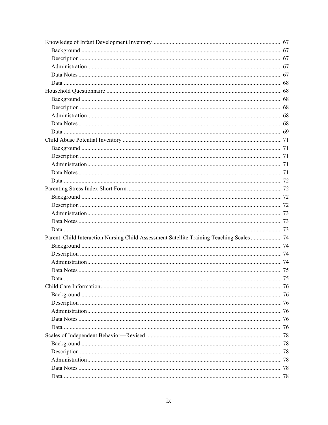| Parent-Child Interaction Nursing Child Assessment Satellite Training Teaching Scales  74 |    |
|------------------------------------------------------------------------------------------|----|
|                                                                                          |    |
|                                                                                          |    |
|                                                                                          |    |
|                                                                                          |    |
| Data                                                                                     | 75 |
|                                                                                          |    |
|                                                                                          |    |
|                                                                                          |    |
|                                                                                          |    |
|                                                                                          |    |
|                                                                                          |    |
|                                                                                          |    |
|                                                                                          |    |
|                                                                                          |    |
|                                                                                          |    |
|                                                                                          |    |
|                                                                                          |    |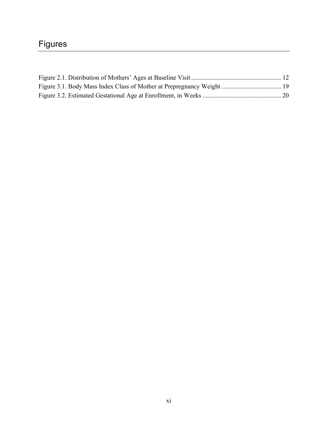## Figures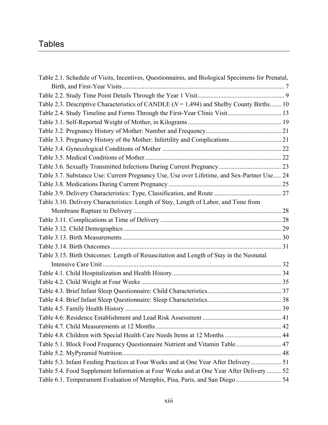### Tables

| Table 2.1. Schedule of Visits, Incentives, Questionnaires, and Biological Specimens for Prenatal, |  |
|---------------------------------------------------------------------------------------------------|--|
|                                                                                                   |  |
|                                                                                                   |  |
| Table 2.3. Descriptive Characteristics of CANDLE ( $N = 1,494$ ) and Shelby County Births 10      |  |
| Table 2.4. Study Timeline and Forms Through the First-Year Clinic Visit 13                        |  |
|                                                                                                   |  |
|                                                                                                   |  |
|                                                                                                   |  |
|                                                                                                   |  |
|                                                                                                   |  |
|                                                                                                   |  |
| Table 3.7. Substance Use: Current Pregnancy Use, Use over Lifetime, and Sex-Partner Use 24        |  |
|                                                                                                   |  |
|                                                                                                   |  |
| Table 3.10. Delivery Characteristics: Length of Stay, Length of Labor, and Time from              |  |
|                                                                                                   |  |
|                                                                                                   |  |
|                                                                                                   |  |
|                                                                                                   |  |
|                                                                                                   |  |
| Table 3.15. Birth Outcomes: Length of Resuscitation and Length of Stay in the Neonatal            |  |
|                                                                                                   |  |
|                                                                                                   |  |
|                                                                                                   |  |
|                                                                                                   |  |
|                                                                                                   |  |
|                                                                                                   |  |
|                                                                                                   |  |
|                                                                                                   |  |
| Table 4.8. Children with Special Health Care Needs Items at 12 Months  44                         |  |
| Table 5.1. Block Food Frequency Questionnaire Nutrient and Vitamin Table  47                      |  |
|                                                                                                   |  |
| Table 5.3. Infant Feeding Practices at Four Weeks and at One Year After Delivery 51               |  |
| Table 5.4. Food Supplement Information at Four Weeks and at One Year After Delivery  52           |  |
| Table 6.1. Temperament Evaluation of Memphis, Pisa, Paris, and San Diego  54                      |  |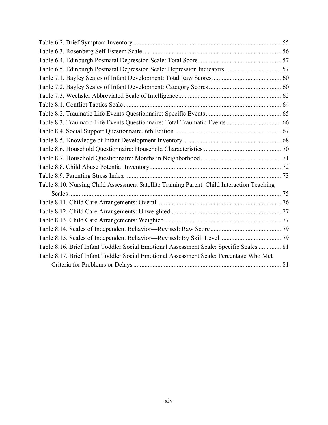| Table 6.5. Edinburgh Postnatal Depression Scale: Depression Indicators  57                |  |
|-------------------------------------------------------------------------------------------|--|
|                                                                                           |  |
|                                                                                           |  |
|                                                                                           |  |
|                                                                                           |  |
|                                                                                           |  |
|                                                                                           |  |
|                                                                                           |  |
|                                                                                           |  |
|                                                                                           |  |
|                                                                                           |  |
|                                                                                           |  |
|                                                                                           |  |
| Table 8.10. Nursing Child Assessment Satellite Training Parent-Child Interaction Teaching |  |
|                                                                                           |  |
|                                                                                           |  |
|                                                                                           |  |
|                                                                                           |  |
|                                                                                           |  |
|                                                                                           |  |
| Table 8.16. Brief Infant Toddler Social Emotional Assessment Scale: Specific Scales  81   |  |
| Table 8.17. Brief Infant Toddler Social Emotional Assessment Scale: Percentage Who Met    |  |
|                                                                                           |  |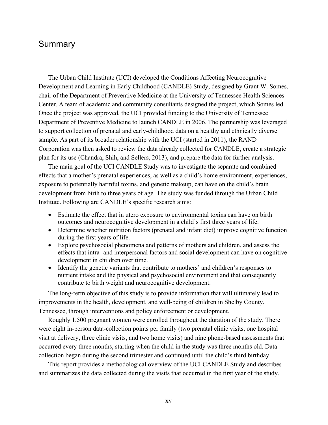#### Summary

The Urban Child Institute (UCI) developed the Conditions Affecting Neurocognitive Development and Learning in Early Childhood (CANDLE) Study, designed by Grant W. Somes, chair of the Department of Preventive Medicine at the University of Tennessee Health Sciences Center. A team of academic and community consultants designed the project, which Somes led. Once the project was approved, the UCI provided funding to the University of Tennessee Department of Preventive Medicine to launch CANDLE in 2006. The partnership was leveraged to support collection of prenatal and early-childhood data on a healthy and ethnically diverse sample. As part of its broader relationship with the UCI (started in 2011), the RAND Corporation was then asked to review the data already collected for CANDLE, create a strategic plan for its use (Chandra, Shih, and Sellers, 2013), and prepare the data for further analysis.

The main goal of the UCI CANDLE Study was to investigate the separate and combined effects that a mother's prenatal experiences, as well as a child's home environment, experiences, exposure to potentially harmful toxins, and genetic makeup, can have on the child's brain development from birth to three years of age. The study was funded through the Urban Child Institute. Following are CANDLE's specific research aims:

- Estimate the effect that in utero exposure to environmental toxins can have on birth outcomes and neurocognitive development in a child's first three years of life.
- Determine whether nutrition factors (prenatal and infant diet) improve cognitive function during the first years of life.
- Explore psychosocial phenomena and patterns of mothers and children, and assess the effects that intra- and interpersonal factors and social development can have on cognitive development in children over time.
- Identify the genetic variants that contribute to mothers' and children's responses to nutrient intake and the physical and psychosocial environment and that consequently contribute to birth weight and neurocognitive development.

The long-term objective of this study is to provide information that will ultimately lead to improvements in the health, development, and well-being of children in Shelby County, Tennessee, through interventions and policy enforcement or development.

Roughly 1,500 pregnant women were enrolled throughout the duration of the study. There were eight in-person data-collection points per family (two prenatal clinic visits, one hospital visit at delivery, three clinic visits, and two home visits) and nine phone-based assessments that occurred every three months, starting when the child in the study was three months old. Data collection began during the second trimester and continued until the child's third birthday.

This report provides a methodological overview of the UCI CANDLE Study and describes and summarizes the data collected during the visits that occurred in the first year of the study.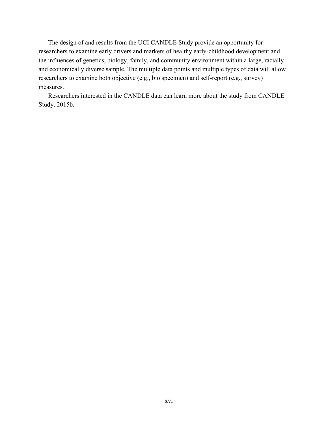The design of and results from the UCI CANDLE Study provide an opportunity for researchers to examine early drivers and markers of healthy early-childhood development and the influences of genetics, biology, family, and community environment within a large, racially and economically diverse sample. The multiple data points and multiple types of data will allow researchers to examine both objective (e.g., bio specimen) and self-report (e.g., survey) measures.

Researchers interested in the CANDLE data can learn more about the study from CANDLE Study, 2015b.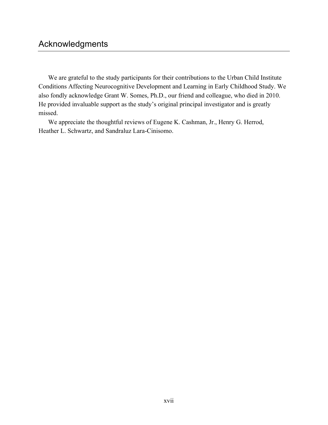We are grateful to the study participants for their contributions to the Urban Child Institute Conditions Affecting Neurocognitive Development and Learning in Early Childhood Study. We also fondly acknowledge Grant W. Somes, Ph.D., our friend and colleague, who died in 2010. He provided invaluable support as the study's original principal investigator and is greatly missed.

We appreciate the thoughtful reviews of Eugene K. Cashman, Jr., Henry G. Herrod, Heather L. Schwartz, and Sandraluz Lara-Cinisomo.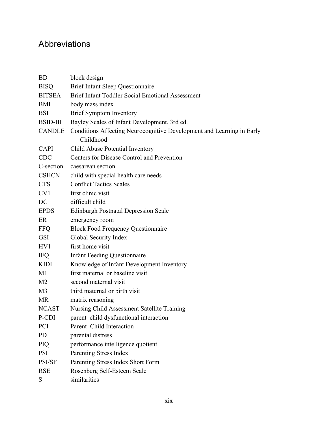## Abbreviations

| <b>BD</b>       | block design                                                          |  |  |  |
|-----------------|-----------------------------------------------------------------------|--|--|--|
| <b>BISQ</b>     | <b>Brief Infant Sleep Questionnaire</b>                               |  |  |  |
| <b>BITSEA</b>   | <b>Brief Infant Toddler Social Emotional Assessment</b>               |  |  |  |
| <b>BMI</b>      | body mass index                                                       |  |  |  |
| <b>BSI</b>      | <b>Brief Symptom Inventory</b>                                        |  |  |  |
| <b>BSID-III</b> | Bayley Scales of Infant Development, 3rd ed.                          |  |  |  |
| <b>CANDLE</b>   | Conditions Affecting Neurocognitive Development and Learning in Early |  |  |  |
|                 | Childhood                                                             |  |  |  |
| <b>CAPI</b>     | Child Abuse Potential Inventory                                       |  |  |  |
| <b>CDC</b>      | Centers for Disease Control and Prevention                            |  |  |  |
| C-section       | caesarean section                                                     |  |  |  |
| <b>CSHCN</b>    | child with special health care needs                                  |  |  |  |
| <b>CTS</b>      | <b>Conflict Tactics Scales</b>                                        |  |  |  |
| CV <sub>1</sub> | first clinic visit                                                    |  |  |  |
| DC              | difficult child                                                       |  |  |  |
| <b>EPDS</b>     | <b>Edinburgh Postnatal Depression Scale</b>                           |  |  |  |
| ER              | emergency room                                                        |  |  |  |
| <b>FFQ</b>      | <b>Block Food Frequency Questionnaire</b>                             |  |  |  |
| <b>GSI</b>      | Global Security Index                                                 |  |  |  |
| HV <sub>1</sub> | first home visit                                                      |  |  |  |
| <b>IFQ</b>      | <b>Infant Feeding Questionnaire</b>                                   |  |  |  |
| <b>KIDI</b>     | Knowledge of Infant Development Inventory                             |  |  |  |
| M1              | first maternal or baseline visit                                      |  |  |  |
| M <sub>2</sub>  | second maternal visit                                                 |  |  |  |
| M <sub>3</sub>  | third maternal or birth visit                                         |  |  |  |
| <b>MR</b>       | matrix reasoning                                                      |  |  |  |
| <b>NCAST</b>    | Nursing Child Assessment Satellite Training                           |  |  |  |
| P-CDI           | parent-child dysfunctional interaction                                |  |  |  |
| <b>PCI</b>      | Parent-Child Interaction                                              |  |  |  |
| <b>PD</b>       | parental distress                                                     |  |  |  |
| PIQ             | performance intelligence quotient                                     |  |  |  |
| <b>PSI</b>      | Parenting Stress Index                                                |  |  |  |
| PSI/SF          | Parenting Stress Index Short Form                                     |  |  |  |
| <b>RSE</b>      | Rosenberg Self-Esteem Scale                                           |  |  |  |
| S               | similarities                                                          |  |  |  |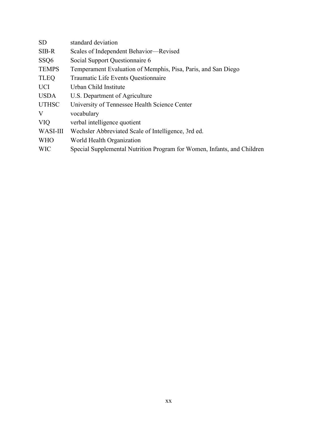| <b>SD</b>        | standard deviation                                                      |
|------------------|-------------------------------------------------------------------------|
| $SIB-R$          | Scales of Independent Behavior-Revised                                  |
| SSQ <sub>6</sub> | Social Support Questionnaire 6                                          |
| <b>TEMPS</b>     | Temperament Evaluation of Memphis, Pisa, Paris, and San Diego           |
| <b>TLEQ</b>      | Traumatic Life Events Questionnaire                                     |
| <b>UCI</b>       | Urban Child Institute                                                   |
| <b>USDA</b>      | U.S. Department of Agriculture                                          |
| <b>UTHSC</b>     | University of Tennessee Health Science Center                           |
| V                | vocabulary                                                              |
| <b>VIQ</b>       | verbal intelligence quotient                                            |
| WASI-III         | Wechsler Abbreviated Scale of Intelligence, 3rd ed.                     |
| <b>WHO</b>       | World Health Organization                                               |
| <b>WIC</b>       | Special Supplemental Nutrition Program for Women, Infants, and Children |
|                  |                                                                         |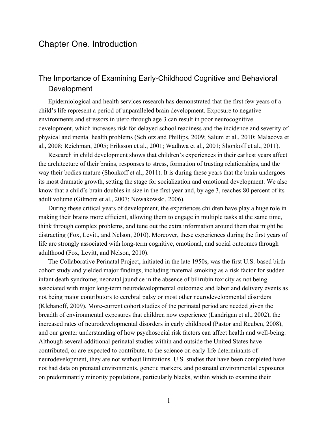#### The Importance of Examining Early-Childhood Cognitive and Behavioral Development

Epidemiological and health services research has demonstrated that the first few years of a child's life represent a period of unparalleled brain development. Exposure to negative environments and stressors in utero through age 3 can result in poor neurocognitive development, which increases risk for delayed school readiness and the incidence and severity of physical and mental health problems (Schlotz and Phillips, 2009; Salum et al., 2010; Malacova et al., 2008; Reichman, 2005; Eriksson et al., 2001; Wadhwa et al., 2001; Shonkoff et al., 2011).

Research in child development shows that children's experiences in their earliest years affect the architecture of their brains, responses to stress, formation of trusting relationships, and the way their bodies mature (Shonkoff et al., 2011). It is during these years that the brain undergoes its most dramatic growth, setting the stage for socialization and emotional development. We also know that a child's brain doubles in size in the first year and, by age 3, reaches 80 percent of its adult volume (Gilmore et al., 2007; Nowakowski, 2006).

During these critical years of development, the experiences children have play a huge role in making their brains more efficient, allowing them to engage in multiple tasks at the same time, think through complex problems, and tune out the extra information around them that might be distracting (Fox, Levitt, and Nelson, 2010). Moreover, these experiences during the first years of life are strongly associated with long-term cognitive, emotional, and social outcomes through adulthood (Fox, Levitt, and Nelson, 2010).

The Collaborative Perinatal Project, initiated in the late 1950s, was the first U.S.-based birth cohort study and yielded major findings, including maternal smoking as a risk factor for sudden infant death syndrome; neonatal jaundice in the absence of bilirubin toxicity as not being associated with major long-term neurodevelopmental outcomes; and labor and delivery events as not being major contributors to cerebral palsy or most other neurodevelopmental disorders (Klebanoff, 2009). More-current cohort studies of the perinatal period are needed given the breadth of environmental exposures that children now experience (Landrigan et al., 2002), the increased rates of neurodevelopmental disorders in early childhood (Pastor and Reuben, 2008), and our greater understanding of how psychosocial risk factors can affect health and well-being. Although several additional perinatal studies within and outside the United States have contributed, or are expected to contribute, to the science on early-life determinants of neurodevelopment, they are not without limitations. U.S. studies that have been completed have not had data on prenatal environments, genetic markers, and postnatal environmental exposures on predominantly minority populations, particularly blacks, within which to examine their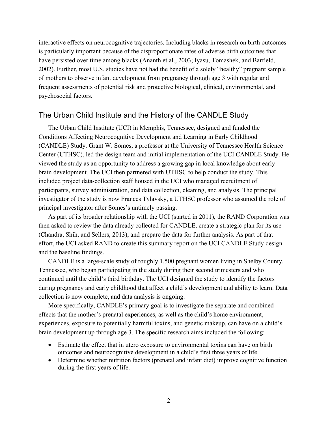interactive effects on neurocognitive trajectories. Including blacks in research on birth outcomes is particularly important because of the disproportionate rates of adverse birth outcomes that have persisted over time among blacks (Ananth et al., 2003; Iyasu, Tomashek, and Barfield, 2002). Further, most U.S. studies have not had the benefit of a solely "healthy" pregnant sample of mothers to observe infant development from pregnancy through age 3 with regular and frequent assessments of potential risk and protective biological, clinical, environmental, and psychosocial factors.

#### The Urban Child Institute and the History of the CANDLE Study

The Urban Child Institute (UCI) in Memphis, Tennessee, designed and funded the Conditions Affecting Neurocognitive Development and Learning in Early Childhood (CANDLE) Study. Grant W. Somes, a professor at the University of Tennessee Health Science Center (UTHSC), led the design team and initial implementation of the UCI CANDLE Study. He viewed the study as an opportunity to address a growing gap in local knowledge about early brain development. The UCI then partnered with UTHSC to help conduct the study. This included project data-collection staff housed in the UCI who managed recruitment of participants, survey administration, and data collection, cleaning, and analysis. The principal investigator of the study is now Frances Tylavsky, a UTHSC professor who assumed the role of principal investigator after Somes's untimely passing.

As part of its broader relationship with the UCI (started in 2011), the RAND Corporation was then asked to review the data already collected for CANDLE, create a strategic plan for its use (Chandra, Shih, and Sellers, 2013), and prepare the data for further analysis. As part of that effort, the UCI asked RAND to create this summary report on the UCI CANDLE Study design and the baseline findings.

CANDLE is a large-scale study of roughly 1,500 pregnant women living in Shelby County, Tennessee, who began participating in the study during their second trimesters and who continued until the child's third birthday. The UCI designed the study to identify the factors during pregnancy and early childhood that affect a child's development and ability to learn. Data collection is now complete, and data analysis is ongoing.

More specifically, CANDLE's primary goal is to investigate the separate and combined effects that the mother's prenatal experiences, as well as the child's home environment, experiences, exposure to potentially harmful toxins, and genetic makeup, can have on a child's brain development up through age 3. The specific research aims included the following:

- Estimate the effect that in utero exposure to environmental toxins can have on birth outcomes and neurocognitive development in a child's first three years of life.
- Determine whether nutrition factors (prenatal and infant diet) improve cognitive function during the first years of life.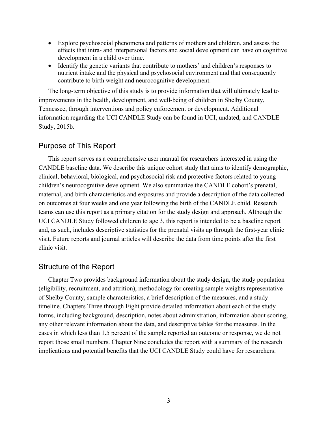- Explore psychosocial phenomena and patterns of mothers and children, and assess the effects that intra- and interpersonal factors and social development can have on cognitive development in a child over time.
- Identify the genetic variants that contribute to mothers' and children's responses to nutrient intake and the physical and psychosocial environment and that consequently contribute to birth weight and neurocognitive development.

The long-term objective of this study is to provide information that will ultimately lead to improvements in the health, development, and well-being of children in Shelby County, Tennessee, through interventions and policy enforcement or development. Additional information regarding the UCI CANDLE Study can be found in UCI, undated, and CANDLE Study, 2015b.

#### Purpose of This Report

This report serves as a comprehensive user manual for researchers interested in using the CANDLE baseline data. We describe this unique cohort study that aims to identify demographic, clinical, behavioral, biological, and psychosocial risk and protective factors related to young children's neurocognitive development. We also summarize the CANDLE cohort's prenatal, maternal, and birth characteristics and exposures and provide a description of the data collected on outcomes at four weeks and one year following the birth of the CANDLE child. Research teams can use this report as a primary citation for the study design and approach. Although the UCI CANDLE Study followed children to age 3, this report is intended to be a baseline report and, as such, includes descriptive statistics for the prenatal visits up through the first-year clinic visit. Future reports and journal articles will describe the data from time points after the first clinic visit.

#### Structure of the Report

Chapter Two provides background information about the study design, the study population (eligibility, recruitment, and attrition), methodology for creating sample weights representative of Shelby County, sample characteristics, a brief description of the measures, and a study timeline. Chapters Three through Eight provide detailed information about each of the study forms, including background, description, notes about administration, information about scoring, any other relevant information about the data, and descriptive tables for the measures. In the cases in which less than 1.5 percent of the sample reported an outcome or response, we do not report those small numbers. Chapter Nine concludes the report with a summary of the research implications and potential benefits that the UCI CANDLE Study could have for researchers.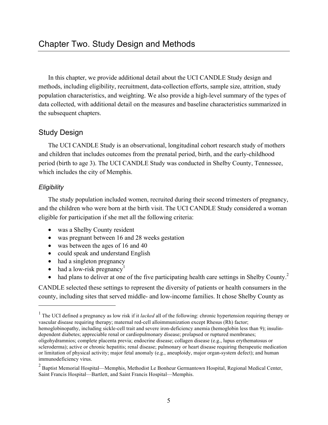In this chapter, we provide additional detail about the UCI CANDLE Study design and methods, including eligibility, recruitment, data-collection efforts, sample size, attrition, study population characteristics, and weighting. We also provide a high-level summary of the types of data collected, with additional detail on the measures and baseline characteristics summarized in the subsequent chapters.

#### Study Design

The UCI CANDLE Study is an observational, longitudinal cohort research study of mothers and children that includes outcomes from the prenatal period, birth, and the early-childhood period (birth to age 3). The UCI CANDLE Study was conducted in Shelby County, Tennessee, which includes the city of Memphis.

#### *Eligibility*

<u>.</u>

The study population included women, recruited during their second trimesters of pregnancy, and the children who were born at the birth visit. The UCI CANDLE Study considered a woman eligible for participation if she met all the following criteria:

- was a Shelby County resident
- was pregnant between 16 and 28 weeks gestation
- was between the ages of 16 and 40
- could speak and understand English
- had a singleton pregnancy
- had a low-risk pregnancy<sup>1</sup>
- had plans to deliver at one of the five participating health care settings in Shelby County.<sup>2</sup>

CANDLE selected these settings to represent the diversity of patients or health consumers in the county, including sites that served middle- and low-income families. It chose Shelby County as

dependent diabetes; appreciable renal or cardiopulmonary disease; prolapsed or ruptured membranes;

<sup>&</sup>lt;sup>1</sup> The UCI defined a pregnancy as low risk if it *lacked* all of the following: chronic hypertension requiring therapy or vascular disease requiring therapy; maternal red-cell alloimmunization except Rhesus (Rh) factor; hemoglobinopathy, including sickle-cell trait and severe iron-deficiency anemia (hemoglobin less than 9); insulin-

oligohydramnios; complete placenta previa; endocrine disease; collagen disease (e.g., lupus erythematosus or scleroderma); active or chronic hepatitis; renal disease; pulmonary or heart disease requiring therapeutic medication or limitation of physical activity; major fetal anomaly (e.g., aneuploidy, major organ-system defect); and human immunodeficiency virus.

 $2$  Baptist Memorial Hospital—Memphis, Methodist Le Bonheur Germantown Hospital, Regional Medical Center, Saint Francis Hospital—Bartlett, and Saint Francis Hospital—Memphis.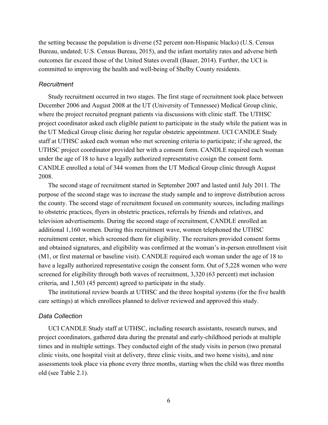the setting because the population is diverse (52 percent non-Hispanic blacks) (U.S. Census Bureau, undated; U.S. Census Bureau, 2015), and the infant mortality rates and adverse birth outcomes far exceed those of the United States overall (Bauer, 2014). Further, the UCI is committed to improving the health and well-being of Shelby County residents.

#### *Recruitment*

Study recruitment occurred in two stages. The first stage of recruitment took place between December 2006 and August 2008 at the UT (University of Tennessee) Medical Group clinic, where the project recruited pregnant patients via discussions with clinic staff. The UTHSC project coordinator asked each eligible patient to participate in the study while the patient was in the UT Medical Group clinic during her regular obstetric appointment. UCI CANDLE Study staff at UTHSC asked each woman who met screening criteria to participate; if she agreed, the UTHSC project coordinator provided her with a consent form. CANDLE required each woman under the age of 18 to have a legally authorized representative cosign the consent form. CANDLE enrolled a total of 344 women from the UT Medical Group clinic through August 2008.

The second stage of recruitment started in September 2007 and lasted until July 2011. The purpose of the second stage was to increase the study sample and to improve distribution across the county. The second stage of recruitment focused on community sources, including mailings to obstetric practices, flyers in obstetric practices, referrals by friends and relatives, and television advertisements. During the second stage of recruitment, CANDLE enrolled an additional 1,160 women. During this recruitment wave, women telephoned the UTHSC recruitment center, which screened them for eligibility. The recruiters provided consent forms and obtained signatures, and eligibility was confirmed at the woman's in-person enrollment visit (M1, or first maternal or baseline visit). CANDLE required each woman under the age of 18 to have a legally authorized representative cosign the consent form. Out of 5,228 women who were screened for eligibility through both waves of recruitment, 3,320 (63 percent) met inclusion criteria, and 1,503 (45 percent) agreed to participate in the study.

The institutional review boards at UTHSC and the three hospital systems (for the five health care settings) at which enrollees planned to deliver reviewed and approved this study.

#### *Data Collection*

UCI CANDLE Study staff at UTHSC, including research assistants, research nurses, and project coordinators, gathered data during the prenatal and early-childhood periods at multiple times and in multiple settings. They conducted eight of the study visits in person (two prenatal clinic visits, one hospital visit at delivery, three clinic visits, and two home visits), and nine assessments took place via phone every three months, starting when the child was three months old (see Table 2.1).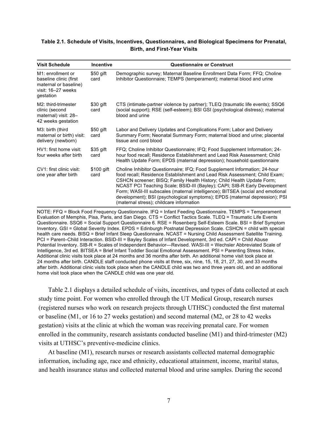#### **Table 2.1. Schedule of Visits, Incentives, Questionnaires, and Biological Specimens for Prenatal, Birth, and First-Year Visits**

| <b>Visit Schedule</b>                                                                                                | <b>Incentive</b>   | <b>Questionnaire or Construct</b>                                                                                                                                                                                                                                                                                                                                                                                                                                                                                             |
|----------------------------------------------------------------------------------------------------------------------|--------------------|-------------------------------------------------------------------------------------------------------------------------------------------------------------------------------------------------------------------------------------------------------------------------------------------------------------------------------------------------------------------------------------------------------------------------------------------------------------------------------------------------------------------------------|
| M <sub>1</sub> : enrollment or<br>baseline clinic (first<br>maternal or baseline)<br>visit: 16-27 weeks<br>gestation | \$50 gift<br>card  | Demographic survey; Maternal Baseline Enrollment Data Form; FFQ; Choline<br>Inhibitor Questionnaire; TEMPS (temperament); maternal blood and urine                                                                                                                                                                                                                                                                                                                                                                            |
| M2: third-trimester<br>clinic (second<br>maternal) visit: 28-<br>42 weeks gestation                                  | \$30 gift<br>card  | CTS (intimate-partner violence by partner); TLEQ (traumatic life events); SSQ6<br>(social support); RSE (self-esteem); BSI GSI (psychological distress); maternal<br>blood and urine                                                                                                                                                                                                                                                                                                                                          |
| M3: birth (third<br>maternal or birth) visit:<br>delivery (newborn)                                                  | \$50 gift<br>card  | Labor and Delivery Updates and Complications Form; Labor and Delivery<br>Summary Form; Neonatal Summary Form; maternal blood and urine; placental<br>tissue and cord blood                                                                                                                                                                                                                                                                                                                                                    |
| HV1: first home visit:<br>four weeks after birth                                                                     | \$35 gift<br>card  | FFQ; Choline Inhibitor Questionnaire; IFQ; Food Supplement Information; 24-<br>hour food recall; Residence Establishment and Lead Risk Assessment; Child<br>Health Update Form; EPDS (maternal depression); household questionnaire                                                                                                                                                                                                                                                                                           |
| CV1: first clinic visit:<br>one year after birth                                                                     | \$100 gift<br>card | Choline Inhibitor Questionnaire; IFQ; Food Supplement Information; 24-hour<br>food recall; Residence Establishment and Lead Risk Assessment; Child Exam;<br>CSHCN screener; BISQ; Family Health History; Child Health Update Form;<br>NCAST PCI Teaching Scale; BSID-III (Bayley); CAPI; SIB-R Early Development<br>Form; WASI-III subscales (maternal intelligence); BITSEA (social and emotional<br>development); BSI (psychological symptoms); EPDS (maternal depression); PSI<br>(maternal stress); childcare information |

NOTE: FFQ = Block Food Frequency Questionnaire. IFQ = Infant Feeding Questionnaire. TEMPS = Temperament Evaluation of Memphis, Pisa, Paris, and San Diego. CTS = Conflict Tactics Scale. TLEQ = Traumatic Life Events Questionnaire. SSQ6 = Social Support Questionnaire 6. RSE = Rosenberg Self-Esteem Scale. BSI = Brief Symptom Inventory. GSI = Global Severity Index. EPDS = Edinburgh Postnatal Depression Scale. CSHCN = child with special health care needs. BISQ = Brief Infant Sleep Questionnaire. NCAST = Nursing Child Assessment Satellite Training. PCI = Parent–Child Interaction. BSID-III = Bayley Scales of Infant Development, 3rd ed. CAPI = Child Abuse Potential Inventory. SIB-R = Scales of Independent Behavior—Revised. WASI-III = Wechsler Abbreviated Scale of Intelligence, 3rd ed. BITSEA = Brief Infant Toddler Social Emotional Assessment. PSI = Parenting Stress Index. Additional clinic visits took place at 24 months and 36 months after birth. An additional home visit took place at 24 months after birth. CANDLE staff conducted phone visits at three, six, nine, 15, 18, 21, 27, 30, and 33 months after birth. Additional clinic visits took place when the CANDLE child was two and three years old, and an additional home visit took place when the CANDLE child was one year old.

Table 2.1 displays a detailed schedule of visits, incentives, and types of data collected at each study time point. For women who enrolled through the UT Medical Group, research nurses (registered nurses who work on research projects through UTHSC) conducted the first maternal or baseline (M1, or 16 to 27 weeks gestation) and second maternal (M2, or 28 to 42 weeks gestation) visits at the clinic at which the woman was receiving prenatal care. For women enrolled in the community, research assistants conducted baseline (M1) and third-trimester (M2) visits at UTHSC's preventive-medicine clinics.

At baseline (M1), research nurses or research assistants collected maternal demographic information, including age, race and ethnicity, educational attainment, income, marital status, and health insurance status and collected maternal blood and urine samples. During the second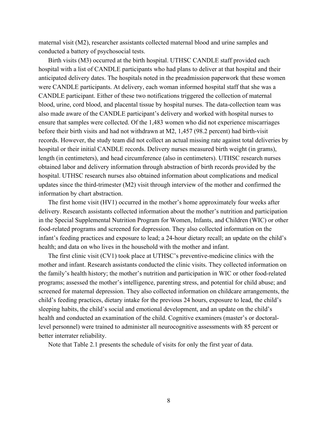maternal visit (M2), researcher assistants collected maternal blood and urine samples and conducted a battery of psychosocial tests.

Birth visits (M3) occurred at the birth hospital. UTHSC CANDLE staff provided each hospital with a list of CANDLE participants who had plans to deliver at that hospital and their anticipated delivery dates. The hospitals noted in the preadmission paperwork that these women were CANDLE participants. At delivery, each woman informed hospital staff that she was a CANDLE participant. Either of these two notifications triggered the collection of maternal blood, urine, cord blood, and placental tissue by hospital nurses. The data-collection team was also made aware of the CANDLE participant's delivery and worked with hospital nurses to ensure that samples were collected. Of the 1,483 women who did not experience miscarriages before their birth visits and had not withdrawn at M2, 1,457 (98.2 percent) had birth-visit records. However, the study team did not collect an actual missing rate against total deliveries by hospital or their initial CANDLE records. Delivery nurses measured birth weight (in grams), length (in centimeters), and head circumference (also in centimeters). UTHSC research nurses obtained labor and delivery information through abstraction of birth records provided by the hospital. UTHSC research nurses also obtained information about complications and medical updates since the third-trimester (M2) visit through interview of the mother and confirmed the information by chart abstraction.

The first home visit (HV1) occurred in the mother's home approximately four weeks after delivery. Research assistants collected information about the mother's nutrition and participation in the Special Supplemental Nutrition Program for Women, Infants, and Children (WIC) or other food-related programs and screened for depression. They also collected information on the infant's feeding practices and exposure to lead; a 24-hour dietary recall; an update on the child's health; and data on who lives in the household with the mother and infant.

The first clinic visit (CV1) took place at UTHSC's preventive-medicine clinics with the mother and infant. Research assistants conducted the clinic visits. They collected information on the family's health history; the mother's nutrition and participation in WIC or other food-related programs; assessed the mother's intelligence, parenting stress, and potential for child abuse; and screened for maternal depression. They also collected information on childcare arrangements, the child's feeding practices, dietary intake for the previous 24 hours, exposure to lead, the child's sleeping habits, the child's social and emotional development, and an update on the child's health and conducted an examination of the child. Cognitive examiners (master's or doctorallevel personnel) were trained to administer all neurocognitive assessments with 85 percent or better interrater reliability.

Note that Table 2.1 presents the schedule of visits for only the first year of data.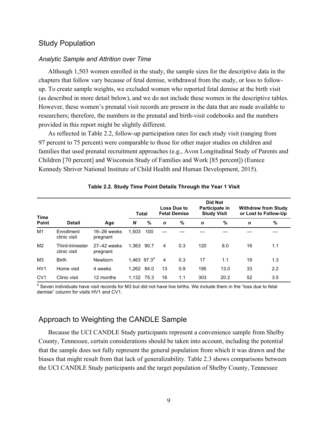#### Study Population

#### *Analytic Sample and Attrition over Time*

Although 1,503 women enrolled in the study, the sample sizes for the descriptive data in the chapters that follow vary because of fetal demise, withdrawal from the study, or loss to followup. To create sample weights, we excluded women who reported fetal demise at the birth visit (as described in more detail below), and we do not include these women in the descriptive tables. However, these women's prenatal visit records are present in the data that are made available to researchers; therefore, the numbers in the prenatal and birth-visit codebooks and the numbers provided in this report might be slightly different.

As reflected in Table 2.2, follow-up participation rates for each study visit (ranging from 97 percent to 75 percent) were comparable to those for other major studies on children and families that used prenatal recruitment approaches (e.g., Avon Longitudinal Study of Parents and Children [70 percent] and Wisconsin Study of Families and Work [85 percent]) (Eunice Kennedy Shriver National Institute of Child Health and Human Development, 2015).

|                      |                                 |                             | <b>Total</b> |                           | <b>Loss Due to</b><br><b>Fetal Demise</b> |     | Did Not<br>Participate in<br><b>Study Visit</b> |      | <b>Withdrew from Study</b><br>or Lost to Follow-Up |     |
|----------------------|---------------------------------|-----------------------------|--------------|---------------------------|-------------------------------------------|-----|-------------------------------------------------|------|----------------------------------------------------|-----|
| Time<br><b>Point</b> | <b>Detail</b>                   | Age                         | N            | %                         | $\mathbf n$                               | %   | $\mathbf n$                                     | $\%$ | $\mathbf n$                                        | %   |
| M <sub>1</sub>       | Enrollment<br>clinic visit      | $16 - 26$ weeks<br>pregnant | 1.503        | 100                       |                                           |     |                                                 |      |                                                    |     |
| M <sub>2</sub>       | Third-trimester<br>clinic visit | 27-42 weeks<br>pregnant     | 1.363 90.7   |                           | 4                                         | 0.3 | 120                                             | 8.0  | 16                                                 | 1.1 |
| M <sub>3</sub>       | <b>Birth</b>                    | Newborn                     |              | $1,463$ 97.3 <sup>a</sup> | $\overline{4}$                            | 0.3 | 17                                              | 1.1  | 19                                                 | 1.3 |
| HV <sub>1</sub>      | Home visit                      | 4 weeks                     | 1.262 84.0   |                           | 13                                        | 0.9 | 195                                             | 13.0 | 33                                                 | 2.2 |
| CV <sub>1</sub>      | Clinic visit                    | 12 months                   | 1.132 75.3   |                           | 16                                        | 1.1 | 303                                             | 20.2 | 52                                                 | 3.5 |

#### **Table 2.2. Study Time Point Details Through the Year 1 Visit**

<sup>a</sup> Seven individuals have visit records for M3 but did not have live births. We include them in the "loss due to fetal demise" column for visits HV1 and CV1.

#### Approach to Weighting the CANDLE Sample

Because the UCI CANDLE Study participants represent a convenience sample from Shelby County, Tennessee, certain considerations should be taken into account, including the potential that the sample does not fully represent the general population from which it was drawn and the biases that might result from that lack of generalizability. Table 2.3 shows comparisons between the UCI CANDLE Study participants and the target population of Shelby County, Tennessee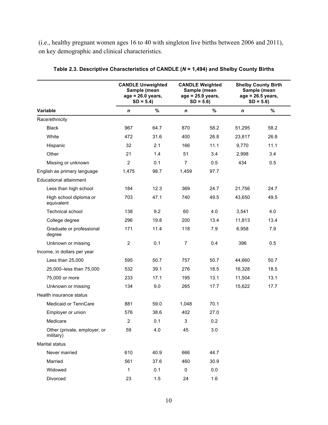(i.e., healthy pregnant women ages 16 to 40 with singleton live births between 2006 and 2011), on key demographic and clinical characteristics.

|                                           | <b>CANDLE Unweighted</b><br>Sample (mean<br>$age = 26.0 years,$<br>$SD = 5.4$ |      | <b>CANDLE Weighted</b><br>Sample (mean<br>$age = 25.9 \text{ years},$<br>$SD = 5.6$ |      | <b>Shelby County Birth</b><br>Sample (mean<br>$age = 26.5 \, years,$<br>$SD = 5.6$ |      |
|-------------------------------------------|-------------------------------------------------------------------------------|------|-------------------------------------------------------------------------------------|------|------------------------------------------------------------------------------------|------|
| Variable                                  | n                                                                             | %    | $\boldsymbol{n}$                                                                    | $\%$ | $\boldsymbol{n}$                                                                   | %    |
| Race/ethnicity                            |                                                                               |      |                                                                                     |      |                                                                                    |      |
| <b>Black</b>                              | 967                                                                           | 64.7 | 870                                                                                 | 58.2 | 51,295                                                                             | 58.2 |
| White                                     | 472                                                                           | 31.6 | 400                                                                                 | 26.8 | 23,617                                                                             | 26.8 |
| Hispanic                                  | 32                                                                            | 2.1  | 166                                                                                 | 11.1 | 9,770                                                                              | 11.1 |
| Other                                     | 21                                                                            | 1.4  | 51                                                                                  | 3.4  | 2,998                                                                              | 3.4  |
| Missing or unknown                        | $\overline{2}$                                                                | 0.1  | $\overline{7}$                                                                      | 0.5  | 434                                                                                | 0.5  |
| English as primary language               | 1,475                                                                         | 98.7 | 1,459                                                                               | 97.7 |                                                                                    |      |
| <b>Educational attainment</b>             |                                                                               |      |                                                                                     |      |                                                                                    |      |
| Less than high school                     | 184                                                                           | 12.3 | 369                                                                                 | 24.7 | 21,756                                                                             | 24.7 |
| High school diploma or<br>equivalent      | 703                                                                           | 47.1 | 740                                                                                 | 49.5 | 43,650                                                                             | 49.5 |
| <b>Technical school</b>                   | 138                                                                           | 9.2  | 60                                                                                  | 4.0  | 3,541                                                                              | 4.0  |
| College degree                            | 296                                                                           | 19.8 | 200                                                                                 | 13.4 | 11,813                                                                             | 13.4 |
| Graduate or professional<br>degree        | 171                                                                           | 11.4 | 118                                                                                 | 7.9  | 6,958                                                                              | 7.9  |
| Unknown or missing                        | $\overline{2}$                                                                | 0.1  | $\overline{7}$                                                                      | 0.4  | 396                                                                                | 0.5  |
| Income, in dollars per year               |                                                                               |      |                                                                                     |      |                                                                                    |      |
| Less than 25,000                          | 595                                                                           | 50.7 | 757                                                                                 | 50.7 | 44,660                                                                             | 50.7 |
| 25,000-less than 75,000                   | 532                                                                           | 39.1 | 276                                                                                 | 18.5 | 16,328                                                                             | 18.5 |
| 75,000 or more                            | 233                                                                           | 17.1 | 195                                                                                 | 13.1 | 11,504                                                                             | 13.1 |
| Unknown or missing                        | 134                                                                           | 9.0  | 265                                                                                 | 17.7 | 15,622                                                                             | 17.7 |
| Health insurance status                   |                                                                               |      |                                                                                     |      |                                                                                    |      |
| Medicaid or TennCare                      | 881                                                                           | 59.0 | 1,048                                                                               | 70.1 |                                                                                    |      |
| Employer or union                         | 576                                                                           | 38.6 | 402                                                                                 | 27.0 |                                                                                    |      |
| Medicare                                  | $\overline{2}$                                                                | 0.1  | $\mathbf{3}$                                                                        | 0.2  |                                                                                    |      |
| Other (private, employer, or<br>military) | 59                                                                            | 4.0  | 45                                                                                  | 3.0  |                                                                                    |      |
| Marital status                            |                                                                               |      |                                                                                     |      |                                                                                    |      |
| Never married                             | 610                                                                           | 40.9 | 666                                                                                 | 44.7 |                                                                                    |      |
| Married                                   | 561                                                                           | 37.6 | 460                                                                                 | 30.9 |                                                                                    |      |
| Widowed                                   | 1                                                                             | 0.1  | $\pmb{0}$                                                                           | 0.0  |                                                                                    |      |
| Divorced                                  | 23                                                                            | 1.5  | 24                                                                                  | 1.6  |                                                                                    |      |

**Table 2.3. Descriptive Characteristics of CANDLE (***N* **= 1,494) and Shelby County Births**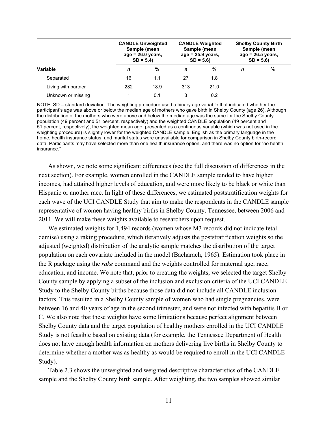|                     |     | <b>CANDLE Unweighted</b><br>Sample (mean<br>$age = 26.0 \text{ years}$<br>$SD = 5.4$ |     | <b>CANDLE Weighted</b><br>Sample (mean<br>$age = 25.9 \text{ years},$<br>$SD = 5.6$ |   | <b>Shelby County Birth</b><br>Sample (mean<br>$age = 26.5 \text{ years},$<br>$SD = 5.6$ |  |
|---------------------|-----|--------------------------------------------------------------------------------------|-----|-------------------------------------------------------------------------------------|---|-----------------------------------------------------------------------------------------|--|
| Variable            | n   | %                                                                                    | n   | %                                                                                   | n | $\frac{9}{6}$                                                                           |  |
| Separated           | 16  | 1.1                                                                                  | 27  | 1.8                                                                                 |   |                                                                                         |  |
| Living with partner | 282 | 18.9                                                                                 | 313 | 21.0                                                                                |   |                                                                                         |  |
| Unknown or missing  |     | 0.1                                                                                  | 3   | 0.2                                                                                 |   |                                                                                         |  |

NOTE: SD = standard deviation. The weighting procedure used a binary age variable that indicated whether the participant's age was above or below the median age of mothers who gave birth in Shelby County (age 26). Although the distribution of the mothers who were above and below the median age was the same for the Shelby County population (49 percent and 51 percent, respectively) and the weighted CANDLE population (49 percent and 51 percent, respectively), the weighted mean age, presented as a continuous variable (which was not used in the weighting procedure) is slightly lower for the weighted CANDLE sample. English as the primary language in the home, health insurance status, and marital status were unavailable for comparison in Shelby County birth-record data. Participants may have selected more than one health insurance option, and there was no option for "no health insurance."

As shown, we note some significant differences (see the full discussion of differences in the next section). For example, women enrolled in the CANDLE sample tended to have higher incomes, had attained higher levels of education, and were more likely to be black or white than Hispanic or another race. In light of these differences, we estimated poststratification weights for each wave of the UCI CANDLE Study that aim to make the respondents in the CANDLE sample representative of women having healthy births in Shelby County, Tennessee, between 2006 and 2011. We will make these weights available to researchers upon request.

We estimated weights for 1,494 records (women whose M3 records did not indicate fetal demise) using a raking procedure, which iteratively adjusts the poststratification weights so the adjusted (weighted) distribution of the analytic sample matches the distribution of the target population on each covariate included in the model (Bacharach, 1965). Estimation took place in the R package using the *rake* command and the weights controlled for maternal age, race, education, and income. We note that, prior to creating the weights, we selected the target Shelby County sample by applying a subset of the inclusion and exclusion criteria of the UCI CANDLE Study to the Shelby County births because those data did not include all CANDLE inclusion factors. This resulted in a Shelby County sample of women who had single pregnancies, were between 16 and 40 years of age in the second trimester, and were not infected with hepatitis B or C. We also note that these weights have some limitations because perfect alignment between Shelby County data and the target population of healthy mothers enrolled in the UCI CANDLE Study is not feasible based on existing data (for example, the Tennessee Department of Health does not have enough health information on mothers delivering live births in Shelby County to determine whether a mother was as healthy as would be required to enroll in the UCI CANDLE Study).

Table 2.3 shows the unweighted and weighted descriptive characteristics of the CANDLE sample and the Shelby County birth sample. After weighting, the two samples showed similar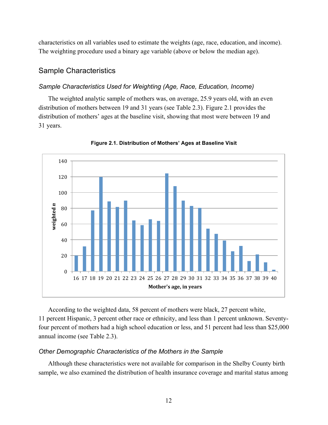characteristics on all variables used to estimate the weights (age, race, education, and income). The weighting procedure used a binary age variable (above or below the median age).

#### Sample Characteristics

#### *Sample Characteristics Used for Weighting (Age, Race, Education, Income)*

The weighted analytic sample of mothers was, on average, 25.9 years old, with an even distribution of mothers between 19 and 31 years (see Table 2.3). Figure 2.1 provides the distribution of mothers' ages at the baseline visit, showing that most were between 19 and 31 years.



**Figure 2.1. Distribution of Mothers' Ages at Baseline Visit**

According to the weighted data, 58 percent of mothers were black, 27 percent white, 11 percent Hispanic, 3 percent other race or ethnicity, and less than 1 percent unknown. Seventyfour percent of mothers had a high school education or less, and 51 percent had less than \$25,000 annual income (see Table 2.3).

#### *Other Demographic Characteristics of the Mothers in the Sample*

Although these characteristics were not available for comparison in the Shelby County birth sample, we also examined the distribution of health insurance coverage and marital status among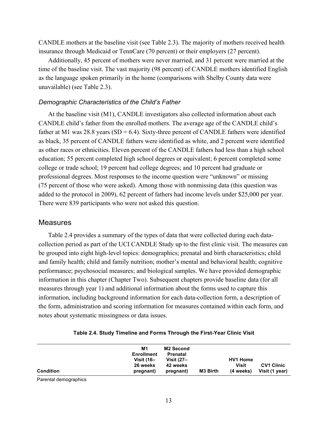CANDLE mothers at the baseline visit (see Table 2.3). The majority of mothers received health insurance through Medicaid or TennCare (70 percent) or their employers (27 percent).

Additionally, 45 percent of mothers were never married, and 31 percent were married at the time of the baseline visit. The vast majority (98 percent) of CANDLE mothers identified English as the language spoken primarily in the home (comparisons with Shelby County data were unavailable) (see Table 2.3).

#### *Demographic Characteristics of the Child's Father*

At the baseline visit (M1), CANDLE investigators also collected information about each CANDLE child's father from the enrolled mothers. The average age of the CANDLE child's father at M1 was 28.8 years (SD = 6.4). Sixty-three percent of CANDLE fathers were identified as black, 35 percent of CANDLE fathers were identified as white, and 2 percent were identified as other races or ethnicities. Eleven percent of the CANDLE fathers had less than a high school education; 55 percent completed high school degrees or equivalent; 6 percent completed some college or trade school; 19 percent had college degrees; and 10 percent had graduate or professional degrees. Most responses to the income question were "unknown" or missing (75 percent of those who were asked). Among those with nonmissing data (this question was added to the protocol in 2009), 62 percent of fathers had income levels under \$25,000 per year. There were 839 participants who were not asked this question.

#### Measures

Table 2.4 provides a summary of the types of data that were collected during each datacollection period as part of the UCI CANDLE Study up to the first clinic visit. The measures can be grouped into eight high-level topics: demographics; prenatal and birth characteristics; child and family health; child and family nutrition; mother's mental and behavioral health; cognitive performance; psychosocial measures; and biological samples. We have provided demographic information in this chapter (Chapter Two). Subsequent chapters provide baseline data (for all measures through year 1) and additional information about the forms used to capture this information, including background information for each data-collection form, a description of the form, administration and scoring information for measures contained within each form, and notes about systematic missingness or data issues.

|                  | M1<br><b>Enrollment</b><br><b>Visit (16–</b> | <b>M2 Second</b><br><b>Prenatal</b><br>Visit $(27 -$ |          | <b>HV1 Home</b>    |                                     |
|------------------|----------------------------------------------|------------------------------------------------------|----------|--------------------|-------------------------------------|
| <b>Condition</b> | 26 weeks<br>pregnant)                        | 42 weeks<br>pregnant)                                | M3 Birth | Visit<br>(4 weeks) | <b>CV1 Clinic</b><br>Visit (1 year) |

|  |  |  | Table 2.4. Study Timeline and Forms Through the First-Year Clinic Visit |
|--|--|--|-------------------------------------------------------------------------|
|--|--|--|-------------------------------------------------------------------------|

Parental demographics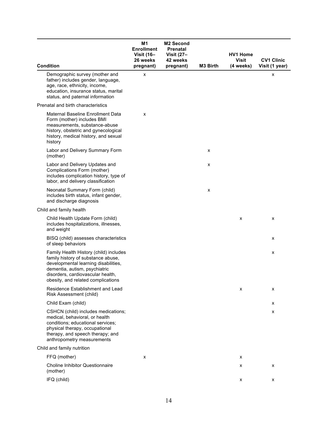| <b>Condition</b>                                                                                                                                                                                                                 | M1<br><b>Enrollment</b><br><b>Visit (16-</b><br>26 weeks<br>pregnant) | <b>M2 Second</b><br>Prenatal<br><b>Visit (27-</b><br>42 weeks<br>pregnant) | M3 Birth | <b>HV1 Home</b><br><b>Visit</b><br>(4 weeks) | <b>CV1 Clinic</b><br>Visit (1 year) |
|----------------------------------------------------------------------------------------------------------------------------------------------------------------------------------------------------------------------------------|-----------------------------------------------------------------------|----------------------------------------------------------------------------|----------|----------------------------------------------|-------------------------------------|
| Demographic survey (mother and<br>father) includes gender, language,<br>age, race, ethnicity, income,<br>education, insurance status, marital<br>status, and paternal information                                                | x                                                                     |                                                                            |          |                                              | x                                   |
| Prenatal and birth characteristics                                                                                                                                                                                               |                                                                       |                                                                            |          |                                              |                                     |
| Maternal Baseline Enrollment Data<br>Form (mother) includes BMI<br>measurements, substance-abuse<br>history, obstetric and gynecological<br>history, medical history, and sexual<br>history                                      | x                                                                     |                                                                            |          |                                              |                                     |
| Labor and Delivery Summary Form<br>(mother)                                                                                                                                                                                      |                                                                       |                                                                            | x        |                                              |                                     |
| Labor and Delivery Updates and<br>Complications Form (mother)<br>includes complication history, type of<br>labor, and delivery classification                                                                                    |                                                                       |                                                                            | x        |                                              |                                     |
| Neonatal Summary Form (child)<br>includes birth status, infant gender,<br>and discharge diagnosis                                                                                                                                |                                                                       |                                                                            | x        |                                              |                                     |
| Child and family health                                                                                                                                                                                                          |                                                                       |                                                                            |          |                                              |                                     |
| Child Health Update Form (child)<br>includes hospitalizations, illnesses,<br>and weight                                                                                                                                          |                                                                       |                                                                            |          | х                                            | x                                   |
| BISQ (child) assesses characteristics<br>of sleep behaviors                                                                                                                                                                      |                                                                       |                                                                            |          |                                              | x                                   |
| Family Health History (child) includes<br>family history of substance abuse,<br>developmental learning disabilities,<br>dementia, autism, psychiatric<br>disorders, cardiovascular health,<br>obesity, and related complications |                                                                       |                                                                            |          |                                              | x                                   |
| <b>Residence Establishment and Lead</b><br>Risk Assessment (child)                                                                                                                                                               |                                                                       |                                                                            |          | x                                            | x                                   |
| Child Exam (child)                                                                                                                                                                                                               |                                                                       |                                                                            |          |                                              | x                                   |
| CSHCN (child) includes medications;<br>medical, behavioral, or health<br>conditions; educational services;<br>physical therapy, occupational<br>therapy, and speech therapy; and<br>anthropometry measurements                   |                                                                       |                                                                            |          |                                              | x                                   |
| Child and family nutrition                                                                                                                                                                                                       |                                                                       |                                                                            |          |                                              |                                     |
| FFQ (mother)                                                                                                                                                                                                                     | х                                                                     |                                                                            |          | x                                            |                                     |
| <b>Choline Inhibitor Questionnaire</b><br>(mother)                                                                                                                                                                               |                                                                       |                                                                            |          | х                                            | x                                   |
| IFQ (child)                                                                                                                                                                                                                      |                                                                       |                                                                            |          | X                                            | x                                   |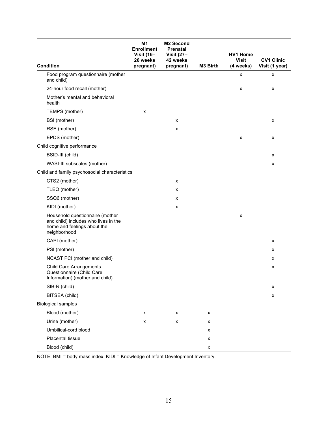| <b>Condition</b>                                                                                                       | M <sub>1</sub><br><b>Enrollment</b><br><b>Visit (16-</b><br>26 weeks<br>pregnant) | M2 Second<br>Prenatal<br><b>Visit (27-</b><br>42 weeks<br>pregnant) | M3 Birth | <b>HV1 Home</b><br><b>Visit</b><br>(4 weeks) | <b>CV1 Clinic</b><br>Visit (1 year) |
|------------------------------------------------------------------------------------------------------------------------|-----------------------------------------------------------------------------------|---------------------------------------------------------------------|----------|----------------------------------------------|-------------------------------------|
| Food program questionnaire (mother<br>and child)                                                                       |                                                                                   |                                                                     |          | x                                            | x                                   |
| 24-hour food recall (mother)                                                                                           |                                                                                   |                                                                     |          | x                                            | X                                   |
| Mother's mental and behavioral<br>health                                                                               |                                                                                   |                                                                     |          |                                              |                                     |
| TEMPS (mother)                                                                                                         | X                                                                                 |                                                                     |          |                                              |                                     |
| BSI (mother)                                                                                                           |                                                                                   | X                                                                   |          |                                              | X                                   |
| RSE (mother)                                                                                                           |                                                                                   | x                                                                   |          |                                              |                                     |
| EPDS (mother)                                                                                                          |                                                                                   |                                                                     |          | x                                            | x                                   |
| Child cognitive performance                                                                                            |                                                                                   |                                                                     |          |                                              |                                     |
| BSID-III (child)                                                                                                       |                                                                                   |                                                                     |          |                                              | x                                   |
| WASI-III subscales (mother)                                                                                            |                                                                                   |                                                                     |          |                                              | $\pmb{\mathsf{x}}$                  |
| Child and family psychosocial characteristics                                                                          |                                                                                   |                                                                     |          |                                              |                                     |
| CTS2 (mother)                                                                                                          |                                                                                   | X                                                                   |          |                                              |                                     |
| TLEQ (mother)                                                                                                          |                                                                                   | x                                                                   |          |                                              |                                     |
| SSQ6 (mother)                                                                                                          |                                                                                   | X                                                                   |          |                                              |                                     |
| KIDI (mother)                                                                                                          |                                                                                   | X                                                                   |          |                                              |                                     |
| Household questionnaire (mother<br>and child) includes who lives in the<br>home and feelings about the<br>neighborhood |                                                                                   |                                                                     |          | x                                            |                                     |
| CAPI (mother)                                                                                                          |                                                                                   |                                                                     |          |                                              | X                                   |
| PSI (mother)                                                                                                           |                                                                                   |                                                                     |          |                                              | x                                   |
| NCAST PCI (mother and child)                                                                                           |                                                                                   |                                                                     |          |                                              | x                                   |
| <b>Child Care Arrangements</b><br>Questionnaire (Child Care<br>Information) (mother and child)                         |                                                                                   |                                                                     |          |                                              | x                                   |
| SIB-R (child)                                                                                                          |                                                                                   |                                                                     |          |                                              | $\pmb{\mathsf{x}}$                  |
| BITSEA (child)                                                                                                         |                                                                                   |                                                                     |          |                                              | X                                   |
| <b>Biological samples</b>                                                                                              |                                                                                   |                                                                     |          |                                              |                                     |
| Blood (mother)                                                                                                         | X                                                                                 | x                                                                   | X        |                                              |                                     |
| Urine (mother)                                                                                                         | X                                                                                 | X                                                                   | X        |                                              |                                     |
| Umbilical-cord blood                                                                                                   |                                                                                   |                                                                     | X        |                                              |                                     |
| Placental tissue                                                                                                       |                                                                                   |                                                                     | х        |                                              |                                     |
| Blood (child)                                                                                                          |                                                                                   |                                                                     | X        |                                              |                                     |

NOTE: BMI = body mass index. KIDI = Knowledge of Infant Development Inventory.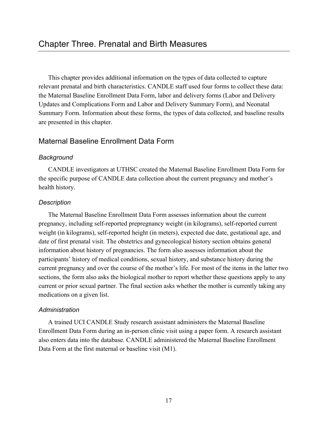This chapter provides additional information on the types of data collected to capture relevant prenatal and birth characteristics. CANDLE staff used four forms to collect these data: the Maternal Baseline Enrollment Data Form, labor and delivery forms (Labor and Delivery Updates and Complications Form and Labor and Delivery Summary Form), and Neonatal Summary Form. Information about these forms, the types of data collected, and baseline results are presented in this chapter.

# Maternal Baseline Enrollment Data Form

# *Background*

CANDLE investigators at UTHSC created the Maternal Baseline Enrollment Data Form for the specific purpose of CANDLE data collection about the current pregnancy and mother's health history.

# *Description*

The Maternal Baseline Enrollment Data Form assesses information about the current pregnancy, including self-reported prepregnancy weight (in kilograms), self-reported current weight (in kilograms), self-reported height (in meters), expected due date, gestational age, and date of first prenatal visit. The obstetrics and gynecological history section obtains general information about history of pregnancies. The form also assesses information about the participants' history of medical conditions, sexual history, and substance history during the current pregnancy and over the course of the mother's life. For most of the items in the latter two sections, the form also asks the biological mother to report whether these questions apply to any current or prior sexual partner. The final section asks whether the mother is currently taking any medications on a given list.

## *Administration*

A trained UCI CANDLE Study research assistant administers the Maternal Baseline Enrollment Data Form during an in-person clinic visit using a paper form. A research assistant also enters data into the database. CANDLE administered the Maternal Baseline Enrollment Data Form at the first maternal or baseline visit (M1).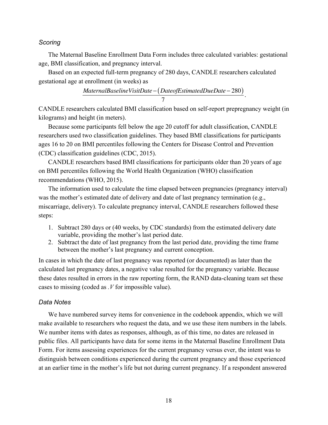### *Scoring*

The Maternal Baseline Enrollment Data Form includes three calculated variables: gestational age, BMI classification, and pregnancy interval.

Based on an expected full-term pregnancy of 280 days, CANDLE researchers calculated gestational age at enrollment (in weeks) as

$$
\frac{Material BaselineVisitDate - (Date of Estimate dDueDate - 280)}{7}.
$$

CANDLE researchers calculated BMI classification based on self-report prepregnancy weight (in kilograms) and height (in meters).

Because some participants fell below the age 20 cutoff for adult classification, CANDLE researchers used two classification guidelines. They based BMI classifications for participants ages 16 to 20 on BMI percentiles following the Centers for Disease Control and Prevention (CDC) classification guidelines (CDC, 2015).

CANDLE researchers based BMI classifications for participants older than 20 years of age on BMI percentiles following the World Health Organization (WHO) classification recommendations (WHO, 2015).

The information used to calculate the time elapsed between pregnancies (pregnancy interval) was the mother's estimated date of delivery and date of last pregnancy termination (e.g., miscarriage, delivery). To calculate pregnancy interval, CANDLE researchers followed these steps:

- 1. Subtract 280 days or (40 weeks, by CDC standards) from the estimated delivery date variable, providing the mother's last period date.
- 2. Subtract the date of last pregnancy from the last period date, providing the time frame between the mother's last pregnancy and current conception.

In cases in which the date of last pregnancy was reported (or documented) as later than the calculated last pregnancy dates, a negative value resulted for the pregnancy variable. Because these dates resulted in errors in the raw reporting form, the RAND data-cleaning team set these cases to missing (coded as *.V* for impossible value).

## *Data Notes*

We have numbered survey items for convenience in the codebook appendix, which we will make available to researchers who request the data, and we use these item numbers in the labels. We number items with dates as responses, although, as of this time, no dates are released in public files. All participants have data for some items in the Maternal Baseline Enrollment Data Form. For items assessing experiences for the current pregnancy versus ever, the intent was to distinguish between conditions experienced during the current pregnancy and those experienced at an earlier time in the mother's life but not during current pregnancy. If a respondent answered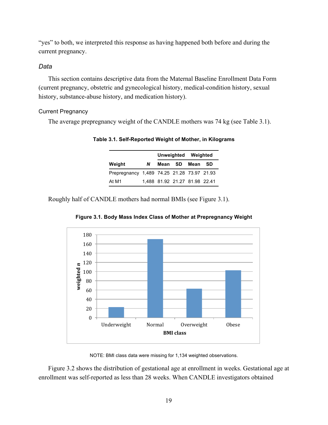"yes" to both, we interpreted this response as having happened both before and during the current pregnancy.

## *Data*

This section contains descriptive data from the Maternal Baseline Enrollment Data Form (current pregnancy, obstetric and gynecological history, medical-condition history, sexual history, substance-abuse history, and medication history).

## Current Pregnancy

The average prepregnancy weight of the CANDLE mothers was 74 kg (see Table 3.1).

|                                            |   |                               |              | Unweighted Weighted |           |
|--------------------------------------------|---|-------------------------------|--------------|---------------------|-----------|
| Weight                                     | N |                               | Mean SD Mean |                     | <b>SD</b> |
| Prepregnancy 1,489 74.25 21.28 73.97 21.93 |   |                               |              |                     |           |
| At M1                                      |   | 1,488 81.92 21.27 81.98 22.41 |              |                     |           |

**Table 3.1. Self-Reported Weight of Mother, in Kilograms**

Roughly half of CANDLE mothers had normal BMIs (see Figure 3.1).



**Figure 3.1. Body Mass Index Class of Mother at Prepregnancy Weight**

NOTE: BMI class data were missing for 1,134 weighted observations.

Figure 3.2 shows the distribution of gestational age at enrollment in weeks. Gestational age at enrollment was self-reported as less than 28 weeks. When CANDLE investigators obtained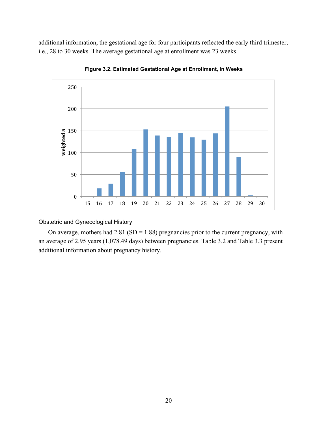additional information, the gestational age for four participants reflected the early third trimester, i.e., 28 to 30 weeks. The average gestational age at enrollment was 23 weeks.



**Figure 3.2. Estimated Gestational Age at Enrollment, in Weeks**

# Obstetric and Gynecological History

On average, mothers had  $2.81$  (SD = 1.88) pregnancies prior to the current pregnancy, with an average of 2.95 years (1,078.49 days) between pregnancies. Table 3.2 and Table 3.3 present additional information about pregnancy history.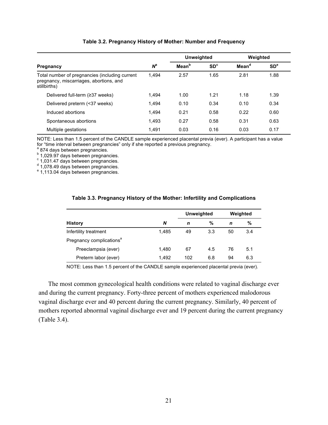|                                                                                                           |       | <b>Unweighted</b> |                 | Weighted          |                 |
|-----------------------------------------------------------------------------------------------------------|-------|-------------------|-----------------|-------------------|-----------------|
| Pregnancy                                                                                                 | $N^a$ | Mean <sup>b</sup> | SD <sup>c</sup> | Mean <sup>d</sup> | SD <sup>e</sup> |
| Total number of pregnancies (including current<br>pregnancy, miscarriages, abortions, and<br>stillbirths) | 1.494 | 2.57              | 1.65            | 2.81              | 1.88            |
| Delivered full-term (≥37 weeks)                                                                           | 1.494 | 1.00              | 1.21            | 1.18              | 1.39            |
| Delivered preterm (<37 weeks)                                                                             | 1.494 | 0.10              | 0.34            | 0.10              | 0.34            |
| Induced abortions                                                                                         | 1.494 | 0.21              | 0.58            | 0.22              | 0.60            |
| Spontaneous abortions                                                                                     | 1.493 | 0.27              | 0.58            | 0.31              | 0.63            |
| Multiple gestations                                                                                       | 1.491 | 0.03              | 0.16            | 0.03              | 0.17            |

### **Table 3.2. Pregnancy History of Mother: Number and Frequency**

NOTE: Less than 1.5 percent of the CANDLE sample experienced placental previa (ever). A participant has a value for "time interval between pregnancies" only if she reported a previous pregnancy.

<sup>a</sup> 874 days between pregnancies.<br>
<sup>b</sup> 1,029.97 days between pregnancies.<br>  $\frac{c}{1}$  1,031.47 days between pregnancies.<br>
<sup>d</sup> 1,078.49 days between pregnancies.<br>
<sup>e</sup> 1,113.04 days between pregnancies.

|                                      |       | <b>Unweighted</b> |     | Weighted |     |
|--------------------------------------|-------|-------------------|-----|----------|-----|
| <b>History</b>                       | N     | n                 | %   | n        | %   |
| Infertility treatment                | 1,485 | 49                | 3.3 | 50       | 3.4 |
| Pregnancy complications <sup>a</sup> |       |                   |     |          |     |
| Preeclampsia (ever)                  | 1.480 | 67                | 4.5 | 76       | 5.1 |
| Preterm labor (ever)                 | 1,492 | 102               | 6.8 | 94       | 6.3 |

#### **Table 3.3. Pregnancy History of the Mother: Infertility and Complications**

NOTE: Less than 1.5 percent of the CANDLE sample experienced placental previa (ever).

The most common gynecological health conditions were related to vaginal discharge ever and during the current pregnancy. Forty-three percent of mothers experienced malodorous vaginal discharge ever and 40 percent during the current pregnancy. Similarly, 40 percent of mothers reported abnormal vaginal discharge ever and 19 percent during the current pregnancy (Table 3.4).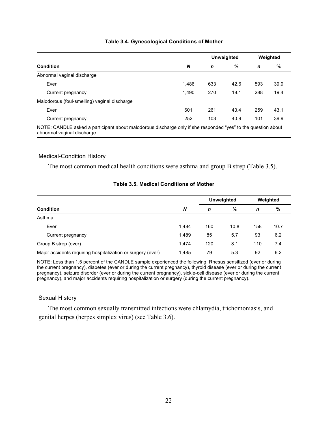|                                                                                                                                              |       | <b>Unweighted</b> |      | Weighted |      |
|----------------------------------------------------------------------------------------------------------------------------------------------|-------|-------------------|------|----------|------|
| <b>Condition</b>                                                                                                                             | N     | n                 | %    | n        | %    |
| Abnormal vaginal discharge                                                                                                                   |       |                   |      |          |      |
| Ever                                                                                                                                         | 1.486 | 633               | 42.6 | 593      | 39.9 |
| Current pregnancy                                                                                                                            | 1.490 | 270               | 18.1 | 288      | 19.4 |
| Malodorous (foul-smelling) vaginal discharge                                                                                                 |       |                   |      |          |      |
| Ever                                                                                                                                         | 601   | 261               | 43.4 | 259      | 43.1 |
| Current pregnancy                                                                                                                            | 252   | 103               | 40.9 | 101      | 39.9 |
| NOTE: CANDLE asked a participant about malodorous discharge only if she responded "yes" to the question about<br>abnormal vaginal discharge. |       |                   |      |          |      |

## **Table 3.4. Gynecological Conditions of Mother**

### Medical-Condition History

The most common medical health conditions were asthma and group B strep (Table 3.5).

|                                                             |       | <b>Unweighted</b> |      | Weighted |      |
|-------------------------------------------------------------|-------|-------------------|------|----------|------|
| <b>Condition</b>                                            | N     | n                 | %    | n        | %    |
| Asthma                                                      |       |                   |      |          |      |
| Ever                                                        | 1,484 | 160               | 10.8 | 158      | 10.7 |
| Current pregnancy                                           | 1,489 | 85                | 5.7  | 93       | 6.2  |
| Group B strep (ever)                                        | 1.474 | 120               | 8.1  | 110      | 7.4  |
| Major accidents requiring hospitalization or surgery (ever) | 1,485 | 79                | 5.3  | 92       | 6.2  |

# **Table 3.5. Medical Conditions of Mother**

NOTE: Less than 1.5 percent of the CANDLE sample experienced the following: Rhesus sensitized (ever or during the current pregnancy), diabetes (ever or during the current pregnancy), thyroid disease (ever or during the current pregnancy), seizure disorder (ever or during the current pregnancy), sickle-cell disease (ever or during the current pregnancy), and major accidents requiring hospitalization or surgery (during the current pregnancy).

### Sexual History

The most common sexually transmitted infections were chlamydia, trichomoniasis, and genital herpes (herpes simplex virus) (see Table 3.6).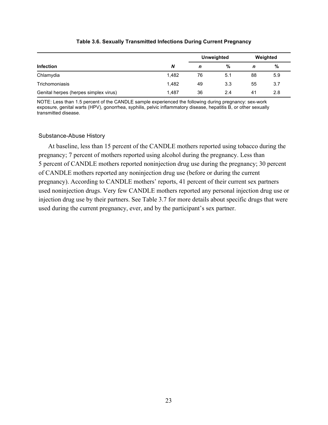|                                       |       | Unweighted |     |    | Weighted |
|---------------------------------------|-------|------------|-----|----|----------|
| <b>Infection</b>                      | N     | n          | %   | n  | %        |
| Chlamydia                             | 1.482 | 76         | 5.1 | 88 | 5.9      |
| Trichomoniasis                        | 1.482 | 49         | 3.3 | 55 | 3.7      |
| Genital herpes (herpes simplex virus) | 1.487 | 36         | 2.4 | 41 | 2.8      |

### **Table 3.6. Sexually Transmitted Infections During Current Pregnancy**

NOTE: Less than 1.5 percent of the CANDLE sample experienced the following during pregnancy: sex-work exposure, genital warts (HPV), gonorrhea, syphilis, pelvic inflammatory disease, hepatitis B, or other sexually transmitted disease.

### Substance-Abuse History

At baseline, less than 15 percent of the CANDLE mothers reported using tobacco during the pregnancy; 7 percent of mothers reported using alcohol during the pregnancy. Less than 5 percent of CANDLE mothers reported noninjection drug use during the pregnancy; 30 percent of CANDLE mothers reported any noninjection drug use (before or during the current pregnancy). According to CANDLE mothers' reports, 41 percent of their current sex partners used noninjection drugs. Very few CANDLE mothers reported any personal injection drug use or injection drug use by their partners. See Table 3.7 for more details about specific drugs that were used during the current pregnancy, ever, and by the participant's sex partner.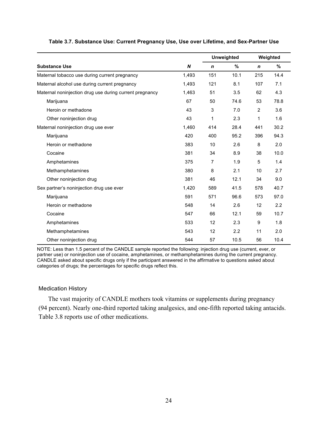|                                                         |       |             | <b>Unweighted</b> | Weighted       |      |  |
|---------------------------------------------------------|-------|-------------|-------------------|----------------|------|--|
| <b>Substance Use</b>                                    | N     | $\mathbf n$ | $\%$              | $\mathbf n$    | $\%$ |  |
| Maternal tobacco use during current pregnancy           | 1,493 | 151         | 10.1              | 215            | 14.4 |  |
| Maternal alcohol use during current pregnancy           | 1,493 | 121         | 8.1               | 107            | 7.1  |  |
| Maternal noninjection drug use during current pregnancy | 1,463 | 51          | 3.5               | 62             | 4.3  |  |
| Marijuana                                               | 67    | 50          | 74.6              | 53             | 78.8 |  |
| Heroin or methadone                                     | 43    | 3           | 7.0               | $\overline{2}$ | 3.6  |  |
| Other noninjection drug                                 | 43    | 1           | 2.3               | 1              | 1.6  |  |
| Maternal noninjection drug use ever                     | 1,460 | 414         | 28.4              | 441            | 30.2 |  |
| Marijuana                                               | 420   | 400         | 95.2              | 396            | 94.3 |  |
| Heroin or methadone                                     | 383   | 10          | 2.6               | 8              | 2.0  |  |
| Cocaine                                                 | 381   | 34          | 8.9               | 38             | 10.0 |  |
| Amphetamines                                            | 375   | 7           | 1.9               | 5              | 1.4  |  |
| Methamphetamines                                        | 380   | 8           | 2.1               | 10             | 2.7  |  |
| Other noninjection drug                                 | 381   | 46          | 12.1              | 34             | 9.0  |  |
| Sex partner's noninjection drug use ever                | 1,420 | 589         | 41.5              | 578            | 40.7 |  |
| Marijuana                                               | 591   | 571         | 96.6              | 573            | 97.0 |  |
| Heroin or methadone                                     | 548   | 14          | 2.6               | 12             | 2.2  |  |
| Cocaine                                                 | 547   | 66          | 12.1              | 59             | 10.7 |  |
| Amphetamines                                            | 533   | 12          | 2.3               | 9              | 1.8  |  |
| Methamphetamines                                        | 543   | 12          | 2.2               | 11             | 2.0  |  |
| Other noninjection drug                                 | 544   | 57          | 10.5              | 56             | 10.4 |  |

### **Table 3.7. Substance Use: Current Pregnancy Use, Use over Lifetime, and Sex-Partner Use**

NOTE: Less than 1.5 percent of the CANDLE sample reported the following: injection drug use (current, ever, or partner use) or noninjection use of cocaine, amphetamines, or methamphetamines during the current pregnancy. CANDLE asked about specific drugs only if the participant answered in the affirmative to questions asked about categories of drugs; the percentages for specific drugs reflect this.

### Medication History

The vast majority of CANDLE mothers took vitamins or supplements during pregnancy (94 percent). Nearly one-third reported taking analgesics, and one-fifth reported taking antacids. Table 3.8 reports use of other medications.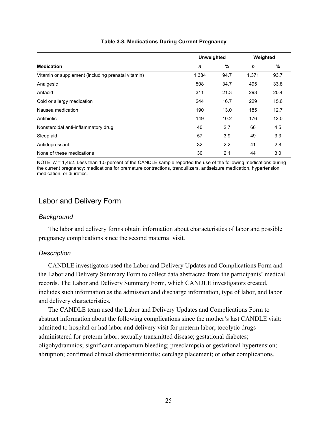|                                                    |             | <b>Unweighted</b> |             | Weighted |
|----------------------------------------------------|-------------|-------------------|-------------|----------|
| <b>Medication</b>                                  | $\mathbf n$ | %                 | $\mathbf n$ | %        |
| Vitamin or supplement (including prenatal vitamin) | 1,384       | 94.7              | 1,371       | 93.7     |
| Analgesic                                          | 508         | 34.7              | 495         | 33.8     |
| Antacid                                            | 311         | 21.3              | 298         | 20.4     |
| Cold or allergy medication                         | 244         | 16.7              | 229         | 15.6     |
| Nausea medication                                  | 190         | 13.0              | 185         | 12.7     |
| Antibiotic                                         | 149         | 10.2              | 176         | 12.0     |
| Nonsteroidal anti-inflammatory drug                | 40          | 2.7               | 66          | 4.5      |
| Sleep aid                                          | 57          | 3.9               | 49          | 3.3      |
| Antidepressant                                     | 32          | 2.2               | 41          | 2.8      |
| None of these medications                          | 30          | 2.1               | 44          | 3.0      |

## **Table 3.8. Medications During Current Pregnancy**

NOTE: *N* = 1,462. Less than 1.5 percent of the CANDLE sample reported the use of the following medications during the current pregnancy: medications for premature contractions, tranquilizers, antiseizure medication, hypertension medication, or diuretics.

# Labor and Delivery Form

## *Background*

The labor and delivery forms obtain information about characteristics of labor and possible pregnancy complications since the second maternal visit.

# *Description*

CANDLE investigators used the Labor and Delivery Updates and Complications Form and the Labor and Delivery Summary Form to collect data abstracted from the participants' medical records. The Labor and Delivery Summary Form, which CANDLE investigators created, includes such information as the admission and discharge information, type of labor, and labor and delivery characteristics.

The CANDLE team used the Labor and Delivery Updates and Complications Form to abstract information about the following complications since the mother's last CANDLE visit: admitted to hospital or had labor and delivery visit for preterm labor; tocolytic drugs administered for preterm labor; sexually transmitted disease; gestational diabetes; oligohydramnios; significant antepartum bleeding; preeclampsia or gestational hypertension; abruption; confirmed clinical chorioamnionitis; cerclage placement; or other complications.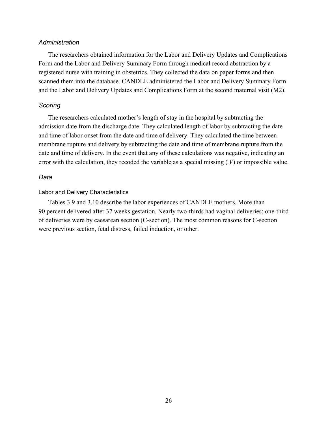## *Administration*

The researchers obtained information for the Labor and Delivery Updates and Complications Form and the Labor and Delivery Summary Form through medical record abstraction by a registered nurse with training in obstetrics. They collected the data on paper forms and then scanned them into the database. CANDLE administered the Labor and Delivery Summary Form and the Labor and Delivery Updates and Complications Form at the second maternal visit (M2).

### *Scoring*

The researchers calculated mother's length of stay in the hospital by subtracting the admission date from the discharge date. They calculated length of labor by subtracting the date and time of labor onset from the date and time of delivery. They calculated the time between membrane rupture and delivery by subtracting the date and time of membrane rupture from the date and time of delivery. In the event that any of these calculations was negative, indicating an error with the calculation, they recoded the variable as a special missing (*.V*) or impossible value.

# *Data*

### Labor and Delivery Characteristics

Tables 3.9 and 3.10 describe the labor experiences of CANDLE mothers. More than 90 percent delivered after 37 weeks gestation. Nearly two-thirds had vaginal deliveries; one-third of deliveries were by caesarean section (C-section). The most common reasons for C-section were previous section, fetal distress, failed induction, or other.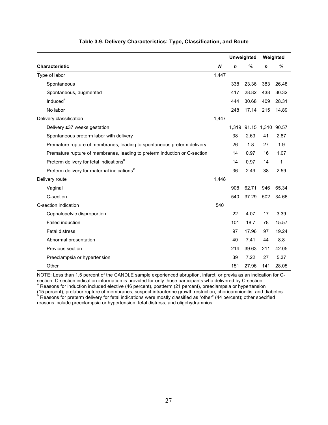|                                                                           |                  | <b>Unweighted</b> |                         |             | Weighted |
|---------------------------------------------------------------------------|------------------|-------------------|-------------------------|-------------|----------|
| <b>Characteristic</b>                                                     | $\boldsymbol{N}$ | $\mathbf n$       | $\%$                    | $\mathbf n$ | %        |
| Type of labor                                                             | 1,447            |                   |                         |             |          |
| Spontaneous                                                               |                  | 338               | 23.36                   | 383         | 26.48    |
| Spontaneous, augmented                                                    |                  | 417               | 28.82                   | 438         | 30.32    |
| Induced <sup>a</sup>                                                      |                  | 444               | 30.68                   | 409         | 28.31    |
| No labor                                                                  |                  | 248               | 17.14                   | 215         | 14.89    |
| Delivery classification                                                   | 1,447            |                   |                         |             |          |
| Delivery ≥37 weeks gestation                                              |                  |                   | 1,319 91.15 1,310 90.57 |             |          |
| Spontaneous preterm labor with delivery                                   |                  | 38                | 2.63                    | 41          | 2.87     |
| Premature rupture of membranes, leading to spontaneous preterm delivery   |                  | 26                | 1.8                     | 27          | 1.9      |
| Premature rupture of membranes, leading to preterm induction or C-section |                  | 14                | 0.97                    | 16          | 1.07     |
| Preterm delivery for fetal indications <sup>b</sup>                       |                  | 14                | 0.97                    | 14          | 1        |
| Preterm delivery for maternal indications <sup>b</sup>                    |                  | 36                | 2.49                    | 38          | 2.59     |
| Delivery route                                                            | 1,448            |                   |                         |             |          |
| Vaginal                                                                   |                  | 908               | 62.71                   | 946         | 65.34    |
| C-section                                                                 |                  | 540               | 37.29                   | 502         | 34.66    |
| C-section indication                                                      | 540              |                   |                         |             |          |
| Cephalopelvic disproportion                                               |                  | 22                | 4.07                    | 17          | 3.39     |
| Failed induction                                                          |                  | 101               | 18.7                    | 78          | 15.57    |
| Fetal distress                                                            |                  | 97                | 17.96                   | 97          | 19.24    |
| Abnormal presentation                                                     |                  | 40                | 7.41                    | 44          | 8.8      |
| Previous section                                                          |                  | 214               | 39.63                   | 211         | 42.05    |
| Preeclampsia or hypertension                                              |                  | 39                | 7.22                    | 27          | 5.37     |
| Other                                                                     |                  | 151               | 27.96                   | 141         | 28.05    |

#### **Table 3.9. Delivery Characteristics: Type, Classification, and Route**

NOTE: Less than 1.5 percent of the CANDLE sample experienced abruption, infarct, or previa as an indication for C-<br>section. C-section indication information is provided for only those participants who delivered by C-sectio section. C-section indication information is provided for only those participants who delivered by C-section.<br><sup>a</sup> Reasons for induction included elective (46 percent), postterm (21 percent), preeclampsia or hypertension

(15 percent), prelabor rupture of membranes, suspect intrauterine growth restriction, chorioamnionitis, and diabetes.<br><sup>b</sup> Reasons for preterm delivery for fetal indications were mostly classified as "other" (44 percent); o reasons include preeclampsia or hypertension, fetal distress, and oligohydramnios.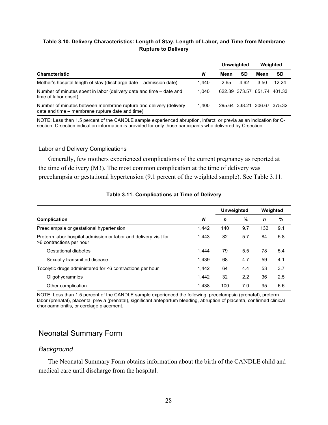### **Table 3.10. Delivery Characteristics: Length of Stay, Length of Labor, and Time from Membrane Rupture to Delivery**

|                                                                                                                      |       | Unweighted<br>Weighted |      |                             |       |
|----------------------------------------------------------------------------------------------------------------------|-------|------------------------|------|-----------------------------|-------|
| <b>Characteristic</b>                                                                                                | N     | Mean                   | SD   | Mean                        | SD    |
| Mother's hospital length of stay (discharge date – admission date)                                                   | 1.440 | 2.65                   | 4.62 | 3.50                        | 12.24 |
| Number of minutes spent in labor (delivery date and time – date and<br>time of labor onset)                          | 1.040 |                        |      | 622.39 373.57 651.74 401.33 |       |
| Number of minutes between membrane rupture and delivery (delivery<br>date and time – membrane rupture date and time) | 1.400 |                        |      | 295.64 338.21 306.67 375.32 |       |

NOTE: Less than 1.5 percent of the CANDLE sample experienced abruption, infarct, or previa as an indication for Csection. C-section indication information is provided for only those participants who delivered by C-section.

### Labor and Delivery Complications

Generally, few mothers experienced complications of the current pregnancy as reported at the time of delivery (M3). The most common complication at the time of delivery was preeclampsia or gestational hypertension (9.1 percent of the weighted sample). See Table 3.11.

|                                                                                              |       | Unweighted |     | Weighted    |     |  |  |
|----------------------------------------------------------------------------------------------|-------|------------|-----|-------------|-----|--|--|
| <b>Complication</b>                                                                          | N     | n          | %   | $\mathbf n$ | %   |  |  |
| Preeclampsia or gestational hypertension                                                     | 1.442 | 140        | 9.7 | 132         | 9.1 |  |  |
| Preterm labor hospital admission or labor and delivery visit for<br>>6 contractions per hour | 1.443 | 82         | 5.7 | 84          | 5.8 |  |  |
| Gestational diabetes                                                                         | 1.444 | 79         | 5.5 | 78          | 5.4 |  |  |
| Sexually transmitted disease                                                                 | 1.439 | 68         | 4.7 | 59          | 4.1 |  |  |
| Tocolytic drugs administered for <6 contractions per hour                                    | 1,442 | 64         | 4.4 | 53          | 3.7 |  |  |
| Oligohydramnios                                                                              | 1.442 | 32         | 2.2 | 36          | 2.5 |  |  |
| Other complication                                                                           | 1,438 | 100        | 7.0 | 95          | 6.6 |  |  |

### **Table 3.11. Complications at Time of Delivery**

NOTE: Less than 1.5 percent of the CANDLE sample experienced the following: preeclampsia (prenatal), preterm labor (prenatal), placental previa (prenatal), significant antepartum bleeding, abruption of placenta, confirmed clinical chorioamnionitis, or cerclage placement.

# Neonatal Summary Form

## *Background*

The Neonatal Summary Form obtains information about the birth of the CANDLE child and medical care until discharge from the hospital.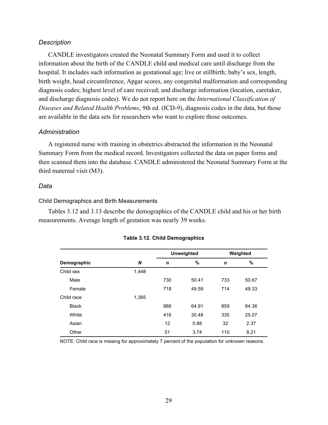# *Description*

CANDLE investigators created the Neonatal Summary Form and used it to collect information about the birth of the CANDLE child and medical care until discharge from the hospital. It includes such information as gestational age; live or stillbirth; baby's sex, length, birth weight, head circumference, Apgar scores, any congenital malformation and corresponding diagnosis codes; highest level of care received; and discharge information (location, caretaker, and discharge diagnosis codes). We do not report here on the *International Classification of Diseases and Related Health Problems*, 9th ed. (ICD-9), diagnosis codes in the data, but those are available in the data sets for researchers who want to explore those outcomes.

# *Administration*

A registered nurse with training in obstetrics abstracted the information in the Neonatal Summary Form from the medical record. Investigators collected the data on paper forms and then scanned them into the database. CANDLE administered the Neonatal Summary Form at the third maternal visit (M3).

## *Data*

## Child Demographics and Birth Measurements

Tables 3.12 and 3.13 describe the demographics of the CANDLE child and his or her birth measurements. Average length of gestation was nearly 39 weeks.

|              |       | <b>Unweighted</b> |       |     | Weighted |  |
|--------------|-------|-------------------|-------|-----|----------|--|
| Demographic  | N     | $\mathbf n$       | %     | n   | $\%$     |  |
| Child sex    | 1,448 |                   |       |     |          |  |
| Male         |       | 730               | 50.41 | 733 | 50.67    |  |
| Female       |       | 718               | 49.59 | 714 | 49.33    |  |
| Child race   | 1,365 |                   |       |     |          |  |
| <b>Black</b> |       | 886               | 64.91 | 859 | 64.36    |  |
| White        |       | 416               | 30.48 | 335 | 25.07    |  |
| Asian        |       | 12                | 0.88  | 32  | 2.37     |  |
| Other        |       | 51                | 3.74  | 110 | 8.21     |  |

### **Table 3.12. Child Demographics**

NOTE: Child race is missing for approximately 7 percent of the population for unknown reasons.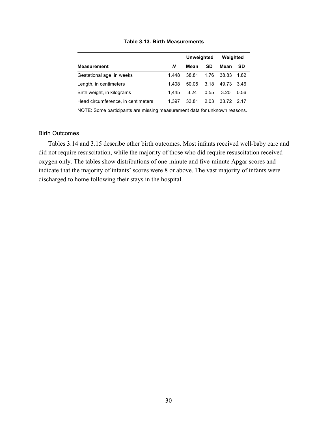|                                    |       | <b>Unweighted</b> |      | Weighted   |           |  |
|------------------------------------|-------|-------------------|------|------------|-----------|--|
| <b>Measurement</b>                 | N     | Mean              | SD   | Mean       | <b>SD</b> |  |
| Gestational age, in weeks          | 1.448 | 38.81             | 1.76 | 38.83      | 1.82      |  |
| Length, in centimeters             | 1.408 | 50.05             | 3.18 | 49.73      | - 3.46    |  |
| Birth weight, in kilograms         | 1.445 | 3.24              | 0.55 | 3.20       | 0.56      |  |
| Head circumference, in centimeters | 1.397 | 33.81             | 2.03 | 33.72 2.17 |           |  |

#### **Table 3.13. Birth Measurements**

NOTE: Some participants are missing measurement data for unknown reasons.

### Birth Outcomes

Tables 3.14 and 3.15 describe other birth outcomes. Most infants received well-baby care and did not require resuscitation, while the majority of those who did require resuscitation received oxygen only. The tables show distributions of one-minute and five-minute Apgar scores and indicate that the majority of infants' scores were 8 or above. The vast majority of infants were discharged to home following their stays in the hospital.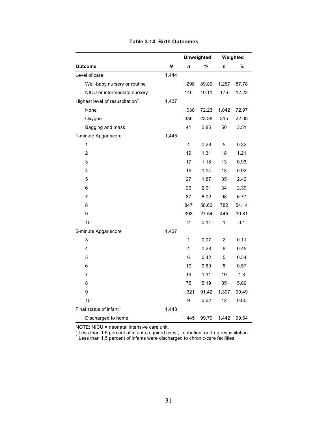|                                             |       | <b>Unweighted</b> |       |                | Weighted |
|---------------------------------------------|-------|-------------------|-------|----------------|----------|
| <b>Outcome</b>                              | N     | n                 | $\%$  | n              | %        |
| Level of care                               | 1,444 |                   |       |                |          |
| Well-baby nursery or routine                |       | 1,298             | 89.89 | 1,267          | 87.78    |
| NICU or intermediate nursery                |       | 146               | 10.11 | 176            | 12.22    |
| Highest level of resuscitation <sup>a</sup> | 1,437 |                   |       |                |          |
| None                                        |       | 1,038             | 72.23 | 1,042          | 72.97    |
| Oxygen                                      |       | 336               | 23.38 | 315            | 22.08    |
| Bagging and mask                            |       | 41                | 2.85  | 50             | 3.51     |
| 1-minute Apgar score                        | 1,445 |                   |       |                |          |
| $\mathbf 1$                                 |       | 4                 | 0.28  | 5              | 0.32     |
| $\overline{2}$                              |       | 19                | 1.31  | 18             | 1.21     |
| 3                                           |       | 17                | 1.18  | 13             | 0.93     |
| 4                                           |       | 15                | 1.04  | 13             | 0.92     |
| 5                                           |       | 27                | 1.87  | 35             | 2.42     |
| 6                                           |       | 29                | 2.01  | 34             | 2.39     |
| $\overline{7}$                              |       | 87                | 6.02  | 98             | 6.77     |
| 8                                           |       | 847               | 58.62 | 782            | 54.14    |
| 9                                           |       | 398               | 27.54 | 445            | 30.81    |
| 10                                          |       | $\overline{c}$    | 0.14  | $\mathbf 1$    | 0.1      |
| 5-minute Apgar score                        | 1,437 |                   |       |                |          |
| 3                                           |       | 1                 | 0.07  | $\overline{c}$ | 0.11     |
| 4                                           |       | 4                 | 0.28  | 6              | 0.45     |
| 5                                           |       | 6                 | 0.42  | 5              | 0.34     |
| $\,6$                                       |       | 10                | 0.69  | 8              | 0.57     |
| $\overline{7}$                              |       | 19                | 1.31  | 19             | 1.3      |
| 8                                           |       | 75                | 5.19  | 85             | 5.89     |
| 9                                           |       | 1,321             | 91.42 | 1,307          | 90.49    |
| 10                                          |       | 9                 | 0.62  | 12             | 0.85     |
| Final status of infant <sup>b</sup>         | 1,448 |                   |       |                |          |
| Discharged to home                          |       | 1,445             | 99.79 | 1,442          | 99.64    |

### **Table 3.14. Birth Outcomes**

NOTE: NICU = neonatal intensive care unit.<br>  $\frac{a}{b}$  Less than 1.5 percent of infants required chest, intubation, or drug resuscitation.<br>  $\frac{b}{b}$  Less than 1.5 percent of infants were discharged to chronic-care facilit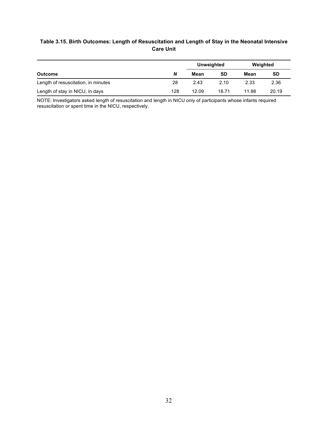# **Table 3.15. Birth Outcomes: Length of Resuscitation and Length of Stay in the Neonatal Intensive Care Unit**

|                                     |     |       | Unweighted | Weighted |           |
|-------------------------------------|-----|-------|------------|----------|-----------|
| <b>Outcome</b>                      | N   | Mean  | SD         | Mean     | <b>SD</b> |
| Length of resuscitation, in minutes | 28  | 2.43  | 2.10       | 2.33     | 2.36      |
| Length of stay in NICU, in days     | 128 | 12.09 | 18.71      | 11.98    | 20.19     |

NOTE: Investigators asked length of resuscitation and length in NICU only of participants whose infants required resuscitation or spent time in the NICU, respectively.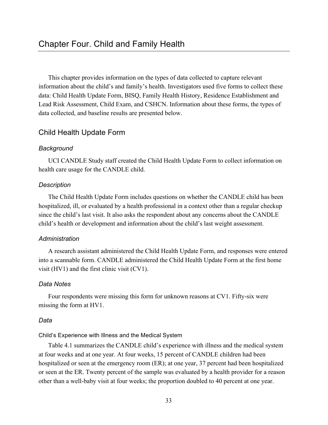This chapter provides information on the types of data collected to capture relevant information about the child's and family's health. Investigators used five forms to collect these data: Child Health Update Form, BISQ, Family Health History, Residence Establishment and Lead Risk Assessment, Child Exam, and CSHCN. Information about these forms, the types of data collected, and baseline results are presented below.

# Child Health Update Form

# *Background*

UCI CANDLE Study staff created the Child Health Update Form to collect information on health care usage for the CANDLE child.

# *Description*

The Child Health Update Form includes questions on whether the CANDLE child has been hospitalized, ill, or evaluated by a health professional in a context other than a regular checkup since the child's last visit. It also asks the respondent about any concerns about the CANDLE child's health or development and information about the child's last weight assessment.

# *Administration*

A research assistant administered the Child Health Update Form, and responses were entered into a scannable form. CANDLE administered the Child Health Update Form at the first home visit (HV1) and the first clinic visit (CV1).

# *Data Notes*

Four respondents were missing this form for unknown reasons at CV1. Fifty-six were missing the form at HV1.

# *Data*

# Child's Experience with Illness and the Medical System

Table 4.1 summarizes the CANDLE child's experience with illness and the medical system at four weeks and at one year. At four weeks, 15 percent of CANDLE children had been hospitalized or seen at the emergency room (ER); at one year, 37 percent had been hospitalized or seen at the ER. Twenty percent of the sample was evaluated by a health provider for a reason other than a well-baby visit at four weeks; the proportion doubled to 40 percent at one year.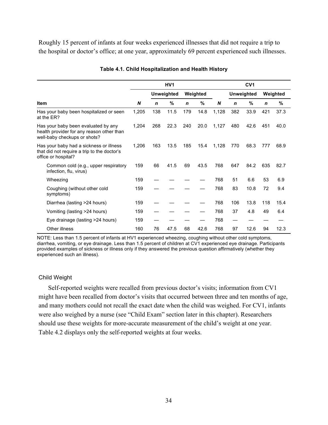Roughly 15 percent of infants at four weeks experienced illnesses that did not require a trip to the hospital or doctor's office; at one year, approximately 69 percent experienced such illnesses.

|                                                                                                                  | HV <sub>1</sub> |             |                   |             |          | CV <sub>1</sub> |             |                   |             |          |
|------------------------------------------------------------------------------------------------------------------|-----------------|-------------|-------------------|-------------|----------|-----------------|-------------|-------------------|-------------|----------|
|                                                                                                                  |                 |             | <b>Unweighted</b> |             | Weighted |                 |             | <b>Unweighted</b> |             | Weighted |
| <b>Item</b>                                                                                                      | N               | $\mathbf n$ | %                 | $\mathbf n$ | %        | N               | $\mathbf n$ | %                 | $\mathbf n$ | $\%$     |
| Has your baby been hospitalized or seen<br>at the ER?                                                            | 1,205           | 138         | 11.5              | 179         | 14.8     | 1,128           | 382         | 33.9              | 421         | 37.3     |
| Has your baby been evaluated by any<br>health provider for any reason other than<br>well-baby checkups or shots? | 1,204           | 268         | 22.3              | 240         | 20.0     | 1,127           | 480         | 42.6              | 451         | 40.0     |
| Has your baby had a sickness or illness<br>that did not require a trip to the doctor's<br>office or hospital?    | 1,206           | 163         | 13.5              | 185         | 15.4     | 1,128           | 770         | 68.3              | 777         | 68.9     |
| Common cold (e.g., upper respiratory<br>infection, flu, virus)                                                   | 159             | 66          | 41.5              | 69          | 43.5     | 768             | 647         | 84.2              | 635         | 82.7     |
| Wheezing                                                                                                         | 159             |             |                   |             |          | 768             | 51          | 6.6               | 53          | 6.9      |
| Coughing (without other cold<br>symptoms)                                                                        | 159             |             |                   |             |          | 768             | 83          | 10.8              | 72          | 9.4      |
| Diarrhea (lasting >24 hours)                                                                                     | 159             |             |                   |             |          | 768             | 106         | 13.8              | 118         | 15.4     |
| Vomiting (lasting >24 hours)                                                                                     | 159             |             |                   |             |          | 768             | 37          | 4.8               | 49          | 6.4      |
| Eye drainage (lasting >24 hours)                                                                                 | 159             |             |                   |             |          | 768             | —           |                   |             |          |
| Other illness                                                                                                    | 160             | 76          | 47.5              | 68          | 42.6     | 768             | 97          | 12.6              | 94          | 12.3     |

#### **Table 4.1. Child Hospitalization and Health History**

NOTE: Less than 1.5 percent of infants at HV1 experienced wheezing, coughing without other cold symptoms, diarrhea, vomiting, or eye drainage. Less than 1.5 percent of children at CV1 experienced eye drainage. Participants provided examples of sickness or illness only if they answered the previous question affirmatively (whether they experienced such an illness).

## Child Weight

Self-reported weights were recalled from previous doctor's visits; information from CV1 might have been recalled from doctor's visits that occurred between three and ten months of age, and many mothers could not recall the exact date when the child was weighed. For CV1, infants were also weighed by a nurse (see "Child Exam" section later in this chapter). Researchers should use these weights for more-accurate measurement of the child's weight at one year. Table 4.2 displays only the self-reported weights at four weeks.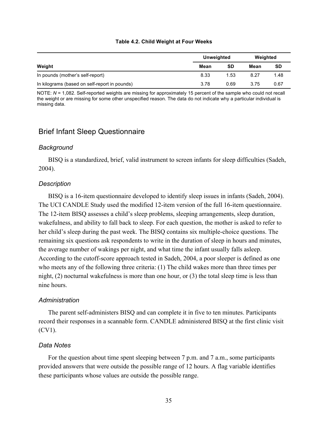|                                               | Unweighted |      | Weighted |           |  |
|-----------------------------------------------|------------|------|----------|-----------|--|
| Weight                                        | Mean       | SD   | Mean     | <b>SD</b> |  |
| In pounds (mother's self-report)              | 8.33       | 1.53 | 8.27     | 1.48      |  |
| In kilograms (based on self-report in pounds) | 3.78       | 0.69 | 3.75     | 0.67      |  |

#### **Table 4.2. Child Weight at Four Weeks**

NOTE: *N* = 1,082. Self-reported weights are missing for approximately 15 percent of the sample who could not recall the weight or are missing for some other unspecified reason. The data do not indicate why a particular individual is missing data.

# Brief Infant Sleep Questionnaire

# *Background*

BISQ is a standardized, brief, valid instrument to screen infants for sleep difficulties (Sadeh, 2004).

# *Description*

BISQ is a 16-item questionnaire developed to identify sleep issues in infants (Sadeh, 2004). The UCI CANDLE Study used the modified 12-item version of the full 16-item questionnaire. The 12-item BISQ assesses a child's sleep problems, sleeping arrangements, sleep duration, wakefulness, and ability to fall back to sleep. For each question, the mother is asked to refer to her child's sleep during the past week. The BISQ contains six multiple-choice questions. The remaining six questions ask respondents to write in the duration of sleep in hours and minutes, the average number of wakings per night, and what time the infant usually falls asleep. According to the cutoff-score approach tested in Sadeh, 2004, a poor sleeper is defined as one who meets any of the following three criteria: (1) The child wakes more than three times per night, (2) nocturnal wakefulness is more than one hour, or (3) the total sleep time is less than nine hours.

## *Administration*

The parent self-administers BISQ and can complete it in five to ten minutes. Participants record their responses in a scannable form. CANDLE administered BISQ at the first clinic visit (CV1).

## *Data Notes*

For the question about time spent sleeping between 7 p.m. and 7 a.m., some participants provided answers that were outside the possible range of 12 hours. A flag variable identifies these participants whose values are outside the possible range.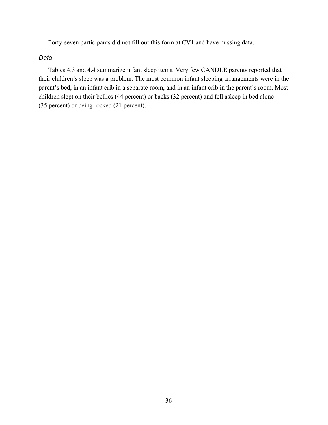Forty-seven participants did not fill out this form at CV1 and have missing data.

*Data*

Tables 4.3 and 4.4 summarize infant sleep items. Very few CANDLE parents reported that their children's sleep was a problem. The most common infant sleeping arrangements were in the parent's bed, in an infant crib in a separate room, and in an infant crib in the parent's room. Most children slept on their bellies (44 percent) or backs (32 percent) and fell asleep in bed alone (35 percent) or being rocked (21 percent).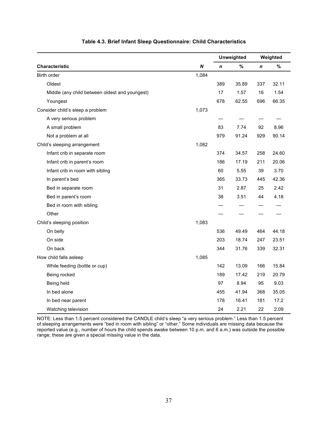|                                                |       |     | <b>Unweighted</b> |     | Weighted |  |
|------------------------------------------------|-------|-----|-------------------|-----|----------|--|
| Characteristic                                 | N     | n   | %                 | n   | %        |  |
| <b>Birth order</b>                             | 1,084 |     |                   |     |          |  |
| Oldest                                         |       | 389 | 35.89             | 337 | 32.11    |  |
| Middle (any child between oldest and youngest) |       | 17  | 1.57              | 16  | 1.54     |  |
| Youngest                                       |       | 678 | 62.55             | 696 | 66.35    |  |
| Consider child's sleep a problem               | 1,073 |     |                   |     |          |  |
| A very serious problem                         |       |     |                   |     |          |  |
| A small problem                                |       | 83  | 7.74              | 92  | 8.96     |  |
| Not a problem at all                           |       | 979 | 91.24             | 929 | 90.14    |  |
| Child's sleeping arrangement                   | 1,082 |     |                   |     |          |  |
| Infant crib in separate room                   |       | 374 | 34.57             | 258 | 24.60    |  |
| Infant crib in parent's room                   |       | 186 | 17.19             | 211 | 20.06    |  |
| Infant crib in room with sibling               |       | 60  | 5.55              | 39  | 3.70     |  |
| In parent's bed                                |       | 365 | 33.73             | 445 | 42.36    |  |
| Bed in separate room                           |       | 31  | 2.87              | 25  | 2.42     |  |
| Bed in parent's room                           |       | 38  | 3.51              | 44  | 4.18     |  |
| Bed in room with sibling                       |       |     |                   |     |          |  |
| Other                                          |       |     |                   |     |          |  |
| Child's sleeping position                      | 1,083 |     |                   |     |          |  |
| On belly                                       |       | 536 | 49.49             | 464 | 44.18    |  |
| On side                                        |       | 203 | 18.74             | 247 | 23.51    |  |
| On back                                        |       | 344 | 31.76             | 339 | 32.31    |  |
| How child falls asleep                         | 1,085 |     |                   |     |          |  |
| While feeding (bottle or cup)                  |       | 142 | 13.09             | 166 | 15.84    |  |
| Being rocked                                   |       | 189 | 17.42             | 219 | 20.79    |  |
| Being held                                     |       | 97  | 8.94              | 95  | 9.03     |  |
| In bed alone                                   |       | 455 | 41.94             | 368 | 35.05    |  |
| In bed near parent                             |       | 178 | 16.41             | 181 | 17.2     |  |
| Watching television                            |       | 24  | 2.21              | 22  | 2.09     |  |

### **Table 4.3. Brief Infant Sleep Questionnaire: Child Characteristics**

NOTE: Less than 1.5 percent considered the CANDLE child's sleep "a very serious problem." Less than 1.5 percent of sleeping arrangements were "bed in room with sibling" or "other." Some individuals are missing data because the reported value (e.g., number of hours the child spends awake between 10 p.m. and 6 a.m.) was outside the possible range; these are given a special missing value in the data.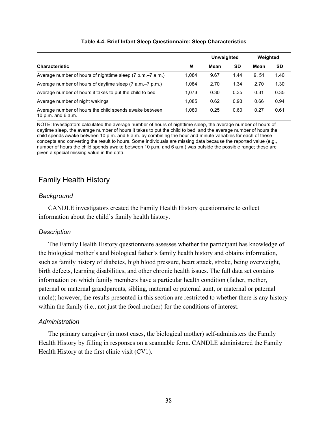|                                                                              |       | <b>Unweighted</b> |      | Weighted |           |
|------------------------------------------------------------------------------|-------|-------------------|------|----------|-----------|
| <b>Characteristic</b>                                                        | N     | Mean              | SD   | Mean     | <b>SD</b> |
| Average number of hours of nighttime sleep (7 p.m.–7 a.m.)                   | 1.084 | 9.67              | 1.44 | 9.51     | 1.40      |
| Average number of hours of daytime sleep (7 a.m.–7 p.m.)                     | 1.084 | 2.70              | 1.34 | 2.70     | 1.30      |
| Average number of hours it takes to put the child to bed                     | 1.073 | 0.30              | 0.35 | 0.31     | 0.35      |
| Average number of night wakings                                              | 1.085 | 0.62              | 0.93 | 0.66     | 0.94      |
| Average number of hours the child spends awake between<br>10 p.m. and 6 a.m. | 1.080 | 0.25              | 0.60 | 0.27     | 0.61      |

### **Table 4.4. Brief Infant Sleep Questionnaire: Sleep Characteristics**

NOTE: Investigators calculated the average number of hours of nighttime sleep, the average number of hours of daytime sleep, the average number of hours it takes to put the child to bed, and the average number of hours the child spends awake between 10 p.m. and 6 a.m. by combining the hour and minute variables for each of these concepts and converting the result to hours. Some individuals are missing data because the reported value (e.g., number of hours the child spends awake between 10 p.m. and 6 a.m.) was outside the possible range; these are given a special missing value in the data.

# Family Health History

# *Background*

CANDLE investigators created the Family Health History questionnaire to collect information about the child's family health history.

# *Description*

The Family Health History questionnaire assesses whether the participant has knowledge of the biological mother's and biological father's family health history and obtains information, such as family history of diabetes, high blood pressure, heart attack, stroke, being overweight, birth defects, learning disabilities, and other chronic health issues. The full data set contains information on which family members have a particular health condition (father, mother, paternal or maternal grandparents, sibling, maternal or paternal aunt, or maternal or paternal uncle); however, the results presented in this section are restricted to whether there is any history within the family (i.e., not just the focal mother) for the conditions of interest.

# *Administration*

The primary caregiver (in most cases, the biological mother) self-administers the Family Health History by filling in responses on a scannable form. CANDLE administered the Family Health History at the first clinic visit (CV1).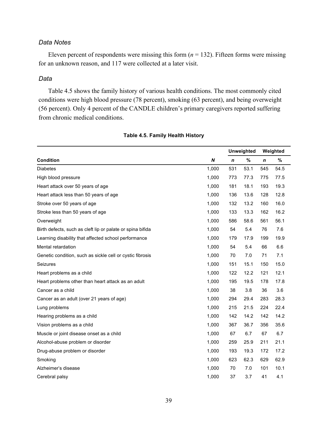# *Data Notes*

Eleven percent of respondents were missing this form  $(n = 132)$ . Fifteen forms were missing for an unknown reason, and 117 were collected at a later visit.

## *Data*

Table 4.5 shows the family history of various health conditions. The most commonly cited conditions were high blood pressure (78 percent), smoking (63 percent), and being overweight (56 percent). Only 4 percent of the CANDLE children's primary caregivers reported suffering from chronic medical conditions.

|                                                            |       |             | <b>Unweighted</b> | Weighted    |      |
|------------------------------------------------------------|-------|-------------|-------------------|-------------|------|
| <b>Condition</b>                                           | N     | $\mathbf n$ | $\%$              | $\mathbf n$ | %    |
| <b>Diabetes</b>                                            | 1,000 | 531         | 53.1              | 545         | 54.5 |
| High blood pressure                                        | 1,000 | 773         | 77.3              | 775         | 77.5 |
| Heart attack over 50 years of age                          | 1,000 | 181         | 18.1              | 193         | 19.3 |
| Heart attack less than 50 years of age                     | 1,000 | 136         | 13.6              | 128         | 12.8 |
| Stroke over 50 years of age                                | 1,000 | 132         | 13.2              | 160         | 16.0 |
| Stroke less than 50 years of age                           | 1,000 | 133         | 13.3              | 162         | 16.2 |
| Overweight                                                 | 1,000 | 586         | 58.6              | 561         | 56.1 |
| Birth defects, such as cleft lip or palate or spina bifida | 1,000 | 54          | 5.4               | 76          | 7.6  |
| Learning disability that affected school performance       | 1,000 | 179         | 17.9              | 199         | 19.9 |
| Mental retardation                                         | 1,000 | 54          | 5.4               | 66          | 6.6  |
| Genetic condition, such as sickle cell or cystic fibrosis  | 1,000 | 70          | 7.0               | 71          | 7.1  |
| Seizures                                                   | 1,000 | 151         | 15.1              | 150         | 15.0 |
| Heart problems as a child                                  | 1,000 | 122         | 12.2              | 121         | 12.1 |
| Heart problems other than heart attack as an adult         | 1,000 | 195         | 19.5              | 178         | 17.8 |
| Cancer as a child                                          | 1,000 | 38          | 3.8               | 36          | 3.6  |
| Cancer as an adult (over 21 years of age)                  | 1,000 | 294         | 29.4              | 283         | 28.3 |
| Lung problems                                              | 1,000 | 215         | 21.5              | 224         | 22.4 |
| Hearing problems as a child                                | 1,000 | 142         | 14.2              | 142         | 14.2 |
| Vision problems as a child                                 | 1,000 | 367         | 36.7              | 356         | 35.6 |
| Muscle or joint disease onset as a child                   | 1,000 | 67          | 6.7               | 67          | 6.7  |
| Alcohol-abuse problem or disorder                          | 1,000 | 259         | 25.9              | 211         | 21.1 |
| Drug-abuse problem or disorder                             | 1,000 | 193         | 19.3              | 172         | 17.2 |
| Smoking                                                    | 1,000 | 623         | 62.3              | 629         | 62.9 |
| Alzheimer's disease                                        | 1,000 | 70          | 7.0               | 101         | 10.1 |
| Cerebral palsy                                             | 1,000 | 37          | 3.7               | 41          | 4.1  |

#### **Table 4.5. Family Health History**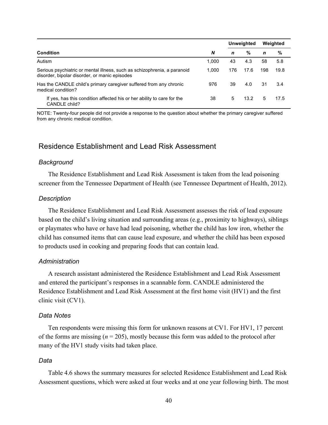|                                                                                                                           |       |     | <b>Unweighted</b> |     | Weighted |
|---------------------------------------------------------------------------------------------------------------------------|-------|-----|-------------------|-----|----------|
| <b>Condition</b>                                                                                                          | N     | n   | %                 | n   | %        |
| Autism                                                                                                                    | 1.000 | 43  | 4.3               | 58  | 5.8      |
| Serious psychiatric or mental illness, such as schizophrenia, a paranoid<br>disorder, bipolar disorder, or manic episodes | 1.000 | 176 | 17.6              | 198 | 19.8     |
| Has the CANDLE child's primary caregiver suffered from any chronic<br>medical condition?                                  | 976   | 39  | 4.0               | 31  | 3.4      |
| If yes, has this condition affected his or her ability to care for the<br>CANDLE child?                                   | 38    | 5   | 13.2              | 5   | 17.5     |

NOTE: Twenty-four people did not provide a response to the question about whether the primary caregiver suffered from any chronic medical condition.

# Residence Establishment and Lead Risk Assessment

### *Background*

The Residence Establishment and Lead Risk Assessment is taken from the lead poisoning screener from the Tennessee Department of Health (see Tennessee Department of Health, 2012).

#### *Description*

The Residence Establishment and Lead Risk Assessment assesses the risk of lead exposure based on the child's living situation and surrounding areas (e.g., proximity to highways), siblings or playmates who have or have had lead poisoning, whether the child has low iron, whether the child has consumed items that can cause lead exposure, and whether the child has been exposed to products used in cooking and preparing foods that can contain lead.

#### *Administration*

A research assistant administered the Residence Establishment and Lead Risk Assessment and entered the participant's responses in a scannable form. CANDLE administered the Residence Establishment and Lead Risk Assessment at the first home visit (HV1) and the first clinic visit (CV1).

#### *Data Notes*

Ten respondents were missing this form for unknown reasons at CV1. For HV1, 17 percent of the forms are missing  $(n = 205)$ , mostly because this form was added to the protocol after many of the HV1 study visits had taken place.

### *Data*

Table 4.6 shows the summary measures for selected Residence Establishment and Lead Risk Assessment questions, which were asked at four weeks and at one year following birth. The most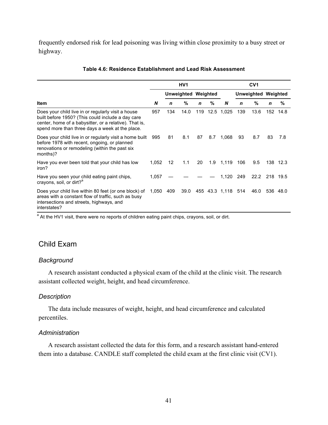frequently endorsed risk for lead poisoning was living within close proximity to a busy street or highway.

|                                                                                                                                                                                                                      |       | HV <sub>1</sub> |                            |             |      | CV <sub>1</sub>    |     |                            |             |          |
|----------------------------------------------------------------------------------------------------------------------------------------------------------------------------------------------------------------------|-------|-----------------|----------------------------|-------------|------|--------------------|-----|----------------------------|-------------|----------|
|                                                                                                                                                                                                                      |       |                 | <b>Unweighted Weighted</b> |             |      |                    |     | <b>Unweighted Weighted</b> |             |          |
| Item                                                                                                                                                                                                                 | N     | $\mathbf n$     | %                          | $\mathbf n$ | %    | N                  | n   | %                          | $\mathbf n$ | %        |
| Does your child live in or regularly visit a house<br>built before 1950? (This could include a day care<br>center, home of a babysitter, or a relative). That is,<br>spend more than three days a week at the place. | 957   | 134             | 14.0                       | 119         | 12.5 | 1,025              | 139 | 13.6                       |             | 152 14.8 |
| Does your child live in or regularly visit a home built<br>before 1978 with recent, ongoing, or planned<br>renovations or remodeling (within the past six<br>months)?                                                | 995   | 81              | 8.1                        | 87          | 8.7  | 1,068              | 93  | 8.7                        | 83          | 7.8      |
| Have you ever been told that your child has low<br>iron?                                                                                                                                                             | 1,052 | 12              | 1.1                        | 20          |      | 1.9 1,119          | 106 | 9.5                        |             | 138 12.3 |
| Have you seen your child eating paint chips,<br>crayons, soil, or dirt? <sup>a</sup>                                                                                                                                 | 1,057 |                 |                            |             |      | 1,120              | 249 | 22.2                       |             | 218 19.5 |
| Does your child live within 80 feet (or one block) of<br>areas with a constant flow of traffic, such as busy<br>intersections and streets, highways, and<br>interstates?                                             | 1,050 | 409             | 39.0                       |             |      | 455 43.3 1,118 514 |     | 46.0                       |             | 536 48.0 |

#### **Table 4.6: Residence Establishment and Lead Risk Assessment**

<sup>a</sup> At the HV1 visit, there were no reports of children eating paint chips, crayons, soil, or dirt.

# Child Exam

# *Background*

A research assistant conducted a physical exam of the child at the clinic visit. The research assistant collected weight, height, and head circumference.

## *Description*

The data include measures of weight, height, and head circumference and calculated percentiles.

## *Administration*

A research assistant collected the data for this form, and a research assistant hand-entered them into a database. CANDLE staff completed the child exam at the first clinic visit (CV1).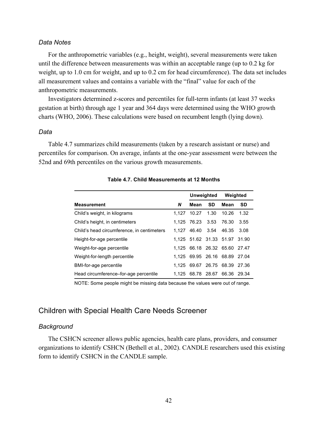## *Data Notes*

For the anthropometric variables (e.g., height, weight), several measurements were taken until the difference between measurements was within an acceptable range (up to 0.2 kg for weight, up to 1.0 cm for weight, and up to 0.2 cm for head circumference). The data set includes all measurement values and contains a variable with the "final" value for each of the anthropometric measurements.

Investigators determined z-scores and percentiles for full-term infants (at least 37 weeks gestation at birth) through age 1 year and 364 days were determined using the WHO growth charts (WHO, 2006). These calculations were based on recumbent length (lying down).

#### *Data*

Table 4.7 summarizes child measurements (taken by a research assistant or nurse) and percentiles for comparison. On average, infants at the one-year assessment were between the 52nd and 69th percentiles on the various growth measurements.

|                                            |       | Unweighted                    |           | Weighted |           |  |
|--------------------------------------------|-------|-------------------------------|-----------|----------|-----------|--|
| <b>Measurement</b>                         | N     | Mean                          | <b>SD</b> | Mean     | <b>SD</b> |  |
| Child's weight, in kilograms               |       | 1.127 10.27 1.30              |           | 10.26    | 1.32      |  |
| Child's height, in centimeters             |       | 1.125 76.23 3.53              |           | 76.30    | 3.55      |  |
| Child's head circumference, in centimeters |       | 1.127 46.40 3.54 46.35        |           |          | 3.08      |  |
| Height-for-age percentile                  |       | 1.125 51.62 31.33 51.97       |           |          | 31.90     |  |
| Weight-for-age percentile                  |       | 1.125 66.18 26.32 65.60       |           |          | 27.47     |  |
| Weight-for-length percentile               |       | 1.125 69.95 26.16 68.89 27.04 |           |          |           |  |
| BMI-for-age percentile                     | 1.125 | 69.67 26.75 68.39             |           |          | 27.36     |  |
| Head circumference–for-age percentile      |       | 1.125 68.78 28.67 66.36 29.34 |           |          |           |  |

**Table 4.7. Child Measurements at 12 Months**

NOTE: Some people might be missing data because the values were out of range.

# Children with Special Health Care Needs Screener

#### *Background*

The CSHCN screener allows public agencies, health care plans, providers, and consumer organizations to identify CSHCN (Bethell et al., 2002). CANDLE researchers used this existing form to identify CSHCN in the CANDLE sample.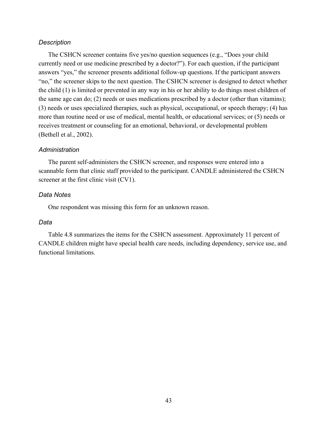# *Description*

The CSHCN screener contains five yes/no question sequences (e.g., "Does your child currently need or use medicine prescribed by a doctor?"). For each question, if the participant answers "yes," the screener presents additional follow-up questions. If the participant answers "no," the screener skips to the next question. The CSHCN screener is designed to detect whether the child (1) is limited or prevented in any way in his or her ability to do things most children of the same age can do; (2) needs or uses medications prescribed by a doctor (other than vitamins); (3) needs or uses specialized therapies, such as physical, occupational, or speech therapy; (4) has more than routine need or use of medical, mental health, or educational services; or (5) needs or receives treatment or counseling for an emotional, behavioral, or developmental problem (Bethell et al., 2002).

# *Administration*

The parent self-administers the CSHCN screener, and responses were entered into a scannable form that clinic staff provided to the participant. CANDLE administered the CSHCN screener at the first clinic visit (CV1).

# *Data Notes*

One respondent was missing this form for an unknown reason.

## *Data*

Table 4.8 summarizes the items for the CSHCN assessment. Approximately 11 percent of CANDLE children might have special health care needs, including dependency, service use, and functional limitations.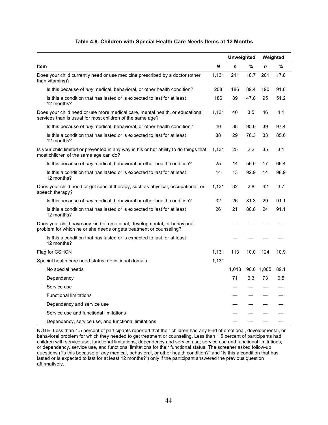|                                                                                                                                                |       |             | Unweighted |                  | Weighted |
|------------------------------------------------------------------------------------------------------------------------------------------------|-------|-------------|------------|------------------|----------|
| Item                                                                                                                                           | N     | $\mathbf n$ | %          | $\boldsymbol{n}$ | %        |
| Does your child currently need or use medicine prescribed by a doctor (other<br>than vitamins)?                                                | 1,131 | 211         | 18.7       | 201              | 17.8     |
| Is this because of any medical, behavioral, or other health condition?                                                                         | 208   | 186         | 89.4       | 190              | 91.6     |
| Is this a condition that has lasted or is expected to last for at least<br>12 months?                                                          | 186   | 89          | 47.8       | 95               | 51.2     |
| Does your child need or use more medical care, mental health, or educational<br>services than is usual for most children of the same age?      | 1,131 | 40          | 3.5        | 46               | 4.1      |
| Is this because of any medical, behavioral, or other health condition?                                                                         | 40    | 38          | 95.0       | 39               | 97.4     |
| Is this a condition that has lasted or is expected to last for at least<br>12 months?                                                          | 38    | 29          | 76.3       | 33               | 85.6     |
| Is your child limited or prevented in any way in his or her ability to do things that<br>most children of the same age can do?                 | 1.131 | 25          | 2.2        | 35               | 3.1      |
| Is this because of any medical, behavioral or other health condition?                                                                          | 25    | 14          | 56.0       | 17               | 69.4     |
| Is this a condition that has lasted or is expected to last for at least<br>12 months?                                                          | 14    | 13          | 92.9       | 14               | 98.9     |
| Does your child need or get special therapy, such as physical, occupational, or<br>speech therapy?                                             | 1,131 | 32          | 2.8        | 42               | 3.7      |
| Is this because of any medical, behavioral or other health condition?                                                                          | 32    | 26          | 81.3       | 29               | 91.1     |
| Is this a condition that has lasted or is expected to last for at least<br>12 months?                                                          | 26    | 21          | 80.8       | 24               | 91.1     |
| Does your child have any kind of emotional, developmental, or behavioral<br>problem for which he or she needs or gets treatment or counseling? |       |             |            |                  |          |
| Is this a condition that has lasted or is expected to last for at least<br>12 months?                                                          |       |             |            |                  |          |
| Flag for CSHCN                                                                                                                                 | 1,131 | 113         | 10.0       | 124              | 10.9     |
| Special health care need status: definitional domain                                                                                           | 1,131 |             |            |                  |          |
| No special needs                                                                                                                               |       | 1,018       |            | 90.0 1,005       | 89.1     |
| Dependency                                                                                                                                     |       | 71          | 6.3        | 73               | 6.5      |
| Service use                                                                                                                                    |       |             |            |                  |          |
| <b>Functional limitations</b>                                                                                                                  |       |             |            |                  |          |
| Dependency and service use                                                                                                                     |       |             |            |                  |          |
| Service use and functional limitations                                                                                                         |       |             |            |                  |          |
| Dependency, service use, and functional limitations                                                                                            |       |             |            |                  |          |

### **Table 4.8. Children with Special Health Care Needs Items at 12 Months**

NOTE: Less than 1.5 percent of participants reported that their children had any kind of emotional, developmental, or behavioral problem for which they needed to get treatment or counseling. Less than 1.5 percent of participants had children with service use; functional limitations; dependency and service use; service use and functional limitations; or dependency, service use, and functional limitations for their functional status. The screener asked follow-up questions ("Is this because of *any* medical, behavioral, or other health condition?" and "Is this a condition that has lasted or is expected to last for at least 12 months?") only if the participant answered the previous question affirmatively.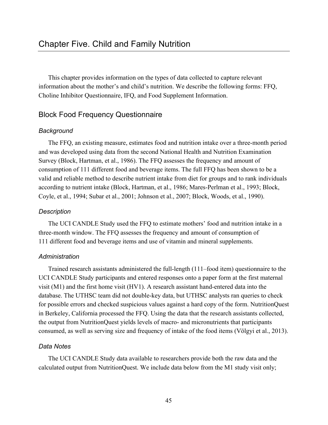This chapter provides information on the types of data collected to capture relevant information about the mother's and child's nutrition. We describe the following forms: FFQ, Choline Inhibitor Questionnaire, IFQ, and Food Supplement Information.

# Block Food Frequency Questionnaire

# *Background*

The FFQ, an existing measure, estimates food and nutrition intake over a three-month period and was developed using data from the second National Health and Nutrition Examination Survey (Block, Hartman, et al., 1986). The FFQ assesses the frequency and amount of consumption of 111 different food and beverage items. The full FFQ has been shown to be a valid and reliable method to describe nutrient intake from diet for groups and to rank individuals according to nutrient intake (Block, Hartman, et al., 1986; Mares-Perlman et al., 1993; Block, Coyle, et al., 1994; Subar et al., 2001; Johnson et al., 2007; Block, Woods, et al., 1990).

# *Description*

The UCI CANDLE Study used the FFQ to estimate mothers' food and nutrition intake in a three-month window. The FFQ assesses the frequency and amount of consumption of 111 different food and beverage items and use of vitamin and mineral supplements.

# *Administration*

Trained research assistants administered the full-length (111–food item) questionnaire to the UCI CANDLE Study participants and entered responses onto a paper form at the first maternal visit (M1) and the first home visit (HV1). A research assistant hand-entered data into the database. The UTHSC team did not double-key data, but UTHSC analysts ran queries to check for possible errors and checked suspicious values against a hard copy of the form. NutritionQuest in Berkeley, California processed the FFQ. Using the data that the research assistants collected, the output from NutritionQuest yields levels of macro- and micronutrients that participants consumed, as well as serving size and frequency of intake of the food items (Völgyi et al., 2013).

# *Data Notes*

The UCI CANDLE Study data available to researchers provide both the raw data and the calculated output from NutritionQuest. We include data below from the M1 study visit only;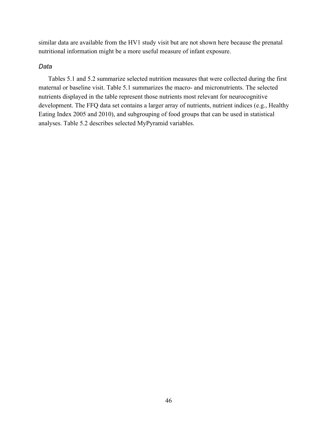similar data are available from the HV1 study visit but are not shown here because the prenatal nutritional information might be a more useful measure of infant exposure.

### *Data*

Tables 5.1 and 5.2 summarize selected nutrition measures that were collected during the first maternal or baseline visit. Table 5.1 summarizes the macro- and micronutrients. The selected nutrients displayed in the table represent those nutrients most relevant for neurocognitive development. The FFQ data set contains a larger array of nutrients, nutrient indices (e.g., Healthy Eating Index 2005 and 2010), and subgrouping of food groups that can be used in statistical analyses. Table 5.2 describes selected MyPyramid variables.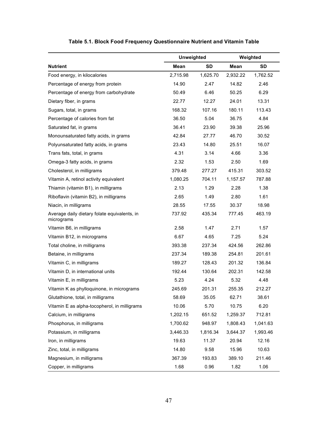|                                                            | <b>Unweighted</b> |          | Weighted |          |  |
|------------------------------------------------------------|-------------------|----------|----------|----------|--|
| <b>Nutrient</b>                                            | Mean              | SD       | Mean     | SD       |  |
| Food energy, in kilocalories                               | 2,715.98          | 1,625.70 | 2,932.22 | 1,762.52 |  |
| Percentage of energy from protein                          | 14.90             | 2.47     | 14.82    | 2.46     |  |
| Percentage of energy from carbohydrate                     | 50.49             | 6.46     | 50.25    | 6.29     |  |
| Dietary fiber, in grams                                    | 22.77             | 12.27    | 24.01    | 13.31    |  |
| Sugars, total, in grams                                    | 168.32            | 107.16   | 180.11   | 113.43   |  |
| Percentage of calories from fat                            | 36.50             | 5.04     | 36.75    | 4.84     |  |
| Saturated fat, in grams                                    | 36.41             | 23.90    | 39.38    | 25.96    |  |
| Monounsaturated fatty acids, in grams                      | 42.84             | 27.77    | 46.70    | 30.52    |  |
| Polyunsaturated fatty acids, in grams                      | 23.43             | 14.80    | 25.51    | 16.07    |  |
| Trans fats, total, in grams                                | 4.31              | 3.14     | 4.66     | 3.36     |  |
| Omega-3 fatty acids, in grams                              | 2.32              | 1.53     | 2.50     | 1.69     |  |
| Cholesterol, in milligrams                                 | 379.48            | 277.27   | 415.31   | 303.52   |  |
| Vitamin A, retinol activity equivalent                     | 1,080.25          | 704.11   | 1,157.57 | 787.88   |  |
| Thiamin (vitamin B1), in milligrams                        | 2.13              | 1.29     | 2.28     | 1.38     |  |
| Riboflavin (vitamin B2), in milligrams                     | 2.65              | 1.49     | 2.80     | 1.61     |  |
| Niacin, in milligrams                                      | 28.55             | 17.55    | 30.37    | 18.98    |  |
| Average daily dietary folate equivalents, in<br>micrograms | 737.92            | 435.34   | 777.45   | 463.19   |  |
| Vitamin B6, in milligrams                                  | 2.58              | 1.47     | 2.71     | 1.57     |  |
| Vitamin B12, in micrograms                                 | 6.67              | 4.65     | 7.25     | 5.24     |  |
| Total choline, in milligrams                               | 393.38            | 237.34   | 424.56   | 262.86   |  |
| Betaine, in milligrams                                     | 237.34            | 189.38   | 254.81   | 201.61   |  |
| Vitamin C, in milligrams                                   | 189.27            | 128.43   | 201.32   | 136.84   |  |
| Vitamin D, in international units                          | 192.44            | 130.64   | 202.31   | 142.58   |  |
| Vitamin E, in milligrams                                   | 5.23              | 4.24     | 5.32     | 4.48     |  |
| Vitamin K as phylloquinone, in micrograms                  | 245.69            | 201.31   | 255.35   | 212.27   |  |
| Glutathione, total, in milligrams                          | 58.69             | 35.05    | 62.71    | 38.61    |  |
| Vitamin E as alpha-tocopherol, in milligrams               | 10.06             | 5.70     | 10.75    | 6.20     |  |
| Calcium, in milligrams                                     | 1,202.15          | 651.52   | 1,259.37 | 712.81   |  |
| Phosphorus, in milligrams                                  | 1,700.62          | 948.97   | 1,808.43 | 1,041.63 |  |
| Potassium, in milligrams                                   | 3,446.33          | 1,816.34 | 3,644.37 | 1,993.46 |  |
| Iron, in milligrams                                        | 19.63             | 11.37    | 20.94    | 12.16    |  |
| Zinc, total, in milligrams                                 | 14.80             | 9.58     | 15.96    | 10.63    |  |
| Magnesium, in milligrams                                   | 367.39            | 193.83   | 389.10   | 211.46   |  |
| Copper, in milligrams                                      | 1.68              | 0.96     | 1.82     | 1.06     |  |

# **Table 5.1. Block Food Frequency Questionnaire Nutrient and Vitamin Table**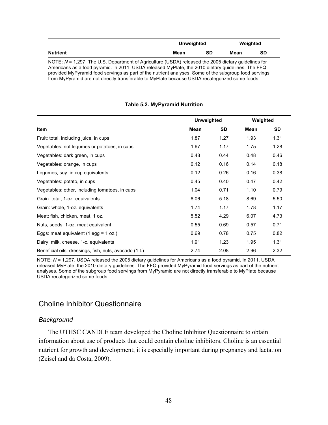|                                                                                                        | Unweighted |    | Weighted |    |  |  |  |  |
|--------------------------------------------------------------------------------------------------------|------------|----|----------|----|--|--|--|--|
| Nutrient                                                                                               | Mean       | SD | Mean     | SD |  |  |  |  |
| NOTE: $N = 1.297$ . The U.S. Department of Agriculture (USDA) released the 2005 dietary quidelines for |            |    |          |    |  |  |  |  |

Americans as a food pyramid. In 2011, USDA released MyPlate, the 2010 dietary guidelines. The FFQ provided MyPyramid food servings as part of the nutrient analyses. Some of the subgroup food servings from MyPyramid are not directly transferable to MyPlate because USDA recategorized some foods.

### **Table 5.2. MyPyramid Nutrition**

|                                                        | <b>Unweighted</b> | Weighted |      |      |
|--------------------------------------------------------|-------------------|----------|------|------|
| Item                                                   | Mean              | SD       | Mean | SD   |
| Fruit: total, including juice, in cups                 | 1.87              | 1.27     | 1.93 | 1.31 |
| Vegetables: not legumes or potatoes, in cups           | 1.67              | 1.17     | 1.75 | 1.28 |
| Vegetables: dark green, in cups                        | 0.48              | 0.44     | 0.48 | 0.46 |
| Vegetables: orange, in cups                            | 0.12              | 0.16     | 0.14 | 0.18 |
| Legumes, soy: in cup equivalents                       | 0.12              | 0.26     | 0.16 | 0.38 |
| Vegetables: potato, in cups                            | 0.45              | 0.40     | 0.47 | 0.42 |
| Vegetables: other, including tomatoes, in cups         | 1.04              | 0.71     | 1.10 | 0.79 |
| Grain: total, 1-oz. equivalents                        | 8.06              | 5.18     | 8.69 | 5.50 |
| Grain: whole, 1-oz. equivalents                        | 1.74              | 1.17     | 1.78 | 1.17 |
| Meat: fish, chicken, meat, 1 oz.                       | 5.52              | 4.29     | 6.07 | 4.73 |
| Nuts, seeds: 1-oz. meat equivalent                     | 0.55              | 0.69     | 0.57 | 0.71 |
| Eggs: meat equivalent (1 egg = 1 oz.)                  | 0.69              | 0.78     | 0.75 | 0.82 |
| Dairy: milk, cheese, 1-c. equivalents                  | 1.91              | 1.23     | 1.95 | 1.31 |
| Beneficial oils: dressings, fish, nuts, avocado (1 t.) | 2.74              | 2.08     | 2.96 | 2.32 |

NOTE: *N* = 1,297. USDA released the 2005 dietary guidelines for Americans as a food pyramid. In 2011, USDA released MyPlate, the 2010 dietary guidelines. The FFQ provided MyPyramid food servings as part of the nutrient analyses. Some of the subgroup food servings from MyPyramid are not directly transferable to MyPlate because USDA recategorized some foods.

# Choline Inhibitor Questionnaire

### *Background*

The UTHSC CANDLE team developed the Choline Inhibitor Questionnaire to obtain information about use of products that could contain choline inhibitors. Choline is an essential nutrient for growth and development; it is especially important during pregnancy and lactation (Zeisel and da Costa, 2009).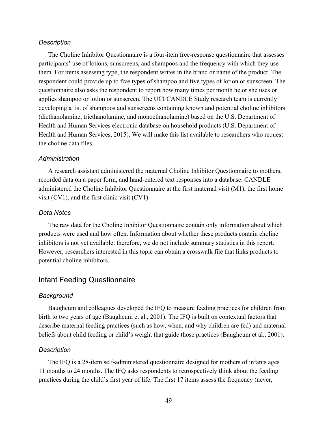#### *Description*

The Choline Inhibitor Questionnaire is a four-item free-response questionnaire that assesses participants' use of lotions, sunscreens, and shampoos and the frequency with which they use them. For items assessing type, the respondent writes in the brand or name of the product. The respondent could provide up to five types of shampoo and five types of lotion or sunscreen. The questionnaire also asks the respondent to report how many times per month he or she uses or applies shampoo or lotion or sunscreen. The UCI CANDLE Study research team is currently developing a list of shampoos and sunscreens containing known and potential choline inhibitors (diethanolamine, triethanolamine, and monoethanolamine) based on the U.S. Department of Health and Human Services electronic database on household products (U.S. Department of Health and Human Services, 2015). We will make this list available to researchers who request the choline data files.

#### *Administration*

A research assistant administered the maternal Choline Inhibitor Questionnaire to mothers, recorded data on a paper form, and hand-entered text responses into a database. CANDLE administered the Choline Inhibitor Questionnaire at the first maternal visit (M1), the first home visit (CV1), and the first clinic visit (CV1).

### *Data Notes*

The raw data for the Choline Inhibitor Questionnaire contain only information about which products were used and how often. Information about whether these products contain choline inhibitors is not yet available; therefore, we do not include summary statistics in this report. However, researchers interested in this topic can obtain a crosswalk file that links products to potential choline inhibitors.

# Infant Feeding Questionnaire

### *Background*

Baughcum and colleagues developed the IFQ to measure feeding practices for children from birth to two years of age (Baughcum et al., 2001). The IFQ is built on contextual factors that describe maternal feeding practices (such as how, when, and why children are fed) and maternal beliefs about child feeding or child's weight that guide those practices (Baughcum et al., 2001).

#### *Description*

The IFQ is a 28-item self-administered questionnaire designed for mothers of infants ages 11 months to 24 months. The IFQ asks respondents to retrospectively think about the feeding practices during the child's first year of life. The first 17 items assess the frequency (never,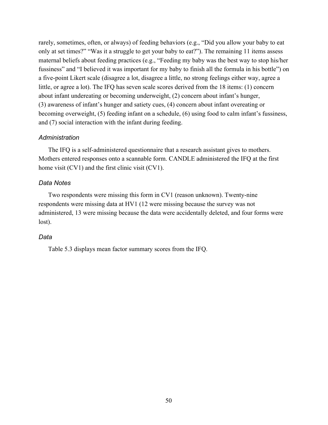rarely, sometimes, often, or always) of feeding behaviors (e.g., "Did you allow your baby to eat only at set times?" "Was it a struggle to get your baby to eat?"). The remaining 11 items assess maternal beliefs about feeding practices (e.g., "Feeding my baby was the best way to stop his/her fussiness" and "I believed it was important for my baby to finish all the formula in his bottle") on a five-point Likert scale (disagree a lot, disagree a little, no strong feelings either way, agree a little, or agree a lot). The IFQ has seven scale scores derived from the 18 items: (1) concern about infant undereating or becoming underweight, (2) concern about infant's hunger, (3) awareness of infant's hunger and satiety cues, (4) concern about infant overeating or becoming overweight, (5) feeding infant on a schedule, (6) using food to calm infant's fussiness, and (7) social interaction with the infant during feeding.

### *Administration*

The IFQ is a self-administered questionnaire that a research assistant gives to mothers. Mothers entered responses onto a scannable form. CANDLE administered the IFQ at the first home visit (CV1) and the first clinic visit (CV1).

### *Data Notes*

Two respondents were missing this form in CV1 (reason unknown). Twenty-nine respondents were missing data at HV1 (12 were missing because the survey was not administered, 13 were missing because the data were accidentally deleted, and four forms were lost).

### *Data*

Table 5.3 displays mean factor summary scores from the IFQ.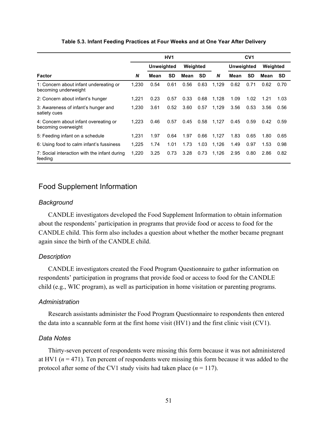|                                                                | HV <sub>1</sub><br>Weighted<br><b>Unweighted</b><br><b>SD</b><br><b>SD</b><br>N<br>Mean<br>Mean<br>0.54<br>0.61<br>0.56<br>1.230<br>1,221<br>0.23<br>0.33<br>0.57 |      |      |      | CV <sub>1</sub> |       |                   |           |          |           |
|----------------------------------------------------------------|-------------------------------------------------------------------------------------------------------------------------------------------------------------------|------|------|------|-----------------|-------|-------------------|-----------|----------|-----------|
|                                                                |                                                                                                                                                                   |      |      |      |                 |       | <b>Unweighted</b> |           | Weighted |           |
| Factor                                                         |                                                                                                                                                                   |      |      |      |                 | N     | Mean              | <b>SD</b> | Mean     | <b>SD</b> |
| 1: Concern about infant undereating or<br>becoming underweight |                                                                                                                                                                   |      |      |      | 0.63            | 1,129 | 0.62              | 0.71      | 0.62     | 0.70      |
| 2: Concern about infant's hunger                               |                                                                                                                                                                   |      |      |      | 0.68            | 1,128 | 1.09              | 1.02      | 1.21     | 1.03      |
| 3: Awareness of infant's hunger and<br>satiety cues            | 1,230                                                                                                                                                             | 3.61 | 0.52 | 3.60 | 0.57            | 1,129 | 3.56              | 0.53      | 3.56     | 0.56      |
| 4: Concern about infant overeating or<br>becoming overweight   | 1.223                                                                                                                                                             | 0.46 | 0.57 | 0.45 | 0.58            | 1,127 | 0.45              | 0.59      | 0.42     | 0.59      |
| 5: Feeding infant on a schedule                                | 1.231                                                                                                                                                             | 1.97 | 0.64 | 1.97 | 0.66            | 1,127 | 1.83              | 0.65      | 1.80     | 0.65      |
| 6: Using food to calm infant's fussiness                       | 1,225                                                                                                                                                             | 1.74 | 1.01 | 1.73 | 1.03            | 1,126 | 1.49              | 0.97      | 1.53     | 0.98      |
| 7: Social interaction with the infant during<br>feeding        | 1,220                                                                                                                                                             | 3.25 | 0.73 | 3.28 | 0.73            | 1,126 | 2.95              | 0.80      | 2.86     | 0.82      |

### **Table 5.3. Infant Feeding Practices at Four Weeks and at One Year After Delivery**

# Food Supplement Information

## *Background*

CANDLE investigators developed the Food Supplement Information to obtain information about the respondents' participation in programs that provide food or access to food for the CANDLE child. This form also includes a question about whether the mother became pregnant again since the birth of the CANDLE child.

## *Description*

CANDLE investigators created the Food Program Questionnaire to gather information on respondents' participation in programs that provide food or access to food for the CANDLE child (e.g., WIC program), as well as participation in home visitation or parenting programs.

### *Administration*

Research assistants administer the Food Program Questionnaire to respondents then entered the data into a scannable form at the first home visit (HV1) and the first clinic visit (CV1).

### *Data Notes*

Thirty-seven percent of respondents were missing this form because it was not administered at HV1 ( $n = 471$ ). Ten percent of respondents were missing this form because it was added to the protocol after some of the CV1 study visits had taken place  $(n = 117)$ .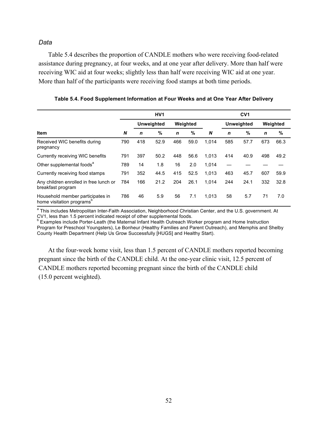# *Data*

Table 5.4 describes the proportion of CANDLE mothers who were receiving food-related assistance during pregnancy, at four weeks, and at one year after delivery. More than half were receiving WIC aid at four weeks; slightly less than half were receiving WIC aid at one year. More than half of the participants were receiving food stamps at both time periods.

|                                                                           | HV <sub>1</sub> |                   |      |             |      | CV <sub>1</sub> |                   |      |             |      |
|---------------------------------------------------------------------------|-----------------|-------------------|------|-------------|------|-----------------|-------------------|------|-------------|------|
| <b>Item</b>                                                               |                 | <b>Unweighted</b> |      | Weighted    |      |                 | <b>Unweighted</b> |      | Weighted    |      |
|                                                                           | N               | n                 | $\%$ | $\mathbf n$ | $\%$ | N               | $\mathbf n$       | %    | $\mathbf n$ | %    |
| Received WIC benefits during<br>pregnancy                                 | 790             | 418               | 52.9 | 466         | 59.0 | 1.014           | 585               | 57.7 | 673         | 66.3 |
| Currently receiving WIC benefits                                          | 791             | 397               | 50.2 | 448         | 56.6 | 1,013           | 414               | 40.9 | 498         | 49.2 |
| Other supplemental foods <sup>"</sup>                                     | 789             | 14                | 1.8  | 16          | 2.0  | 1,014           |                   |      |             |      |
| Currently receiving food stamps                                           | 791             | 352               | 44.5 | 415         | 52.5 | 1,013           | 463               | 45.7 | 607         | 59.9 |
| Any children enrolled in free lunch or<br>breakfast program               | 784             | 166               | 21.2 | 204         | 26.1 | 1.014           | 244               | 24.1 | 332         | 32.8 |
| Household member participates in<br>home visitation programs <sup>o</sup> | 786             | 46                | 5.9  | 56          | 7.1  | 1,013           | 58                | 5.7  | 71          | 7.0  |

**Table 5.4. Food Supplement Information at Four Weeks and at One Year After Delivery**

<sup>a</sup> This includes Metropolitan Inter-Faith Association, Neighborhood Christian Center, and the U.S. government. At<br>CV1, less than 1.5 percent indicated receipt of other supplemental foods.

<sup>b</sup> Examples include Porter-Leath (the Maternal Infant Health Outreach Worker program and Home Instruction Program for Preschool Youngsters), Le Bonheur (Healthy Families and Parent Outreach), and Memphis and Shelby County Health Department (Help Us Grow Successfully [HUGS] and Healthy Start).

At the four-week home visit, less than 1.5 percent of CANDLE mothers reported becoming pregnant since the birth of the CANDLE child. At the one-year clinic visit, 12.5 percent of CANDLE mothers reported becoming pregnant since the birth of the CANDLE child (15.0 percent weighted).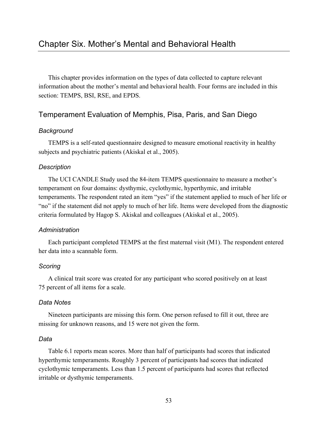This chapter provides information on the types of data collected to capture relevant information about the mother's mental and behavioral health. Four forms are included in this section: TEMPS, BSI, RSE, and EPDS.

## Temperament Evaluation of Memphis, Pisa, Paris, and San Diego

## *Background*

TEMPS is a self-rated questionnaire designed to measure emotional reactivity in healthy subjects and psychiatric patients (Akiskal et al., 2005).

## *Description*

The UCI CANDLE Study used the 84-item TEMPS questionnaire to measure a mother's temperament on four domains: dysthymic, cyclothymic, hyperthymic, and irritable temperaments. The respondent rated an item "yes" if the statement applied to much of her life or "no" if the statement did not apply to much of her life. Items were developed from the diagnostic criteria formulated by Hagop S. Akiskal and colleagues (Akiskal et al., 2005).

## *Administration*

Each participant completed TEMPS at the first maternal visit (M1). The respondent entered her data into a scannable form.

## *Scoring*

A clinical trait score was created for any participant who scored positively on at least 75 percent of all items for a scale.

### *Data Notes*

Nineteen participants are missing this form. One person refused to fill it out, three are missing for unknown reasons, and 15 were not given the form.

## *Data*

Table 6.1 reports mean scores. More than half of participants had scores that indicated hyperthymic temperaments. Roughly 3 percent of participants had scores that indicated cyclothymic temperaments. Less than 1.5 percent of participants had scores that reflected irritable or dysthymic temperaments.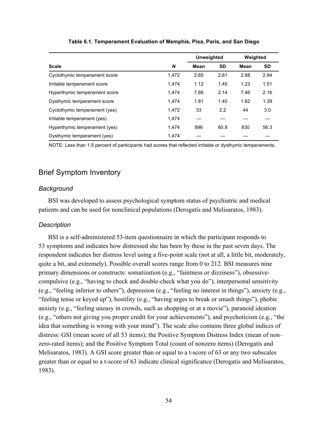|                               |       | <b>Unweighted</b> |           | Weighted |      |
|-------------------------------|-------|-------------------|-----------|----------|------|
| <b>Scale</b>                  | N     | Mean              | <b>SD</b> | Mean     | SD.  |
| Cyclothymic temperament score | 1.472 | 2.65              | 2.81      | 2.88     | 2.94 |
| Irritable temperament score   | 1.474 | 1.12              | 1.45      | 1.23     | 1.51 |
| Hyperthymic temperament score | 1.474 | 7.66              | 2.14      | 7.46     | 2.16 |
| Dysthymic temperament score   | 1.474 | 1.81              | 1.40      | 1.82     | 1.39 |
| Cyclothymic temperament (yes) | 1.472 | 33                | 2.2       | 44       | 3.0  |
| Irritable temperament (yes)   | 1.474 |                   |           |          |      |
| Hyperthymic temperament (yes) | 1.474 | 896               | 60.8      | 830      | 56.3 |
| Dysthymic temperament (yes)   | 1.474 |                   |           |          |      |

**Table 6.1. Temperament Evaluation of Memphis, Pisa, Paris, and San Diego**

NOTE: Less than 1.5 percent of participants had scores that reflected irritable or dysthymic temperaments.

## Brief Symptom Inventory

### *Background*

BSI was developed to assess psychological symptom status of psychiatric and medical patients and can be used for nonclinical populations (Derogatis and Melisaratos, 1983).

### *Description*

BSI is a self-administered 53-item questionnaire in which the participant responds to 53 symptoms and indicates how distressed she has been by these in the past seven days. The respondent indicates her distress level using a five-point scale (not at all, a little bit, moderately, quite a bit, and extremely). Possible overall scores range from 0 to 212. BSI measures nine primary dimensions or constructs: somatization (e.g., "faintness or dizziness"), obsessivecompulsive (e.g., "having to check and double-check what you do"), interpersonal sensitivity (e.g., "feeling inferior to others"), depression (e.g., "feeling no interest in things"), anxiety (e.g., "feeling tense or keyed up"), hostility (e.g., "having urges to break or smash things"), phobic anxiety (e.g., "feeling uneasy in crowds, such as shopping or at a movie"), paranoid ideation (e.g., "others not giving you proper credit for your achievements"), and psychoticism (e.g., "the idea that something is wrong with your mind"). The scale also contains three global indices of distress: GSI (mean score of all 53 items); the Positive Symptom Distress Index (mean of non– zero-rated items); and the Positive Symptom Total (count of nonzero items) (Derogatis and Melisaratos, 1983). A GSI score greater than or equal to a t-score of 63 or any two subscales greater than or equal to a t-score of 63 indicate clinical significance (Derogatis and Melisaratos, 1983).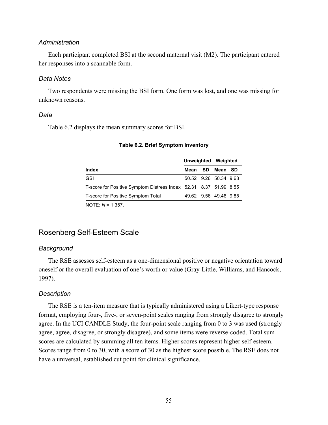#### *Administration*

Each participant completed BSI at the second maternal visit (M2). The participant entered her responses into a scannable form.

#### *Data Notes*

Two respondents were missing the BSI form. One form was lost, and one was missing for unknown reasons.

#### *Data*

Table 6.2 displays the mean summary scores for BSI.

|                                                                   |  | Unweighted Weighted |                       |  |
|-------------------------------------------------------------------|--|---------------------|-----------------------|--|
| <b>Index</b>                                                      |  |                     | Mean SD Mean SD       |  |
| <b>GSI</b>                                                        |  |                     | 50.52 9.26 50.34 9.63 |  |
| T-score for Positive Symptom Distress Index 52.31 8.37 51.99 8.55 |  |                     |                       |  |
| T-score for Positive Symptom Total                                |  |                     | 49.62 9.56 49.46 9.85 |  |
| $N\cap T\Gamma$ . $N = 4.257$                                     |  |                     |                       |  |

#### **Table 6.2. Brief Symptom Inventory**

NOTE: *N* = 1,357.

## Rosenberg Self-Esteem Scale

#### *Background*

The RSE assesses self-esteem as a one-dimensional positive or negative orientation toward oneself or the overall evaluation of one's worth or value (Gray-Little, Williams, and Hancock, 1997).

#### *Description*

The RSE is a ten-item measure that is typically administered using a Likert-type response format, employing four-, five-, or seven-point scales ranging from strongly disagree to strongly agree. In the UCI CANDLE Study, the four-point scale ranging from 0 to 3 was used (strongly agree, agree, disagree, or strongly disagree), and some items were reverse-coded. Total sum scores are calculated by summing all ten items. Higher scores represent higher self-esteem. Scores range from 0 to 30, with a score of 30 as the highest score possible. The RSE does not have a universal, established cut point for clinical significance.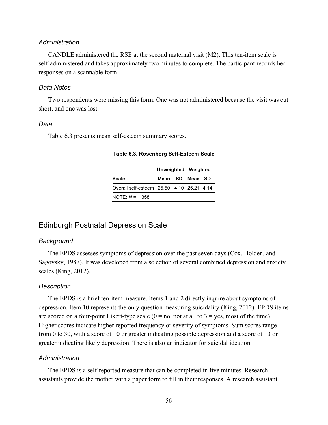#### *Administration*

CANDLE administered the RSE at the second maternal visit (M2). This ten-item scale is self-administered and takes approximately two minutes to complete. The participant records her responses on a scannable form.

#### *Data Notes*

Two respondents were missing this form. One was not administered because the visit was cut short, and one was lost.

#### *Data*

Table 6.3 presents mean self-esteem summary scores.

|                                           |  | Unweighted Weighted |  |  |
|-------------------------------------------|--|---------------------|--|--|
| <b>Scale</b>                              |  | Mean SD Mean SD     |  |  |
| Overall self-esteem 25.50 4.10 25.21 4.14 |  |                     |  |  |
| NOTE: $N = 1,358$ .                       |  |                     |  |  |

**Table 6.3. Rosenberg Self-Esteem Scale**

#### Edinburgh Postnatal Depression Scale

#### *Background*

The EPDS assesses symptoms of depression over the past seven days (Cox, Holden, and Sagovsky, 1987). It was developed from a selection of several combined depression and anxiety scales (King, 2012).

#### *Description*

The EPDS is a brief ten-item measure. Items 1 and 2 directly inquire about symptoms of depression. Item 10 represents the only question measuring suicidality (King, 2012). EPDS items are scored on a four-point Likert-type scale  $(0 = no, not at all to 3 = yes, most of the time)$ . Higher scores indicate higher reported frequency or severity of symptoms. Sum scores range from 0 to 30, with a score of 10 or greater indicating possible depression and a score of 13 or greater indicating likely depression. There is also an indicator for suicidal ideation.

#### *Administration*

The EPDS is a self-reported measure that can be completed in five minutes. Research assistants provide the mother with a paper form to fill in their responses. A research assistant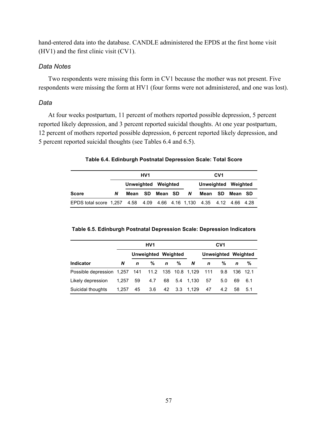hand-entered data into the database. CANDLE administered the EPDS at the first home visit (HV1) and the first clinic visit (CV1).

#### *Data Notes*

Two respondents were missing this form in CV1 because the mother was not present. Five respondents were missing the form at HV1 (four forms were not administered, and one was lost).

#### *Data*

At four weeks postpartum, 11 percent of mothers reported possible depression, 5 percent reported likely depression, and 3 percent reported suicidal thoughts. At one year postpartum, 12 percent of mothers reported possible depression, 6 percent reported likely depression, and 5 percent reported suicidal thoughts (see Tables 6.4 and 6.5).

| Table 6.4. Edinburgh Postnatal Depression Scale: Total Score |  |
|--------------------------------------------------------------|--|
|                                                              |  |

|                                                                      |   |                     | HV <sub>1</sub> |  |          |         | CV <sub>1</sub> |                     |  |
|----------------------------------------------------------------------|---|---------------------|-----------------|--|----------|---------|-----------------|---------------------|--|
|                                                                      |   | Unweighted Weighted |                 |  |          |         |                 | Unweighted Weighted |  |
| <b>Score</b>                                                         | N | Mean SD Mean SD     |                 |  | <b>N</b> | Mean SD |                 | Mean SD             |  |
| EPDS total score 1,257 4.58 4.09 4.66 4.16 1,130 4.35 4.12 4.66 4.28 |   |                     |                 |  |          |         |                 |                     |  |

#### **Table 6.5. Edinburgh Postnatal Depression Scale: Depression Indicators**

|                                                       |       |                     | HV <sub>1</sub> |             |   |              |                            | CV <sub>1</sub> |          |     |
|-------------------------------------------------------|-------|---------------------|-----------------|-------------|---|--------------|----------------------------|-----------------|----------|-----|
|                                                       |       | Unweighted Weighted |                 |             |   |              | <b>Unweighted Weighted</b> |                 |          |     |
| <b>Indicator</b>                                      | N     | n                   | %               | $\mathbf n$ | % | N            | $\mathbf{n}$               | %               | n        | %   |
| Possible depression 1,257 141 11.2 135 10.8 1,129 111 |       |                     |                 |             |   |              |                            | 9.8             | 136 12.1 |     |
| Likely depression                                     | 1.257 | 59                  | 4.7             | 68          |   | 5.4 1.130    | 57                         | 5.0             | 69       | 6.1 |
| Suicidal thoughts                                     | 1.257 | 45                  | 3.6             |             |   | 42 3.3 1.129 | 47                         | 4.2             | 58       | 5.1 |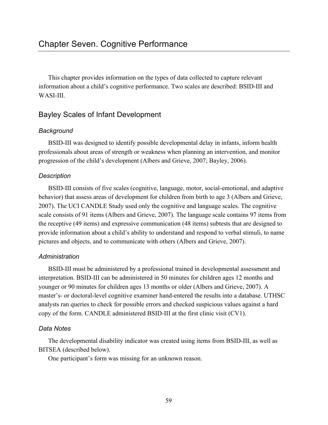This chapter provides information on the types of data collected to capture relevant information about a child's cognitive performance. Two scales are described: BSID-III and WASI-III

## Bayley Scales of Infant Development

### *Background*

BSID-III was designed to identify possible developmental delay in infants, inform health professionals about areas of strength or weakness when planning an intervention, and monitor progression of the child's development (Albers and Grieve, 2007; Bayley, 2006).

### *Description*

BSID-III consists of five scales (cognitive, language, motor, social-emotional, and adaptive behavior) that assess areas of development for children from birth to age 3 (Albers and Grieve, 2007). The UCI CANDLE Study used only the cognitive and language scales. The cognitive scale consists of 91 items (Albers and Grieve, 2007). The language scale contains 97 items from the receptive (49 items) and expressive communication (48 items) subtests that are designed to provide information about a child's ability to understand and respond to verbal stimuli, to name pictures and objects, and to communicate with others (Albers and Grieve, 2007).

#### *Administration*

BSID-III must be administered by a professional trained in developmental assessment and interpretation. BSID-III can be administered in 50 minutes for children ages 12 months and younger or 90 minutes for children ages 13 months or older (Albers and Grieve, 2007). A master's- or doctoral-level cognitive examiner hand-entered the results into a database. UTHSC analysts ran queries to check for possible errors and checked suspicious values against a hard copy of the form. CANDLE administered BSID-III at the first clinic visit (CV1).

#### *Data Notes*

The developmental disability indicator was created using items from BSID-III, as well as BITSEA (described below).

One participant's form was missing for an unknown reason.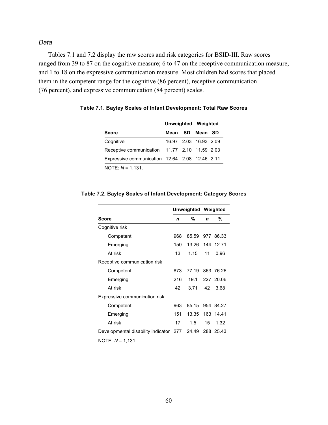Tables 7.1 and 7.2 display the raw scores and risk categories for BSID-III. Raw scores ranged from 39 to 87 on the cognitive measure; 6 to 47 on the receptive communication measure, and 1 to 18 on the expressive communication measure. Most children had scores that placed them in the competent range for the cognitive (86 percent), receptive communication (76 percent), and expressive communication (84 percent) scales.

|                                                |  | Unweighted Weighted   |  |  |  |
|------------------------------------------------|--|-----------------------|--|--|--|
| <b>Score</b>                                   |  | Mean SD Mean SD       |  |  |  |
| Cognitive                                      |  | 16.97 2.03 16.93 2.09 |  |  |  |
| Receptive communication 11.77 2.10 11.59 2.03  |  |                       |  |  |  |
| Expressive communication 12.64 2.08 12.46 2.11 |  |                       |  |  |  |
| NOTE: $N = 1,131$ .                            |  |                       |  |  |  |

**Table 7.1. Bayley Scales of Infant Development: Total Raw Scores**

|                               |     | <b>Unweighted Weighted</b> |             |           |
|-------------------------------|-----|----------------------------|-------------|-----------|
| <b>Score</b>                  | n   | %                          | $\mathbf n$ | %         |
| Cognitive risk                |     |                            |             |           |
| Competent                     | 968 | 85.59 977 86.33            |             |           |
| Emerging                      | 150 | 13.26                      |             | 144 12.71 |
| At risk                       | 13  | 1.15                       | 11          | 0.96      |
| Receptive communication risk  |     |                            |             |           |
| Competent                     | 873 | 77.19 863 76.26            |             |           |
| Emerging                      | 216 | 19.1                       |             | 227 20.06 |
| At risk                       | 42  | 3.71                       | 42          | 3.68      |
| Expressive communication risk |     |                            |             |           |
| Competent                     | 963 | 85.15 954 84.27            |             |           |
| Emerging                      | 151 | 13.35                      |             | 163 14.41 |

At risk 17 1.5 15 1.32 Developmental disability indicator 277 24.49 288 25.43

#### **Table 7.2. Bayley Scales of Infant Development: Category Scores**

NOTE: *N* = 1,131.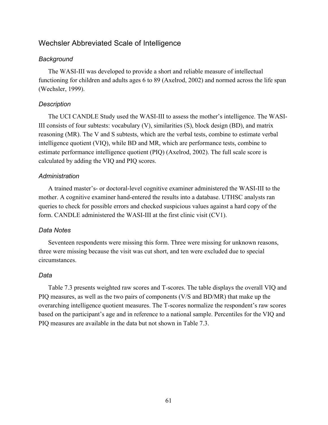## Wechsler Abbreviated Scale of Intelligence

#### *Background*

The WASI-III was developed to provide a short and reliable measure of intellectual functioning for children and adults ages 6 to 89 (Axelrod, 2002) and normed across the life span (Wechsler, 1999).

#### *Description*

The UCI CANDLE Study used the WASI-III to assess the mother's intelligence. The WASI-III consists of four subtests: vocabulary  $(V)$ , similarities  $(S)$ , block design  $(BD)$ , and matrix reasoning (MR). The V and S subtests, which are the verbal tests, combine to estimate verbal intelligence quotient (VIQ), while BD and MR, which are performance tests, combine to estimate performance intelligence quotient (PIQ) (Axelrod, 2002). The full scale score is calculated by adding the VIQ and PIQ scores.

#### *Administration*

A trained master's- or doctoral-level cognitive examiner administered the WASI-III to the mother. A cognitive examiner hand-entered the results into a database. UTHSC analysts ran queries to check for possible errors and checked suspicious values against a hard copy of the form. CANDLE administered the WASI-III at the first clinic visit (CV1).

#### *Data Notes*

Seventeen respondents were missing this form. Three were missing for unknown reasons, three were missing because the visit was cut short, and ten were excluded due to special circumstances.

#### *Data*

Table 7.3 presents weighted raw scores and T-scores. The table displays the overall VIQ and PIQ measures, as well as the two pairs of components (V/S and BD/MR) that make up the overarching intelligence quotient measures. The T-scores normalize the respondent's raw scores based on the participant's age and in reference to a national sample. Percentiles for the VIQ and PIQ measures are available in the data but not shown in Table 7.3.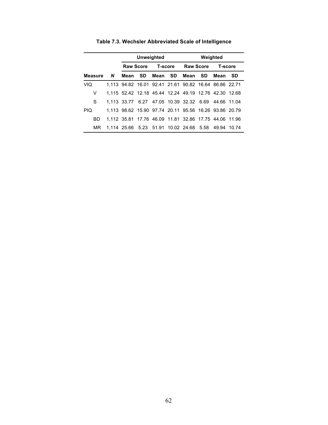|            |           |                                                       | Unweighted<br>Weighted<br>Raw Score T-score Raw Score T-score<br>Mean SD<br>Mean SD<br>Mean SD<br>1,113 94.82 16.01 92.41 21.61 90.82 16.64 86.86 22.71<br>1,115 52.42 12.18 45.44 12.24 49.19 12.76 42.30 12.68<br>1,113 33.77 6.27 47.05 10.39 32.32 6.69 44.66 11.04<br>1,113 98.62 15.90 97.74 20.11 95.56 16.26 93.86 20.79 |  |  |  |         |  |
|------------|-----------|-------------------------------------------------------|----------------------------------------------------------------------------------------------------------------------------------------------------------------------------------------------------------------------------------------------------------------------------------------------------------------------------------|--|--|--|---------|--|
|            |           |                                                       |                                                                                                                                                                                                                                                                                                                                  |  |  |  |         |  |
|            | Measure N |                                                       |                                                                                                                                                                                                                                                                                                                                  |  |  |  | Mean SD |  |
| <b>VIQ</b> |           |                                                       |                                                                                                                                                                                                                                                                                                                                  |  |  |  |         |  |
| v          |           |                                                       |                                                                                                                                                                                                                                                                                                                                  |  |  |  |         |  |
| S          |           |                                                       |                                                                                                                                                                                                                                                                                                                                  |  |  |  |         |  |
| <b>PIQ</b> |           |                                                       |                                                                                                                                                                                                                                                                                                                                  |  |  |  |         |  |
| BD         |           | 1,112 35.81 17.76 46.09 11.81 32.86 17.75 44.06 11.96 |                                                                                                                                                                                                                                                                                                                                  |  |  |  |         |  |
| MR.        |           | 1,114 25.66 5.23 51.91 10.02 24.68 5.58 49.94 10.74   |                                                                                                                                                                                                                                                                                                                                  |  |  |  |         |  |

**Table 7.3. Wechsler Abbreviated Scale of Intelligence**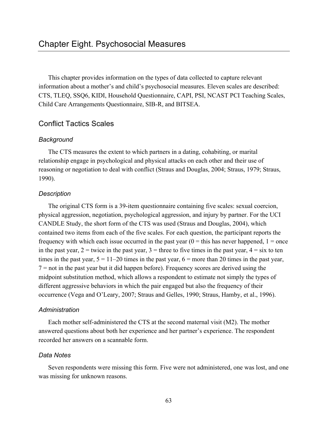This chapter provides information on the types of data collected to capture relevant information about a mother's and child's psychosocial measures. Eleven scales are described: CTS, TLEQ, SSQ6, KIDI, Household Questionnaire, CAPI, PSI, NCAST PCI Teaching Scales, Child Care Arrangements Questionnaire, SIB-R, and BITSEA.

## Conflict Tactics Scales

#### *Background*

The CTS measures the extent to which partners in a dating, cohabiting, or marital relationship engage in psychological and physical attacks on each other and their use of reasoning or negotiation to deal with conflict (Straus and Douglas, 2004; Straus, 1979; Straus, 1990).

### *Description*

The original CTS form is a 39-item questionnaire containing five scales: sexual coercion, physical aggression, negotiation, psychological aggression, and injury by partner. For the UCI CANDLE Study, the short form of the CTS was used (Straus and Douglas, 2004), which contained two items from each of the five scales. For each question, the participant reports the frequency with which each issue occurred in the past year  $(0 =$  this has never happened,  $1 =$  once in the past year,  $2 =$  twice in the past year,  $3 =$  three to five times in the past year,  $4 =$  six to ten times in the past year,  $5 = 11-20$  times in the past year,  $6 =$  more than 20 times in the past year,  $7 =$  not in the past year but it did happen before). Frequency scores are derived using the midpoint substitution method, which allows a respondent to estimate not simply the types of different aggressive behaviors in which the pair engaged but also the frequency of their occurrence (Vega and O'Leary, 2007; Straus and Gelles, 1990; Straus, Hamby, et al., 1996).

#### *Administration*

Each mother self-administered the CTS at the second maternal visit (M2). The mother answered questions about both her experience and her partner's experience. The respondent recorded her answers on a scannable form.

#### *Data Notes*

Seven respondents were missing this form. Five were not administered, one was lost, and one was missing for unknown reasons.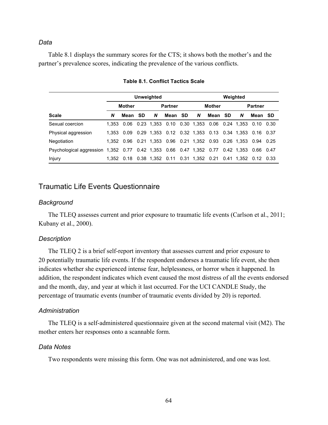Table 8.1 displays the summary scores for the CTS; it shows both the mother's and the partner's prevalence scores, indicating the prevalence of the various conflicts.

| <b>Unweighted</b><br>Weighted                                                            |               |                                                                            |  |   |                |  |   |                                                           |  |   |                |  |  |
|------------------------------------------------------------------------------------------|---------------|----------------------------------------------------------------------------|--|---|----------------|--|---|-----------------------------------------------------------|--|---|----------------|--|--|
|                                                                                          | <b>Mother</b> |                                                                            |  |   | <b>Partner</b> |  |   | Mother                                                    |  |   | <b>Partner</b> |  |  |
| <b>Scale</b>                                                                             | N             | Mean SD                                                                    |  | N | Mean SD        |  | N | Mean SD                                                   |  | N | Mean SD        |  |  |
| Sexual coercion                                                                          |               | 1,353 0.06 0.23 1,353 0.10 0.30 1,353 0.06 0.24 1,353 0.10 0.30            |  |   |                |  |   |                                                           |  |   |                |  |  |
| Physical aggression                                                                      |               | 1,353 0.09 0.29 1,353 0.12 0.32 1,353 0.13 0.34 1,353 0.16 0.37            |  |   |                |  |   |                                                           |  |   |                |  |  |
| Negotiation                                                                              |               | 1,352  0.96  0.21  1,353  0.96  0.21  1,352  0.93  0.26  1,353  0.94  0.25 |  |   |                |  |   |                                                           |  |   |                |  |  |
| Psychological aggression 1,352 0.77 0.42 1,353 0.66 0.47 1,352 0.77 0.42 1,353 0.66 0.47 |               |                                                                            |  |   |                |  |   |                                                           |  |   |                |  |  |
| Injury                                                                                   | 1.352         |                                                                            |  |   |                |  |   | 0.18 0.38 1.352 0.11 0.31 1.352 0.21 0.41 1.352 0.12 0.33 |  |   |                |  |  |

#### **Table 8.1. Conflict Tactics Scale**

## Traumatic Life Events Questionnaire

#### *Background*

The TLEQ assesses current and prior exposure to traumatic life events (Carlson et al., 2011; Kubany et al., 2000).

#### *Description*

The TLEQ 2 is a brief self-report inventory that assesses current and prior exposure to 20 potentially traumatic life events. If the respondent endorses a traumatic life event, she then indicates whether she experienced intense fear, helplessness, or horror when it happened. In addition, the respondent indicates which event caused the most distress of all the events endorsed and the month, day, and year at which it last occurred. For the UCI CANDLE Study, the percentage of traumatic events (number of traumatic events divided by 20) is reported.

#### *Administration*

The TLEQ is a self-administered questionnaire given at the second maternal visit (M2). The mother enters her responses onto a scannable form.

#### *Data Notes*

Two respondents were missing this form. One was not administered, and one was lost.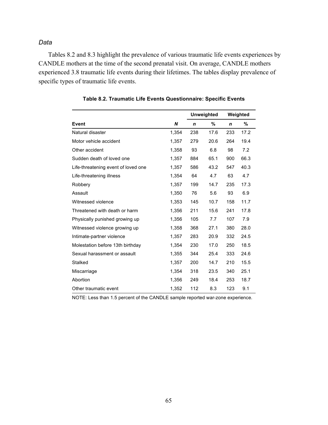Tables 8.2 and 8.3 highlight the prevalence of various traumatic life events experiences by CANDLE mothers at the time of the second prenatal visit. On average, CANDLE mothers experienced 3.8 traumatic life events during their lifetimes. The tables display prevalence of specific types of traumatic life events.

|                                     |       | <b>Unweighted</b> |      | Weighted    |      |
|-------------------------------------|-------|-------------------|------|-------------|------|
| Event                               | N     | $\mathbf n$       | %    | $\mathbf n$ | %    |
| Natural disaster                    | 1,354 | 238               | 17.6 | 233         | 17.2 |
| Motor vehicle accident              | 1,357 | 279               | 20.6 | 264         | 19.4 |
| Other accident                      | 1,358 | 93                | 6.8  | 98          | 7.2  |
| Sudden death of loved one           | 1,357 | 884               | 65.1 | 900         | 66.3 |
| Life-threatening event of loved one | 1,357 | 586               | 43.2 | 547         | 40.3 |
| Life-threatening illness            | 1,354 | 64                | 4.7  | 63          | 4.7  |
| Robbery                             | 1,357 | 199               | 14.7 | 235         | 17.3 |
| Assault                             | 1,350 | 76                | 5.6  | 93          | 6.9  |
| Witnessed violence                  | 1,353 | 145               | 10.7 | 158         | 11.7 |
| Threatened with death or harm       | 1,356 | 211               | 15.6 | 241         | 17.8 |
| Physically punished growing up      | 1,356 | 105               | 7.7  | 107         | 7.9  |
| Witnessed violence growing up       | 1,358 | 368               | 27.1 | 380         | 28.0 |
| Intimate-partner violence           | 1,357 | 283               | 20.9 | 332         | 24.5 |
| Molestation before 13th birthday    | 1,354 | 230               | 17.0 | 250         | 18.5 |
| Sexual harassment or assault        | 1,355 | 344               | 25.4 | 333         | 24.6 |
| Stalked                             | 1,357 | 200               | 14.7 | 210         | 15.5 |
| Miscarriage                         | 1,354 | 318               | 23.5 | 340         | 25.1 |
| Abortion                            | 1,356 | 249               | 18.4 | 253         | 18.7 |
| Other traumatic event               | 1,352 | 112               | 8.3  | 123         | 9.1  |

**Table 8.2. Traumatic Life Events Questionnaire: Specific Events**

NOTE: Less than 1.5 percent of the CANDLE sample reported war-zone experience.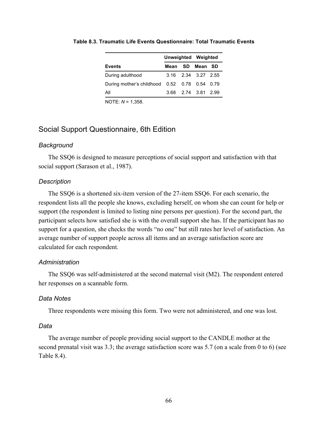|                                               |  | Unweighted Weighted |  |  |
|-----------------------------------------------|--|---------------------|--|--|
| <b>Events</b>                                 |  | Mean SD Mean SD     |  |  |
| During adulthood                              |  | 3.16 2.34 3.27 2.55 |  |  |
| During mother's childhood 0.52 0.78 0.54 0.79 |  |                     |  |  |
| All                                           |  | 3.68 2.74 3.81 2.99 |  |  |
| NOTE: $N = 1,358$ .                           |  |                     |  |  |

#### **Table 8.3. Traumatic Life Events Questionnaire: Total Traumatic Events**

## Social Support Questionnaire, 6th Edition

#### *Background*

The SSQ6 is designed to measure perceptions of social support and satisfaction with that social support (Sarason et al., 1987).

#### *Description*

The SSQ6 is a shortened six-item version of the 27-item SSQ6. For each scenario, the respondent lists all the people she knows, excluding herself, on whom she can count for help or support (the respondent is limited to listing nine persons per question). For the second part, the participant selects how satisfied she is with the overall support she has. If the participant has no support for a question, she checks the words "no one" but still rates her level of satisfaction. An average number of support people across all items and an average satisfaction score are calculated for each respondent.

#### *Administration*

The SSQ6 was self-administered at the second maternal visit (M2). The respondent entered her responses on a scannable form.

#### *Data Notes*

Three respondents were missing this form. Two were not administered, and one was lost.

#### *Data*

The average number of people providing social support to the CANDLE mother at the second prenatal visit was 3.3; the average satisfaction score was 5.7 (on a scale from 0 to 6) (see Table 8.4).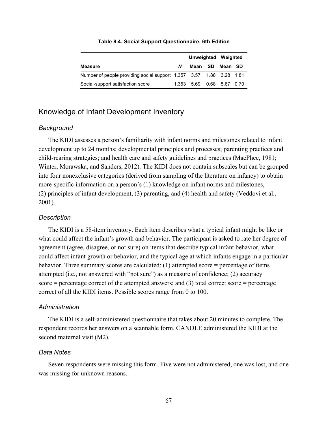|                                                                     |   | Unweighted Weighted       |         |  |
|---------------------------------------------------------------------|---|---------------------------|---------|--|
| Measure                                                             | N | Mean SD                   | Mean SD |  |
| Number of people providing social support 1,357 3.57 1.88 3.28 1.81 |   |                           |         |  |
| Social-support satisfaction score                                   |   | 1.353 5.69 0.68 5.67 0.70 |         |  |

#### **Table 8.4. Social Support Questionnaire, 6th Edition**

## Knowledge of Infant Development Inventory

#### *Background*

The KIDI assesses a person's familiarity with infant norms and milestones related to infant development up to 24 months; developmental principles and processes; parenting practices and child-rearing strategies; and health care and safety guidelines and practices (MacPhee, 1981; Winter, Morawska, and Sanders, 2012). The KIDI does not contain subscales but can be grouped into four nonexclusive categories (derived from sampling of the literature on infancy) to obtain more-specific information on a person's (1) knowledge on infant norms and milestones, (2) principles of infant development, (3) parenting, and (4) health and safety (Veddovi et al., 2001).

#### *Description*

The KIDI is a 58-item inventory. Each item describes what a typical infant might be like or what could affect the infant's growth and behavior. The participant is asked to rate her degree of agreement (agree, disagree, or not sure) on items that describe typical infant behavior, what could affect infant growth or behavior, and the typical age at which infants engage in a particular behavior. Three summary scores are calculated: (1) attempted score = percentage of items attempted (i.e., not answered with "not sure") as a measure of confidence; (2) accuracy score  $=$  percentage correct of the attempted answers; and (3) total correct score  $=$  percentage correct of all the KIDI items. Possible scores range from 0 to 100.

#### *Administration*

The KIDI is a self-administered questionnaire that takes about 20 minutes to complete. The respondent records her answers on a scannable form. CANDLE administered the KIDI at the second maternal visit (M2).

#### *Data Notes*

Seven respondents were missing this form. Five were not administered, one was lost, and one was missing for unknown reasons.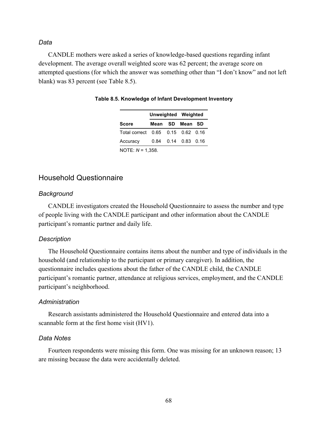CANDLE mothers were asked a series of knowledge-based questions regarding infant development. The average overall weighted score was 62 percent; the average score on attempted questions (for which the answer was something other than "I don't know" and not left blank) was 83 percent (see Table 8.5).

|  | Unweighted Weighted |                                                                                     |  |  |
|--|---------------------|-------------------------------------------------------------------------------------|--|--|
|  |                     |                                                                                     |  |  |
|  |                     |                                                                                     |  |  |
|  |                     |                                                                                     |  |  |
|  |                     | Mean SD Mean SD<br>Total correct 0.65 0.15 0.62 0.16<br>$0.84$ $0.14$ $0.83$ $0.16$ |  |  |

## Household Questionnaire

#### *Background*

CANDLE investigators created the Household Questionnaire to assess the number and type of people living with the CANDLE participant and other information about the CANDLE participant's romantic partner and daily life.

#### *Description*

The Household Questionnaire contains items about the number and type of individuals in the household (and relationship to the participant or primary caregiver). In addition, the questionnaire includes questions about the father of the CANDLE child, the CANDLE participant's romantic partner, attendance at religious services, employment, and the CANDLE participant's neighborhood.

#### *Administration*

Research assistants administered the Household Questionnaire and entered data into a scannable form at the first home visit (HV1).

#### *Data Notes*

Fourteen respondents were missing this form. One was missing for an unknown reason; 13 are missing because the data were accidentally deleted.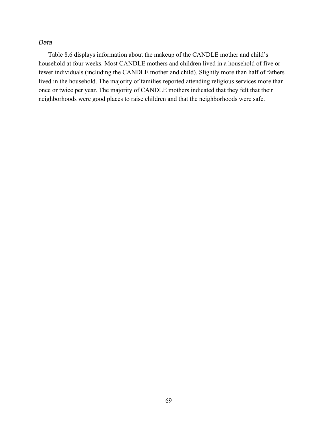Table 8.6 displays information about the makeup of the CANDLE mother and child's household at four weeks. Most CANDLE mothers and children lived in a household of five or fewer individuals (including the CANDLE mother and child). Slightly more than half of fathers lived in the household. The majority of families reported attending religious services more than once or twice per year. The majority of CANDLE mothers indicated that they felt that their neighborhoods were good places to raise children and that the neighborhoods were safe.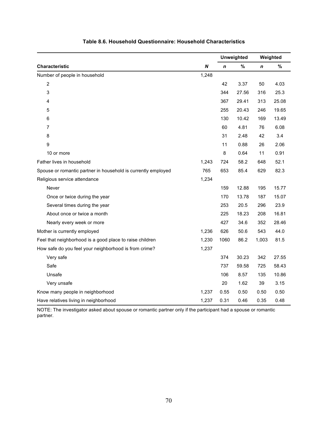|                                                               |       |      | <b>Unweighted</b> |             | Weighted |
|---------------------------------------------------------------|-------|------|-------------------|-------------|----------|
| Characteristic                                                | N     | n    | $\%$              | $\mathbf n$ | $\%$     |
| Number of people in household                                 | 1,248 |      |                   |             |          |
| $\overline{c}$                                                |       | 42   | 3.37              | 50          | 4.03     |
| 3                                                             |       | 344  | 27.56             | 316         | 25.3     |
| 4                                                             |       | 367  | 29.41             | 313         | 25.08    |
| 5                                                             |       | 255  | 20.43             | 246         | 19.65    |
| 6                                                             |       | 130  | 10.42             | 169         | 13.49    |
| 7                                                             |       | 60   | 4.81              | 76          | 6.08     |
| 8                                                             |       | 31   | 2.48              | 42          | 3.4      |
| 9                                                             |       | 11   | 0.88              | 26          | 2.06     |
| 10 or more                                                    |       | 8    | 0.64              | 11          | 0.91     |
| Father lives in household                                     | 1,243 | 724  | 58.2              | 648         | 52.1     |
| Spouse or romantic partner in household is currently employed | 765   | 653  | 85.4              | 629         | 82.3     |
| Religious service attendance                                  | 1,234 |      |                   |             |          |
| Never                                                         |       | 159  | 12.88             | 195         | 15.77    |
| Once or twice during the year                                 |       | 170  | 13.78             | 187         | 15.07    |
| Several times during the year                                 |       | 253  | 20.5              | 296         | 23.9     |
| About once or twice a month                                   |       | 225  | 18.23             | 208         | 16.81    |
| Nearly every week or more                                     |       | 427  | 34.6              | 352         | 28.46    |
| Mother is currently employed                                  | 1,236 | 626  | 50.6              | 543         | 44.0     |
| Feel that neighborhood is a good place to raise children      | 1,230 | 1060 | 86.2              | 1,003       | 81.5     |
| How safe do you feel your neighborhood is from crime?         | 1,237 |      |                   |             |          |
| Very safe                                                     |       | 374  | 30.23             | 342         | 27.55    |
| Safe                                                          |       | 737  | 59.58             | 725         | 58.43    |
| Unsafe                                                        |       | 106  | 8.57              | 135         | 10.86    |
| Very unsafe                                                   |       | 20   | 1.62              | 39          | 3.15     |
| Know many people in neighborhood                              | 1,237 | 0.55 | 0.50              | 0.50        | 0.50     |
| Have relatives living in neighborhood                         | 1,237 | 0.31 | 0.46              | 0.35        | 0.48     |

#### **Table 8.6. Household Questionnaire: Household Characteristics**

NOTE: The investigator asked about spouse or romantic partner only if the participant had a spouse or romantic partner.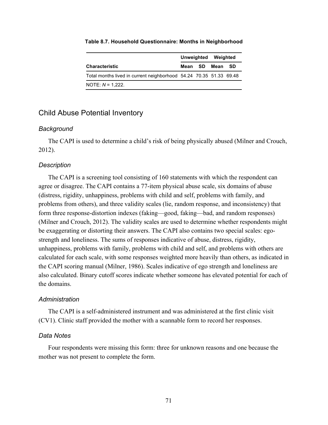|                                                                    |  | Unweighted Weighted |  |
|--------------------------------------------------------------------|--|---------------------|--|
| <b>Characteristic</b>                                              |  | Mean SD Mean SD     |  |
| Total months lived in current neighborhood 54.24 70.35 51.33 69.48 |  |                     |  |
| NOTE: $N = 1.222$ .                                                |  |                     |  |

#### **Table 8.7. Household Questionnaire: Months in Neighborhood**

## Child Abuse Potential Inventory

#### *Background*

The CAPI is used to determine a child's risk of being physically abused (Milner and Crouch, 2012).

#### *Description*

The CAPI is a screening tool consisting of 160 statements with which the respondent can agree or disagree. The CAPI contains a 77-item physical abuse scale, six domains of abuse (distress, rigidity, unhappiness, problems with child and self, problems with family, and problems from others), and three validity scales (lie, random response, and inconsistency) that form three response-distortion indexes (faking—good, faking—bad, and random responses) (Milner and Crouch, 2012). The validity scales are used to determine whether respondents might be exaggerating or distorting their answers. The CAPI also contains two special scales: egostrength and loneliness. The sums of responses indicative of abuse, distress, rigidity, unhappiness, problems with family, problems with child and self, and problems with others are calculated for each scale, with some responses weighted more heavily than others, as indicated in the CAPI scoring manual (Milner, 1986). Scales indicative of ego strength and loneliness are also calculated. Binary cutoff scores indicate whether someone has elevated potential for each of the domains.

#### *Administration*

The CAPI is a self-administered instrument and was administered at the first clinic visit (CV1). Clinic staff provided the mother with a scannable form to record her responses.

#### *Data Notes*

Four respondents were missing this form: three for unknown reasons and one because the mother was not present to complete the form.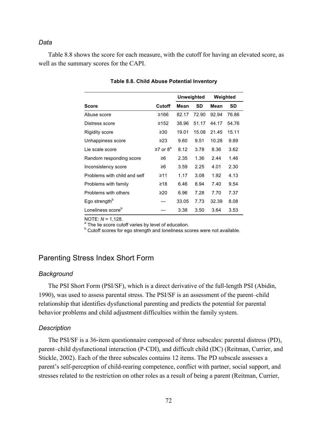Table 8.8 shows the score for each measure, with the cutoff for having an elevated score, as well as the summary scores for the CAPI.

|                               |                   |       | Unweighted |       | Weighted |
|-------------------------------|-------------------|-------|------------|-------|----------|
| <b>Score</b>                  | Cutoff            | Mean  | SD         | Mean  | SD       |
| Abuse score                   | ≥166              | 82.17 | 72.90      | 92.94 | 76.86    |
| Distress score                | ≥152              | 38.96 | 51.17      | 44.17 | 54.76    |
| Rigidity score                | ≥ $30$            | 19.01 | 15.08      | 21.45 | 15.11    |
| Unhappiness score             | ≥23               | 9.60  | 9.51       | 10.28 | 9.89     |
| Lie scale score               | $\geq$ 7 or $8^a$ | 8.12  | 3.78       | 8.36  | 3.62     |
| Random responding score       | ≥6                | 2.35  | 1.36       | 2.44  | 1.46     |
| Inconsistency score           | ≥6                | 3.59  | 2.25       | 4.01  | 2.30     |
| Problems with child and self  | ≥11               | 1.17  | 3.08       | 1.92  | 4.13     |
| Problems with family          | ≥18               | 6.46  | 8.94       | 7.40  | 9.54     |
| Problems with others          | ≥20               | 6.96  | 7.28       | 7.70  | 7.37     |
| Ego strength <sup>b</sup>     |                   | 33.05 | 7.73       | 32.39 | 8.08     |
| Loneliness score <sup>b</sup> |                   | 3.38  | 3.50       | 3.64  | 3.53     |

#### **Table 8.8. Child Abuse Potential Inventory**

NOTE:  $N = 1,128$ .<br><sup>a</sup> The lie score cutoff varies by level of education.<br><sup>b</sup> Cutoff scores for ego strength and loneliness scores were not available.

## Parenting Stress Index Short Form

#### *Background*

The PSI Short Form (PSI/SF), which is a direct derivative of the full-length PSI (Abidin, 1990), was used to assess parental stress. The PSI/SF is an assessment of the parent–child relationship that identifies dysfunctional parenting and predicts the potential for parental behavior problems and child adjustment difficulties within the family system.

#### *Description*

The PSI/SF is a 36-item questionnaire composed of three subscales: parental distress (PD), parent–child dysfunctional interaction (P-CDI), and difficult child (DC) (Reitman, Currier, and Stickle, 2002). Each of the three subscales contains 12 items. The PD subscale assesses a parent's self-perception of child-rearing competence, conflict with partner, social support, and stresses related to the restriction on other roles as a result of being a parent (Reitman, Currier,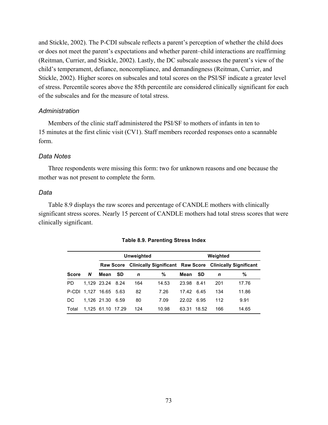and Stickle, 2002). The P-CDI subscale reflects a parent's perception of whether the child does or does not meet the parent's expectations and whether parent–child interactions are reaffirming (Reitman, Currier, and Stickle, 2002). Lastly, the DC subscale assesses the parent's view of the child's temperament, defiance, noncompliance, and demandingness (Reitman, Currier, and Stickle, 2002). Higher scores on subscales and total scores on the PSI/SF indicate a greater level of stress. Percentile scores above the 85th percentile are considered clinically significant for each of the subscales and for the measure of total stress.

#### *Administration*

Members of the clinic staff administered the PSI/SF to mothers of infants in ten to 15 minutes at the first clinic visit (CV1). Staff members recorded responses onto a scannable form.

#### *Data Notes*

Three respondents were missing this form: two for unknown reasons and one because the mother was not present to complete the form.

#### *Data*

Table 8.9 displays the raw scores and percentage of CANDLE mothers with clinically significant stress scores. Nearly 15 percent of CANDLE mothers had total stress scores that were clinically significant.

|              |   |                  |                  | <b>Unweighted</b> |       |            |           | Weighted |                                                                |
|--------------|---|------------------|------------------|-------------------|-------|------------|-----------|----------|----------------------------------------------------------------|
|              |   |                  | <b>Raw Score</b> |                   |       |            |           |          | <b>Clinically Significant Raw Score Clinically Significant</b> |
| <b>Score</b> | N | Mean             | <b>SD</b>        | n                 | %     | Mean       | <b>SD</b> | n        | %                                                              |
| <b>PD</b>    |   | 1,129 23.24 8.24 |                  | 164               | 14.53 | 23.98      | 8.41      | 201      | 17.76                                                          |
| P-CDI        |   | 1.127 16.65 5.63 |                  | 82                | 7.26  | 17.42 6.45 |           | 134      | 11.86                                                          |
| DC           |   | 1.126 21.30      | 6.59             | 80                | 7.09  | 22.02      | 6.95      | 112      | 9.91                                                           |
| Total        |   | 1.125 61.10      | 17.29            | 124               | 10.98 | 63.31      | 18.52     | 166      | 14.65                                                          |

**Table 8.9. Parenting Stress Index**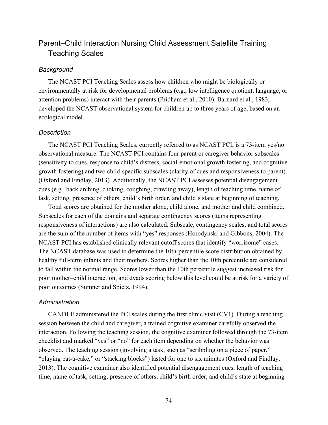## Parent–Child Interaction Nursing Child Assessment Satellite Training Teaching Scales

#### *Background*

The NCAST PCI Teaching Scales assess how children who might be biologically or environmentally at risk for developmental problems (e.g., low intelligence quotient, language, or attention problems) interact with their parents (Pridham et al., 2010). Barnard et al., 1983, developed the NCAST observational system for children up to three years of age, based on an ecological model.

#### *Description*

The NCAST PCI Teaching Scales, currently referred to as NCAST PCI, is a 73-item yes/no observational measure. The NCAST PCI contains four parent or caregiver behavior subscales (sensitivity to cues, response to child's distress, social-emotional growth fostering, and cognitive growth fostering) and two child-specific subscales (clarity of cues and responsiveness to parent) (Oxford and Findlay, 2013). Additionally, the NCAST PCI assesses potential disengagement cues (e.g., back arching, choking, coughing, crawling away), length of teaching time, name of task, setting, presence of others, child's birth order, and child's state at beginning of teaching.

Total scores are obtained for the mother alone, child alone, and mother and child combined. Subscales for each of the domains and separate contingency scores (items representing responsiveness of interactions) are also calculated. Subscale, contingency scales, and total scores are the sum of the number of items with "yes" responses (Horodynski and Gibbons, 2004). The NCAST PCI has established clinically relevant cutoff scores that identify "worrisome" cases. The NCAST database was used to determine the 10th-percentile score distribution obtained by healthy full-term infants and their mothers. Scores higher than the 10th percentile are considered to fall within the normal range. Scores lower than the 10th percentile suggest increased risk for poor mother–child interaction, and dyads scoring below this level could be at risk for a variety of poor outcomes (Sumner and Spietz, 1994).

#### *Administration*

CANDLE administered the PCI scales during the first clinic visit (CV1). During a teaching session between the child and caregiver, a trained cognitive examiner carefully observed the interaction. Following the teaching session, the cognitive examiner followed through the 73-item checklist and marked "yes" or "no" for each item depending on whether the behavior was observed. The teaching session (involving a task, such as "scribbling on a piece of paper," "playing pat-a-cake," or "stacking blocks") lasted for one to six minutes (Oxford and Findlay, 2013). The cognitive examiner also identified potential disengagement cues, length of teaching time, name of task, setting, presence of others, child's birth order, and child's state at beginning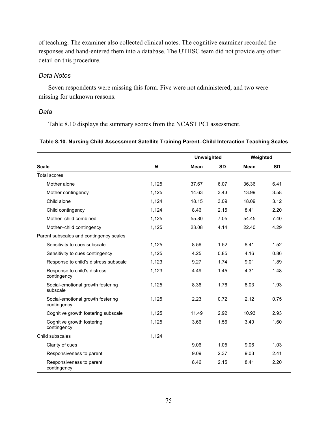of teaching. The examiner also collected clinical notes. The cognitive examiner recorded the responses and hand-entered them into a database. The UTHSC team did not provide any other detail on this procedure.

#### *Data Notes*

Seven respondents were missing this form. Five were not administered, and two were missing for unknown reasons.

#### *Data*

Table 8.10 displays the summary scores from the NCAST PCI assessment.

#### **Table 8.10. Nursing Child Assessment Satellite Training Parent–Child Interaction Teaching Scales**

|                                                  |       | <b>Unweighted</b> |           | Weighted |           |
|--------------------------------------------------|-------|-------------------|-----------|----------|-----------|
| <b>Scale</b>                                     | N     | Mean              | <b>SD</b> | Mean     | <b>SD</b> |
| <b>Total scores</b>                              |       |                   |           |          |           |
| Mother alone                                     | 1,125 | 37.67             | 6.07      | 36.36    | 6.41      |
| Mother contingency                               | 1,125 | 14.63             | 3.43      | 13.99    | 3.58      |
| Child alone                                      | 1,124 | 18.15             | 3.09      | 18.09    | 3.12      |
| Child contingency                                | 1,124 | 8.46              | 2.15      | 8.41     | 2.20      |
| Mother-child combined                            | 1,125 | 55.80             | 7.05      | 54.45    | 7.40      |
| Mother-child contingency                         | 1,125 | 23.08             | 4.14      | 22.40    | 4.29      |
| Parent subscales and contingency scales          |       |                   |           |          |           |
| Sensitivity to cues subscale                     | 1,125 | 8.56              | 1.52      | 8.41     | 1.52      |
| Sensitivity to cues contingency                  | 1,125 | 4.25              |           | 4.16     | 0.86      |
| Response to child's distress subscale            | 1,123 | 9.27              | 1.74      | 9.01     | 1.89      |
| Response to child's distress<br>contingency      | 1,123 | 4.49              | 1.45      | 4.31     | 1.48      |
| Social-emotional growth fostering<br>subscale    | 1,125 | 8.36              | 1.76      | 8.03     | 1.93      |
| Social-emotional growth fostering<br>contingency | 1,125 | 2.23              | 0.72      | 2.12     | 0.75      |
| Cognitive growth fostering subscale              | 1,125 | 11.49             | 2.92      | 10.93    | 2.93      |
| Cognitive growth fostering<br>contingency        | 1,125 | 3.66              | 1.56      | 3.40     | 1.60      |
| Child subscales                                  | 1,124 |                   |           |          |           |
| Clarity of cues                                  |       | 9.06              | 1.05      | 9.06     | 1.03      |
| Responsiveness to parent                         |       | 9.09              | 2.37      | 9.03     | 2.41      |
| Responsiveness to parent<br>contingency          |       | 8.46              | 2.15      | 8.41     | 2.20      |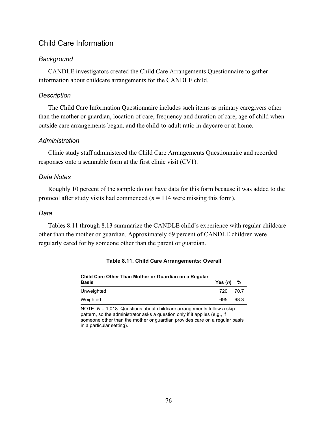## Child Care Information

## *Background*

CANDLE investigators created the Child Care Arrangements Questionnaire to gather information about childcare arrangements for the CANDLE child.

### *Description*

The Child Care Information Questionnaire includes such items as primary caregivers other than the mother or guardian, location of care, frequency and duration of care, age of child when outside care arrangements began, and the child-to-adult ratio in daycare or at home.

## *Administration*

Clinic study staff administered the Child Care Arrangements Questionnaire and recorded responses onto a scannable form at the first clinic visit (CV1).

## *Data Notes*

Roughly 10 percent of the sample do not have data for this form because it was added to the protocol after study visits had commenced  $(n = 114$  were missing this form).

### *Data*

Tables 8.11 through 8.13 summarize the CANDLE child's experience with regular childcare other than the mother or guardian. Approximately 69 percent of CANDLE children were regularly cared for by someone other than the parent or guardian.

| Child Care Other Than Mother or Guardian on a Regular |           |      |
|-------------------------------------------------------|-----------|------|
| <b>Basis</b>                                          | Yes $(n)$ | - %  |
| Unweighted                                            | 720       | 70.7 |
| Weighted                                              | 695       | 68.3 |

**Table 8.11. Child Care Arrangements: Overall**

NOTE: *N* = 1,018. Questions about childcare arrangements follow a skip pattern, so the administrator asks a question only if it applies (e.g., if someone other than the mother or guardian provides care on a regular basis in a particular setting).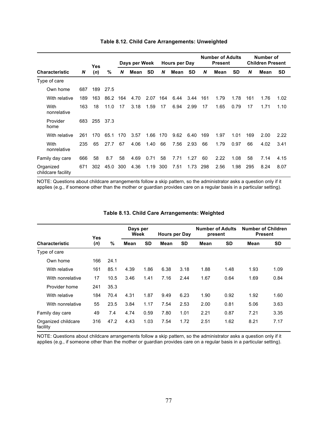|                                 |     | Yes |      |     | Days per Week |           |     | Hours per Day |           |     | <b>Number of Adults</b><br><b>Present</b> |           |     | Number of<br><b>Children Present</b> |           |
|---------------------------------|-----|-----|------|-----|---------------|-----------|-----|---------------|-----------|-----|-------------------------------------------|-----------|-----|--------------------------------------|-----------|
| <b>Characteristic</b>           | N   | (n) | %    | N   | Mean          | <b>SD</b> | N   | Mean          | <b>SD</b> | N   | Mean                                      | <b>SD</b> | N   | Mean                                 | <b>SD</b> |
| Type of care                    |     |     |      |     |               |           |     |               |           |     |                                           |           |     |                                      |           |
| Own home                        | 687 | 189 | 27.5 |     |               |           |     |               |           |     |                                           |           |     |                                      |           |
| With relative                   | 189 | 163 | 86.2 | 164 | 4.70          | 2.07      | 164 | 6.44          | 3.44      | 161 | 1.79                                      | 1.78      | 161 | 1.76                                 | 1.02      |
| With<br>nonrelative             | 163 | 18  | 11.0 | 17  | 3.18          | 1.59      | 17  | 6.94          | 2.99      | 17  | 1.65                                      | 0.79      | 17  | 1.71                                 | 1.10      |
| Provider<br>home                | 683 | 255 | 37.3 |     |               |           |     |               |           |     |                                           |           |     |                                      |           |
| With relative                   | 261 | 170 | 65.1 | 170 | 3.57          | 1.66      | 170 | 9.62          | 6.40      | 169 | 1.97                                      | 1.01      | 169 | 2.00                                 | 2.22      |
| With<br>nonrelative             | 235 | 65  | 27.7 | 67  | 4.06          | 1.40      | 66  | 7.56          | 2.93      | 66  | 1.79                                      | 0.97      | 66  | 4.02                                 | 3.41      |
| Family day care                 | 666 | 58  | 8.7  | 58  | 4.69          | 0.71      | 58  | 7.71          | 1.27      | 60  | 2.22                                      | 1.08      | 58  | 7.14                                 | 4.15      |
| Organized<br>childcare facility | 671 | 302 | 45.0 | 300 | 4.36          | 1.19      | 300 | 7.51          | 1.73      | 298 | 2.56                                      | 1.98      | 295 | 8.24                                 | 8.07      |

#### **Table 8.12. Child Care Arrangements: Unweighted**

NOTE: Questions about childcare arrangements follow a skip pattern, so the administrator asks a question only if it applies (e.g., if someone other than the mother or guardian provides care on a regular basis in a particular setting).

|                                 | <b>Yes</b> |      | Days per<br>Week |           | Hours per Day |           | <b>Number of Adults</b><br>present |           | <b>Number of Children</b><br><b>Present</b> |           |
|---------------------------------|------------|------|------------------|-----------|---------------|-----------|------------------------------------|-----------|---------------------------------------------|-----------|
| <b>Characteristic</b>           | (n)        | $\%$ | Mean             | <b>SD</b> | Mean          | <b>SD</b> | Mean                               | <b>SD</b> | Mean                                        | <b>SD</b> |
| Type of care                    |            |      |                  |           |               |           |                                    |           |                                             |           |
| Own home                        | 166        | 24.1 |                  |           |               |           |                                    |           |                                             |           |
| With relative                   | 161        | 85.1 | 4.39             | 1.86      | 6.38          | 3.18      | 1.88                               | 1.48      | 1.93                                        | 1.09      |
| With nonrelative                | 17         | 10.5 | 3.46             | 1.41      | 7.16          | 2.44      | 1.67                               | 0.64      | 1.69                                        | 0.84      |
| Provider home                   | 241        | 35.3 |                  |           |               |           |                                    |           |                                             |           |
| With relative                   | 184        | 70.4 | 4.31             | 1.87      | 9.49          | 6.23      | 1.90                               | 0.92      | 1.92                                        | 1.60      |
| With nonrelative                | 55         | 23.5 | 3.84             | 1.17      | 7.54          | 2.53      | 2.00                               | 0.81      | 5.06                                        | 3.63      |
| Family day care                 | 49         | 7.4  | 4.74             | 0.59      | 7.80          | 1.01      | 2.21                               | 0.87      | 7.21                                        | 3.35      |
| Organized childcare<br>facility | 316        | 47.2 | 4.43             | 1.03      | 7.54          | 1.72      | 2.51                               | 1.62      | 8.21                                        | 7.17      |

#### **Table 8.13. Child Care Arrangements: Weighted**

NOTE: Questions about childcare arrangements follow a skip pattern, so the administrator asks a question only if it applies (e.g., if someone other than the mother or guardian provides care on a regular basis in a particular setting).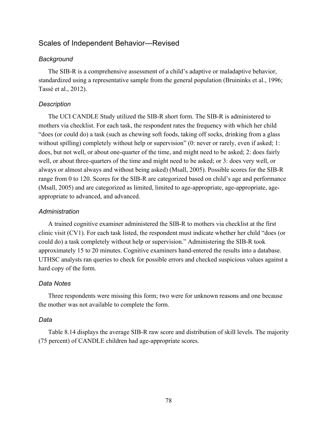## Scales of Independent Behavior—Revised

#### *Background*

The SIB-R is a comprehensive assessment of a child's adaptive or maladaptive behavior, standardized using a representative sample from the general population (Bruininks et al., 1996; Tassé et al., 2012).

#### *Description*

The UCI CANDLE Study utilized the SIB-R short form. The SIB-R is administered to mothers via checklist. For each task, the respondent rates the frequency with which her child "does (or could do) a task (such as chewing soft foods, taking off socks, drinking from a glass without spilling) completely without help or supervision" (0: never or rarely, even if asked; 1: does, but not well, or about one-quarter of the time, and might need to be asked; 2: does fairly well, or about three-quarters of the time and might need to be asked; or 3: does very well, or always or almost always and without being asked) (Msall, 2005). Possible scores for the SIB-R range from 0 to 120. Scores for the SIB-R are categorized based on child's age and performance (Msall, 2005) and are categorized as limited, limited to age-appropriate, age-appropriate, ageappropriate to advanced, and advanced.

#### *Administration*

A trained cognitive examiner administered the SIB-R to mothers via checklist at the first clinic visit (CV1). For each task listed, the respondent must indicate whether her child "does (or could do) a task completely without help or supervision." Administering the SIB-R took approximately 15 to 20 minutes. Cognitive examiners hand-entered the results into a database. UTHSC analysts ran queries to check for possible errors and checked suspicious values against a hard copy of the form.

#### *Data Notes*

Three respondents were missing this form; two were for unknown reasons and one because the mother was not available to complete the form.

#### *Data*

Table 8.14 displays the average SIB-R raw score and distribution of skill levels. The majority (75 percent) of CANDLE children had age-appropriate scores.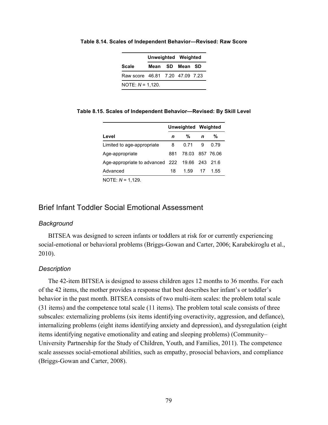|                                 |  |  | <b>Unweighted Weighted</b> |  |  |  |  |  |  |  |
|---------------------------------|--|--|----------------------------|--|--|--|--|--|--|--|
| Scale                           |  |  | Mean SD Mean SD            |  |  |  |  |  |  |  |
| Raw score 46.81 7.20 47.09 7.23 |  |  |                            |  |  |  |  |  |  |  |
| NOTE: $N = 1,120$ .             |  |  |                            |  |  |  |  |  |  |  |

**Table 8.14. Scales of Independent Behavior—Revised: Raw Score**

**Table 8.15. Scales of Independent Behavior—Revised: By Skill Level**

|                                                |     |                 | Unweighted Weighted |      |
|------------------------------------------------|-----|-----------------|---------------------|------|
| Level                                          | n   | %               | $\mathbf n$         | %    |
| Limited to age-appropriate                     | 8   | 0.71            | - 9                 | 0.79 |
| Age-appropriate                                | 881 | 78.03 857 76.06 |                     |      |
| Age-appropriate to advanced 222 19.66 243 21.6 |     |                 |                     |      |
| Advanced                                       | 18  | 1.59            | 17                  | 1.55 |
| NOTE: M = 1 120                                |     |                 |                     |      |

NOTE: *N* = 1,129.

## Brief Infant Toddler Social Emotional Assessment

#### *Background*

BITSEA was designed to screen infants or toddlers at risk for or currently experiencing social-emotional or behavioral problems (Briggs-Gowan and Carter, 2006; Karabekiroglu et al., 2010).

#### *Description*

The 42-item BITSEA is designed to assess children ages 12 months to 36 months. For each of the 42 items, the mother provides a response that best describes her infant's or toddler's behavior in the past month. BITSEA consists of two multi-item scales: the problem total scale (31 items) and the competence total scale (11 items). The problem total scale consists of three subscales: externalizing problems (six items identifying overactivity, aggression, and defiance), internalizing problems (eight items identifying anxiety and depression), and dysregulation (eight items identifying negative emotionality and eating and sleeping problems) (Community– University Partnership for the Study of Children, Youth, and Families, 2011). The competence scale assesses social-emotional abilities, such as empathy, prosocial behaviors, and compliance (Briggs-Gowan and Carter, 2008).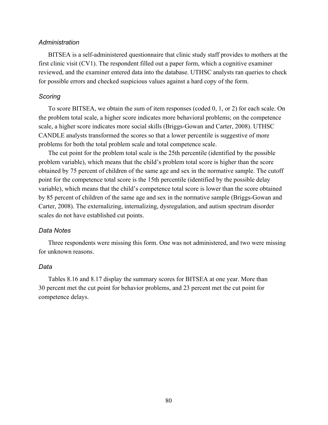#### *Administration*

BITSEA is a self-administered questionnaire that clinic study staff provides to mothers at the first clinic visit (CV1). The respondent filled out a paper form, which a cognitive examiner reviewed, and the examiner entered data into the database. UTHSC analysts ran queries to check for possible errors and checked suspicious values against a hard copy of the form.

#### *Scoring*

To score BITSEA, we obtain the sum of item responses (coded 0, 1, or 2) for each scale. On the problem total scale, a higher score indicates more behavioral problems; on the competence scale, a higher score indicates more social skills (Briggs-Gowan and Carter, 2008). UTHSC CANDLE analysts transformed the scores so that a lower percentile is suggestive of more problems for both the total problem scale and total competence scale.

The cut point for the problem total scale is the 25th percentile (identified by the possible problem variable), which means that the child's problem total score is higher than the score obtained by 75 percent of children of the same age and sex in the normative sample. The cutoff point for the competence total score is the 15th percentile (identified by the possible delay variable), which means that the child's competence total score is lower than the score obtained by 85 percent of children of the same age and sex in the normative sample (Briggs-Gowan and Carter, 2008). The externalizing, internalizing, dysregulation, and autism spectrum disorder scales do not have established cut points.

#### *Data Notes*

Three respondents were missing this form. One was not administered, and two were missing for unknown reasons.

#### *Data*

Tables 8.16 and 8.17 display the summary scores for BITSEA at one year. More than 30 percent met the cut point for behavior problems, and 23 percent met the cut point for competence delays.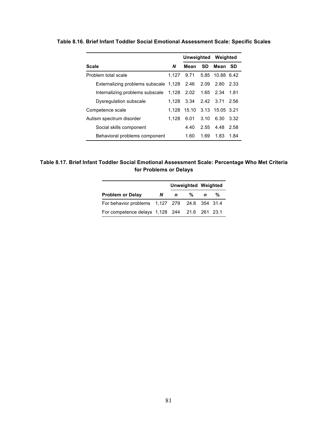|                                       |       | Unweighted Weighted         |           |                 |      |
|---------------------------------------|-------|-----------------------------|-----------|-----------------|------|
| Scale                                 | N     | Mean                        | <b>SD</b> | Mean            | -SD  |
| Problem total scale                   | 1.127 | 9.71                        |           | 5.85 10.88 6.42 |      |
| Externalizing problems subscale 1,128 |       | 2.46                        | 2.09      | 2.80            | 2.33 |
| Internalizing problems subscale       |       | 1,128 2.02                  |           | 1.65 2.34       | 1.81 |
| Dysregulation subscale                | 1.128 | 3.34                        |           | 2.42 3.71       | 2.56 |
| Competence scale                      |       | 1,128 15.10 3.13 15.05 3.21 |           |                 |      |
| Autism spectrum disorder              | 1.128 | 6.01                        | 3.10      | 6.30            | 3.32 |
| Social skills component               |       | 4.40                        |           | 2.55 4.48       | 2.58 |
| Behavioral problems component         |       | 1.60                        | 1.69      | 1.83            | 1.84 |

**Table 8.16. Brief Infant Toddler Social Emotional Assessment Scale: Specific Scales**

#### **Table 8.17. Brief Infant Toddler Social Emotional Assessment Scale: Percentage Who Met Criteria for Problems or Delays**

|                                               |    | Unweighted Weighted |      |             |   |
|-----------------------------------------------|----|---------------------|------|-------------|---|
| <b>Problem or Delay</b>                       | N. | $\mathbf n$         | $\%$ | $\mathbf n$ | % |
| For behavior problems 1,127 279 24.8 354 31.4 |    |                     |      |             |   |
| For competence delays 1,128 244 21.6 261 23.1 |    |                     |      |             |   |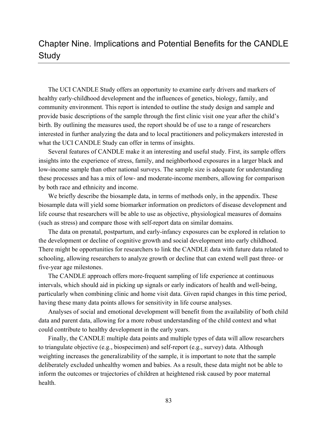# Chapter Nine. Implications and Potential Benefits for the CANDLE **Study**

The UCI CANDLE Study offers an opportunity to examine early drivers and markers of healthy early-childhood development and the influences of genetics, biology, family, and community environment. This report is intended to outline the study design and sample and provide basic descriptions of the sample through the first clinic visit one year after the child's birth. By outlining the measures used, the report should be of use to a range of researchers interested in further analyzing the data and to local practitioners and policymakers interested in what the UCI CANDLE Study can offer in terms of insights.

Several features of CANDLE make it an interesting and useful study. First, its sample offers insights into the experience of stress, family, and neighborhood exposures in a larger black and low-income sample than other national surveys. The sample size is adequate for understanding these processes and has a mix of low- and moderate-income members, allowing for comparison by both race and ethnicity and income.

We briefly describe the biosample data, in terms of methods only, in the appendix. These biosample data will yield some biomarker information on predictors of disease development and life course that researchers will be able to use as objective, physiological measures of domains (such as stress) and compare those with self-report data on similar domains.

The data on prenatal, postpartum, and early-infancy exposures can be explored in relation to the development or decline of cognitive growth and social development into early childhood. There might be opportunities for researchers to link the CANDLE data with future data related to schooling, allowing researchers to analyze growth or decline that can extend well past three- or five-year age milestones.

The CANDLE approach offers more-frequent sampling of life experience at continuous intervals, which should aid in picking up signals or early indicators of health and well-being, particularly when combining clinic and home visit data. Given rapid changes in this time period, having these many data points allows for sensitivity in life course analyses.

Analyses of social and emotional development will benefit from the availability of both child data and parent data, allowing for a more robust understanding of the child context and what could contribute to healthy development in the early years.

Finally, the CANDLE multiple data points and multiple types of data will allow researchers to triangulate objective (e.g., biospecimen) and self-report (e.g., survey) data. Although weighting increases the generalizability of the sample, it is important to note that the sample deliberately excluded unhealthy women and babies. As a result, these data might not be able to inform the outcomes or trajectories of children at heightened risk caused by poor maternal health.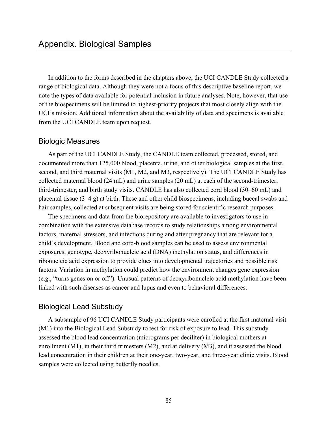In addition to the forms described in the chapters above, the UCI CANDLE Study collected a range of biological data. Although they were not a focus of this descriptive baseline report, we note the types of data available for potential inclusion in future analyses. Note, however, that use of the biospecimens will be limited to highest-priority projects that most closely align with the UCI's mission. Additional information about the availability of data and specimens is available from the UCI CANDLE team upon request.

#### Biologic Measures

As part of the UCI CANDLE Study, the CANDLE team collected, processed, stored, and documented more than 125,000 blood, placenta, urine, and other biological samples at the first, second, and third maternal visits (M1, M2, and M3, respectively). The UCI CANDLE Study has collected maternal blood (24 mL) and urine samples (20 mL) at each of the second-trimester, third-trimester, and birth study visits. CANDLE has also collected cord blood (30–60 mL) and placental tissue (3–4 g) at birth. These and other child biospecimens, including buccal swabs and hair samples, collected at subsequent visits are being stored for scientific research purposes.

The specimens and data from the biorepository are available to investigators to use in combination with the extensive database records to study relationships among environmental factors, maternal stressors, and infections during and after pregnancy that are relevant for a child's development. Blood and cord-blood samples can be used to assess environmental exposures, genotype, deoxyribonucleic acid (DNA) methylation status, and differences in ribonucleic acid expression to provide clues into developmental trajectories and possible risk factors. Variation in methylation could predict how the environment changes gene expression (e.g., "turns genes on or off"). Unusual patterns of deoxyribonucleic acid methylation have been linked with such diseases as cancer and lupus and even to behavioral differences.

### Biological Lead Substudy

A subsample of 96 UCI CANDLE Study participants were enrolled at the first maternal visit (M1) into the Biological Lead Substudy to test for risk of exposure to lead. This substudy assessed the blood lead concentration (micrograms per deciliter) in biological mothers at enrollment  $(M1)$ , in their third trimesters  $(M2)$ , and at delivery  $(M3)$ , and it assessed the blood lead concentration in their children at their one-year, two-year, and three-year clinic visits. Blood samples were collected using butterfly needles.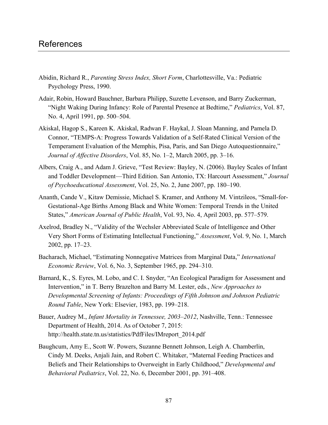## References

- Abidin, Richard R., *Parenting Stress Index, Short Form*, Charlottesville, Va.: Pediatric Psychology Press, 1990.
- Adair, Robin, Howard Bauchner, Barbara Philipp, Suzette Levenson, and Barry Zuckerman, "Night Waking During Infancy: Role of Parental Presence at Bedtime," *Pediatrics*, Vol. 87, No. 4, April 1991, pp. 500–504.
- Akiskal, Hagop S., Kareen K. Akiskal, Radwan F. Haykal, J. Sloan Manning, and Pamela D. Connor, "TEMPS-A: Progress Towards Validation of a Self-Rated Clinical Version of the Temperament Evaluation of the Memphis, Pisa, Paris, and San Diego Autoquestionnaire," *Journal of Affective Disorders*, Vol. 85, No. 1–2, March 2005, pp. 3–16.
- Albers, Craig A., and Adam J. Grieve, "Test Review: Bayley, N. (2006). Bayley Scales of Infant and Toddler Development—Third Edition. San Antonio, TX: Harcourt Assessment," *Journal of Psychoeducational Assessment*, Vol. 25, No. 2, June 2007, pp. 180–190.
- Ananth, Cande V., Kitaw Demissie, Michael S. Kramer, and Anthony M. Vintzileos, "Small-for-Gestational-Age Births Among Black and White Women: Temporal Trends in the United States," *American Journal of Public Health*, Vol. 93, No. 4, April 2003, pp. 577–579.
- Axelrod, Bradley N., "Validity of the Wechsler Abbreviated Scale of Intelligence and Other Very Short Forms of Estimating Intellectual Functioning," *Assessment*, Vol. 9, No. 1, March 2002, pp. 17–23.
- Bacharach, Michael, "Estimating Nonnegative Matrices from Marginal Data," *International Economic Review*, Vol. 6, No. 3, September 1965, pp. 294–310.
- Barnard, K., S. Eyres, M. Lobo, and C. I. Snyder, "An Ecological Paradigm for Assessment and Intervention," in T. Berry Brazelton and Barry M. Lester, eds., *New Approaches to Developmental Screening of Infants: Proceedings of Fifth Johnson and Johnson Pediatric Round Table*, New York: Elsevier, 1983, pp. 199–218.
- Bauer, Audrey M., *Infant Mortality in Tennessee, 2003–2012*, Nashville, Tenn.: Tennessee Department of Health, 2014. As of October 7, 2015: [http://health.state.tn.us/statistics/PdfFiles/IMreport\\_2014.pdf](http://health.state.tn.us/statistics/PdfFiles/IMreport_2014.pdf)
- Baughcum, Amy E., Scott W. Powers, Suzanne Bennett Johnson, Leigh A. Chamberlin, Cindy M. Deeks, Anjali Jain, and Robert C. Whitaker, "Maternal Feeding Practices and Beliefs and Their Relationships to Overweight in Early Childhood," *Developmental and Behavioral Pediatrics*, Vol. 22, No. 6, December 2001, pp. 391–408.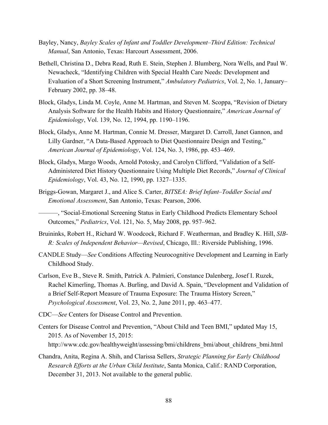- Bayley, Nancy, *Bayley Scales of Infant and Toddler Development–Third Edition: Technical Manual*, San Antonio, Texas: Harcourt Assessment, 2006.
- Bethell, Christina D., Debra Read, Ruth E. Stein, Stephen J. Blumberg, Nora Wells, and Paul W. Newacheck, "Identifying Children with Special Health Care Needs: Development and Evaluation of a Short Screening Instrument," *Ambulatory Pediatrics*, Vol. 2, No. 1, January– February 2002, pp. 38–48.
- Block, Gladys, Linda M. Coyle, Anne M. Hartman, and Steven M. Scoppa, "Revision of Dietary Analysis Software for the Health Habits and History Questionnaire," *American Journal of Epidemiology*, Vol. 139, No. 12, 1994, pp. 1190–1196.
- Block, Gladys, Anne M. Hartman, Connie M. Dresser, Margaret D. Carroll, Janet Gannon, and Lilly Gardner, "A Data-Based Approach to Diet Questionnaire Design and Testing," *American Journal of Epidemiology*, Vol. 124, No. 3, 1986, pp. 453–469.
- Block, Gladys, Margo Woods, Arnold Potosky, and Carolyn Clifford, "Validation of a Self-Administered Diet History Questionnaire Using Multiple Diet Records," *Journal of Clinical Epidemiology*, Vol. 43, No. 12, 1990, pp. 1327–1335.
- Briggs-Gowan, Margaret J., and Alice S. Carter, *BITSEA: Brief Infant–Toddler Social and Emotional Assessment*, San Antonio, Texas: Pearson, 2006.
- ———, "Social-Emotional Screening Status in Early Childhood Predicts Elementary School Outcomes," *Pediatrics*, Vol. 121, No. 5, May 2008, pp. 957–962.
- Bruininks, Robert H., Richard W. Woodcock, Richard F. Weatherman, and Bradley K. Hill, *SIB-R: Scales of Independent Behavior—Revised*, Chicago, Ill.: Riverside Publishing, 1996.
- CANDLE Study—*See* Conditions Affecting Neurocognitive Development and Learning in Early Childhood Study.
- Carlson, Eve B., Steve R. Smith, Patrick A. Palmieri, Constance Dalenberg, Josef I. Ruzek, Rachel Kimerling, Thomas A. Burling, and David A. Spain, "Development and Validation of a Brief Self-Report Measure of Trauma Exposure: The Trauma History Screen," *Psychological Assessment*, Vol. 23, No. 2, June 2011, pp. 463–477.
- CDC—*See* Centers for Disease Control and Prevention.
- Centers for Disease Control and Prevention, "About Child and Teen BMI," updated May 15, 2015. As of November 15, 2015: [http://www.cdc.gov/healthyweight/assessing/bmi/childrens\\_bmi/about\\_childrens\\_bmi.html](http://www.cdc.gov/healthyweight/assessing/bmi/childrens_bmi/about_childrens_bmi.html)
- Chandra, Anita, Regina A. Shih, and Clarissa Sellers, *Strategic Planning for Early Childhood Research Efforts at the Urban Child Institute*, Santa Monica, Calif.: RAND Corporation, December 31, 2013. Not available to the general public.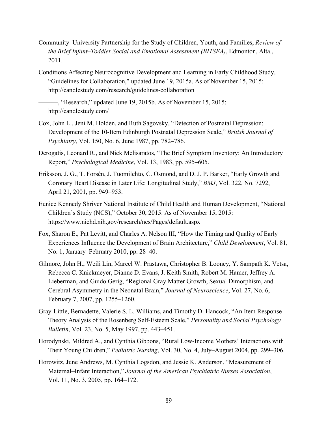- Community–University Partnership for the Study of Children, Youth, and Families, *Review of the Brief Infant–Toddler Social and Emotional Assessment (BITSEA)*, Edmonton, Alta., 2011.
- Conditions Affecting Neurocognitive Development and Learning in Early Childhood Study, "Guidelines for Collaboration," updated June 19, 2015a. As of November 15, 2015: <http://candlestudy.com/research/guidelines-collaboration>

———, "Research," updated June 19, 2015b. As of November 15, 2015: <http://candlestudy.com/>

- Cox, John L., Jeni M. Holden, and Ruth Sagovsky, "Detection of Postnatal Depression: Development of the 10-Item Edinburgh Postnatal Depression Scale," *British Journal of Psychiatry*, Vol. 150, No. 6, June 1987, pp. 782–786.
- Derogatis, Leonard R., and Nick Melisaratos, "The Brief Symptom Inventory: An Introductory Report," *Psychological Medicine*, Vol. 13, 1983, pp. 595–605.
- Eriksson, J. G., T. Forsén, J. Tuomilehto, C. Osmond, and D. J. P. Barker, "Early Growth and Coronary Heart Disease in Later Life: Longitudinal Study," *BMJ*, Vol. 322, No. 7292, April 21, 2001, pp. 949–953.
- Eunice Kennedy Shriver National Institute of Child Health and Human Development, "National Children's Study (NCS)," October 30, 2015. As of November 15, 2015: <https://www.nichd.nih.gov/research/ncs/Pages/default.aspx>
- Fox, Sharon E., Pat Levitt, and Charles A. Nelson III, "How the Timing and Quality of Early Experiences Influence the Development of Brain Architecture," *Child Development*, Vol. 81, No. 1, January–February 2010, pp. 28–40.
- Gilmore, John H., Weili Lin, Marcel W. Prastawa, Christopher B. Looney, Y. Sampath K. Vetsa, Rebecca C. Knickmeyer, Dianne D. Evans, J. Keith Smith, Robert M. Hamer, Jeffrey A. Lieberman, and Guido Gerig, "Regional Gray Matter Growth, Sexual Dimorphism, and Cerebral Asymmetry in the Neonatal Brain," *Journal of Neuroscience*, Vol. 27, No. 6, February 7, 2007, pp. 1255–1260.
- Gray-Little, Bernadette, Valerie S. L. Williams, and Timothy D. Hancock, "An Item Response Theory Analysis of the Rosenberg Self-Esteem Scale," *Personality and Social Psychology Bulletin*, Vol. 23, No. 5, May 1997, pp. 443–451.
- Horodynski, Mildred A., and Cynthia Gibbons, "Rural Low-Income Mothers' Interactions with Their Young Children," *Pediatric Nursing*, Vol. 30, No. 4, July–August 2004, pp. 299–306.
- Horowitz, June Andrews, M. Cynthia Logsdon, and Jessie K. Anderson, "Measurement of Maternal–Infant Interaction," *Journal of the American Psychiatric Nurses Association*, Vol. 11, No. 3, 2005, pp. 164–172.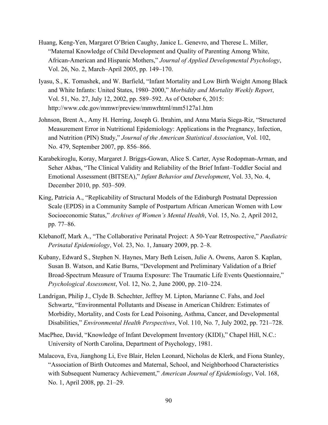- Huang, Keng-Yen, Margaret O'Brien Caughy, Janice L. Genevro, and Therese L. Miller, "Maternal Knowledge of Child Development and Quality of Parenting Among White, African-American and Hispanic Mothers," *Journal of Applied Developmental Psychology*, Vol. 26, No. 2, March–April 2005, pp. 149–170.
- Iyasu, S., K. Tomashek, and W. Barfield, "Infant Mortality and Low Birth Weight Among Black and White Infants: United States, 1980–2000," *Morbidity and Mortality Weekly Report*, Vol. 51, No. 27, July 12, 2002, pp. 589–592. As of October 6, 2015: <http://www.cdc.gov/mmwr/preview/mmwrhtml/mm5127a1.htm>
- Johnson, Brent A., Amy H. Herring, Joseph G. Ibrahim, and Anna Maria Siega-Riz, "Structured Measurement Error in Nutritional Epidemiology: Applications in the Pregnancy, Infection, and Nutrition (PIN) Study," *Journal of the American Statistical Association*, Vol. 102, No. 479, September 2007, pp. 856–866.
- Karabekiroglu, Koray, Margaret J. Briggs-Gowan, Alice S. Carter, Ayse Rodopman-Arman, and Seher Akbas, "The Clinical Validity and Reliability of the Brief Infant–Toddler Social and Emotional Assessment (BITSEA)," *Infant Behavior and Development*, Vol. 33, No. 4, December 2010, pp. 503–509.
- King, Patricia A., "Replicability of Structural Models of the Edinburgh Postnatal Depression Scale (EPDS) in a Community Sample of Postpartum African American Women with Low Socioeconomic Status," *Archives of Women's Mental Health*, Vol. 15, No. 2, April 2012, pp. 77–86.
- Klebanoff, Mark A., "The Collaborative Perinatal Project: A 50-Year Retrospective," *Paediatric Perinatal Epidemiology*, Vol. 23, No. 1, January 2009, pp. 2–8.
- Kubany, Edward S., Stephen N. Haynes, Mary Beth Leisen, Julie A. Owens, Aaron S. Kaplan, Susan B. Watson, and Katie Burns, "Development and Preliminary Validation of a Brief Broad-Spectrum Measure of Trauma Exposure: The Traumatic Life Events Questionnaire," *Psychological Assessment*, Vol. 12, No. 2, June 2000, pp. 210–224.
- Landrigan, Philip J., Clyde B. Schechter, Jeffrey M. Lipton, Marianne C. Fahs, and Joel Schwartz, "Environmental Pollutants and Disease in American Children: Estimates of Morbidity, Mortality, and Costs for Lead Poisoning, Asthma, Cancer, and Developmental Disabilities," *Environmental Health Perspectives*, Vol. 110, No. 7, July 2002, pp. 721–728.
- MacPhee, David, "Knowledge of Infant Development Inventory (KIDI)," Chapel Hill, N.C.: University of North Carolina, Department of Psychology, 1981.
- Malacova, Eva, Jianghong Li, Eve Blair, Helen Leonard, Nicholas de Klerk, and Fiona Stanley, "Association of Birth Outcomes and Maternal, School, and Neighborhood Characteristics with Subsequent Numeracy Achievement," *American Journal of Epidemiology*, Vol. 168, No. 1, April 2008, pp. 21–29.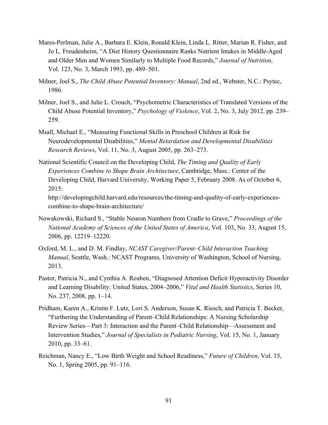- Mares-Perlman, Julie A., Barbara E. Klein, Ronald Klein, Linda L. Ritter, Marian R. Fisher, and Jo L. Freudenheim, "A Diet History Questionnaire Ranks Nutrient Intakes in Middle-Aged and Older Men and Women Similarly to Multiple Food Records," *Journal of Nutrition*, Vol. 123, No. 3, March 1993, pp. 489–501.
- Milner, Joel S., *The Child Abuse Potential Inventory: Manual*, 2nd ed., Webster, N.C.: Psytec, 1986.
- Milner, Joel S., and Julie L. Crouch, "Psychometric Characteristics of Translated Versions of the Child Abuse Potential Inventory," *Psychology of Violence*, Vol. 2, No. 3, July 2012, pp. 239– 259.
- Msall, Michael E., "Measuring Functional Skills in Preschool Children at Risk for Neurodevelopmental Disabilities," *Mental Retardation and Developmental Disabilities Research Reviews*, Vol. 11, No. 3, August 2005, pp. 263–273.
- National Scientific Council on the Developing Child, *The Timing and Quality of Early Experiences Combine to Shape Brain Architecture*, Cambridge, Mass.: Center of the Developing Child, Harvard University, Working Paper 5, February 2008. As of October 6, 2015:

[http://developingchild.harvard.edu/resources/the-timing-and-quality-of-early-experiences](http://developingchild.harvard.edu/resources/the-timing-and-quality-of-early-experiences-combine-to-shape-brain-architecture/)combine-to-shape-brain-architecture/

- Nowakowski, Richard S., "Stable Neuron Numbers from Cradle to Grave," *Proceedings of the National Academy of Sciences of the United States of America*, Vol. 103, No. 33, August 15, 2006, pp. 12219–12220.
- Oxford, M. L., and D. M. Findlay, *NCAST Caregiver/Parent–Child Interaction Teaching Manual*, Seattle, Wash.: NCAST Programs, University of Washington, School of Nursing, 2013.
- Pastor, Patricia N., and Cynthia A. Reuben, "Diagnosed Attention Deficit Hyperactivity Disorder and Learning Disability: United States, 2004–2006," *Vital and Health Statistics*, Series 10, No. 237, 2008, pp. 1–14.
- Pridham, Karen A., Kristin F. Lutz, Lori S. Anderson, Susan K. Riesch, and Patricia T. Becker, "Furthering the Understanding of Parent–Child Relationships: A Nursing Scholarship Review Series—Part 3: Interaction and the Parent–Child Relationship—Assessment and Intervention Studies," *Journal of Specialists in Pediatric Nursing*, Vol. 15, No. 1, January 2010, pp. 33–61.
- Reichman, Nancy E., "Low Birth Weight and School Readiness," *Future of Children*, Vol. 15, No. 1, Spring 2005, pp. 91–116.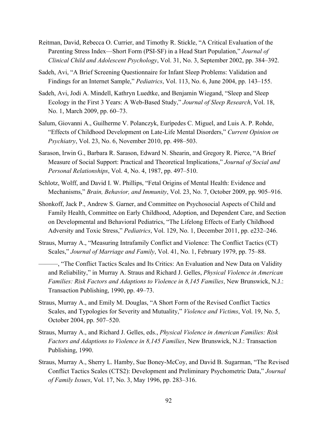- Reitman, David, Rebecca O. Currier, and Timothy R. Stickle, "A Critical Evaluation of the Parenting Stress Index—Short Form (PSI-SF) in a Head Start Population," *Journal of Clinical Child and Adolescent Psychology*, Vol. 31, No. 3, September 2002, pp. 384–392.
- Sadeh, Avi, "A Brief Screening Questionnaire for Infant Sleep Problems: Validation and Findings for an Internet Sample," *Pediatrics*, Vol. 113, No. 6, June 2004, pp. 143–155.
- Sadeh, Avi, Jodi A. Mindell, Kathryn Luedtke, and Benjamin Wiegand, "Sleep and Sleep Ecology in the First 3 Years: A Web-Based Study," *Journal of Sleep Research*, Vol. 18, No. 1, March 2009, pp. 60–73.
- Salum, Giovanni A., Guilherme V. Polanczyk, Eurípedes C. Miguel, and Luis A. P. Rohde, "Effects of Childhood Development on Late-Life Mental Disorders," *Current Opinion on Psychiatry*, Vol. 23, No. 6, November 2010, pp. 498–503.
- Sarason, Irwin G., Barbara R. Sarason, Edward N. Shearin, and Gregory R. Pierce, "A Brief Measure of Social Support: Practical and Theoretical Implications," *Journal of Social and Personal Relationships*, Vol. 4, No. 4, 1987, pp. 497–510.
- Schlotz, Wolff, and David I. W. Phillips, "Fetal Origins of Mental Health: Evidence and Mechanisms," *Brain, Behavior, and Immunity*, Vol. 23, No. 7, October 2009, pp. 905–916.
- Shonkoff, Jack P., Andrew S. Garner, and Committee on Psychosocial Aspects of Child and Family Health, Committee on Early Childhood, Adoption, and Dependent Care, and Section on Developmental and Behavioral Pediatrics, "The Lifelong Effects of Early Childhood Adversity and Toxic Stress," *Pediatrics*, Vol. 129, No. 1, December 2011, pp. e232–246.
- Straus, Murray A., "Measuring Intrafamily Conflict and Violence: The Conflict Tactics (CT) Scales," *Journal of Marriage and Family*, Vol. 41, No. 1, February 1979, pp. 75–88.
	- ———, "The Conflict Tactics Scales and Its Critics: An Evaluation and New Data on Validity and Reliability," in Murray A. Straus and Richard J. Gelles, *Physical Violence in American Families: Risk Factors and Adaptions to Violence in 8,145 Families*, New Brunswick, N.J.: Transaction Publishing, 1990, pp. 49–73.
- Straus, Murray A., and Emily M. Douglas, "A Short Form of the Revised Conflict Tactics Scales, and Typologies for Severity and Mutuality," *Violence and Victims*, Vol. 19, No. 5, October 2004, pp. 507–520.
- Straus, Murray A., and Richard J. Gelles, eds., *Physical Violence in American Families: Risk Factors and Adaptions to Violence in 8,145 Families*, New Brunswick, N.J.: Transaction Publishing, 1990.
- Straus, Murray A., Sherry L. Hamby, Sue Boney-McCoy, and David B. Sugarman, "The Revised Conflict Tactics Scales (CTS2): Development and Preliminary Psychometric Data," *Journal of Family Issues*, Vol. 17, No. 3, May 1996, pp. 283–316.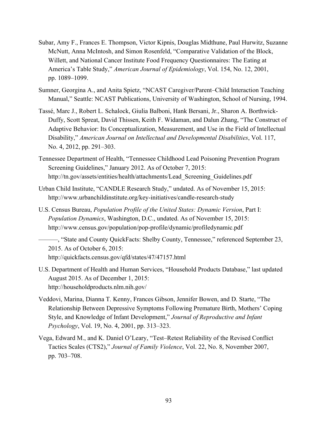- Subar, Amy F., Frances E. Thompson, Victor Kipnis, Douglas Midthune, Paul Hurwitz, Suzanne McNutt, Anna McIntosh, and Simon Rosenfeld, "Comparative Validation of the Block, Willett, and National Cancer Institute Food Frequency Questionnaires: The Eating at America's Table Study," *American Journal of Epidemiology*, Vol. 154, No. 12, 2001, pp. 1089–1099.
- Sumner, Georgina A., and Anita Spietz, "NCAST Caregiver/Parent–Child Interaction Teaching Manual," Seattle: NCAST Publications, University of Washington, School of Nursing, 1994.
- Tassé, Marc J., Robert L. Schalock, Giulia Balboni, Hank Bersani, Jr., Sharon A. Borthwick-Duffy, Scott Spreat, David Thissen, Keith F. Widaman, and Dalun Zhang, "The Construct of Adaptive Behavior: Its Conceptualization, Measurement, and Use in the Field of Intellectual Disability," *American Journal on Intellectual and Developmental Disabilities*, Vol. 117, No. 4, 2012, pp. 291–303.
- Tennessee Department of Health, "Tennessee Childhood Lead Poisoning Prevention Program Screening Guidelines," January 2012. As of October 7, 2015: [http://tn.gov/assets/entities/health/attachments/Lead\\_Screening\\_Guidelines.pdf](http://tn.gov/assets/entities/health/attachments/Lead_Screening_Guidelines.pdf)
- Urban Child Institute, "CANDLE Research Study," undated. As of November 15, 2015: <http://www.urbanchildinstitute.org/key-initiatives/candle-research-study>
- U.S. Census Bureau, *Population Profile of the United States: Dynamic Version*, Part I: *Population Dynamics*, Washington, D.C., undated. As of November 15, 2015: <http://www.census.gov/population/pop-profile/dynamic/profiledynamic.pdf>
- ———, "State and County QuickFacts: Shelby County, Tennessee," referenced September 23, 2015. As of October 6, 2015: <http://quickfacts.census.gov/qfd/states/47/47157.html>
- U.S. Department of Health and Human Services, "Household Products Database," last updated August 2015. As of December 1, 2015: <http://householdproducts.nlm.nih.gov/>
- Veddovi, Marina, Dianna T. Kenny, Frances Gibson, Jennifer Bowen, and D. Starte, "The Relationship Between Depressive Symptoms Following Premature Birth, Mothers' Coping Style, and Knowledge of Infant Development," *Journal of Reproductive and Infant Psychology*, Vol. 19, No. 4, 2001, pp. 313–323.
- Vega, Edward M., and K. Daniel O'Leary, "Test–Retest Reliability of the Revised Conflict Tactics Scales (CTS2)," *Journal of Family Violence*, Vol. 22, No. 8, November 2007, pp. 703–708.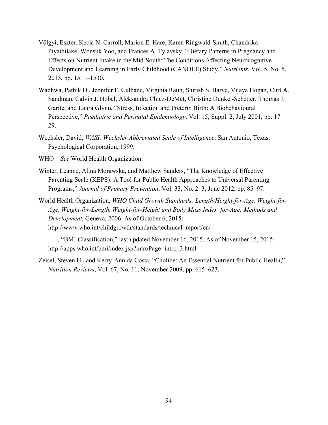- Völgyi, Eszter, Kecia N. Carroll, Marion E. Hare, Karen Ringwald-Smith, Chandrika Piyathilake, Wonsuk Yoo, and Frances A. Tylavsky, "Dietary Patterns in Pregnancy and Effects on Nutrient Intake in the Mid-South: The Conditions Affecting Neurocognitive Development and Learning in Early Childhood (CANDLE) Study," *Nutrients*, Vol. 5, No. 5, 2013, pp. 1511–1530.
- Wadhwa, Pathik D., Jennifer F. Culhane, Virginia Rauh, Shirish S. Barve, Vijaya Hogan, Curt A. Sandman, Calvin J. Hobel, Aleksandra Chicz-DeMet, Christine Dunkel-Schetter, Thomas J. Garite, and Laura Glynn, "Stress, Infection and Preterm Birth: A Biobehavioural Perspective," *Paediatric and Perinatal Epidemiology*, Vol. 15, Suppl. 2, July 2001, pp. 17– 29.
- Wechsler, David, *WASI: Wechsler Abbreviated Scale of Intelligence*, San Antonio, Texas: Psychological Corporation, 1999.
- WHO—*See* World Health Organization.
- Winter, Leanne, Alina Morawska, and Matthew Sanders, "The Knowledge of Effective Parenting Scale (KEPS): A Tool for Public Health Approaches to Universal Parenting Programs," *Journal of Primary Prevention*, Vol. 33, No. 2–3, June 2012, pp. 85–97.
- World Health Organization, *WHO Child Growth Standards: Length/Height-for-Age, Weight-for-Age, Weight-for-Length, Weight-for-Height and Body Mass Index–for-Age: Methods and Development*, Geneva, 2006. As of October 6, 2015: [http://www.who.int/childgrowth/standards/technical\\_report/en/](http://www.who.int/childgrowth/standards/technical_report/en/)
- ———, "BMI Classification," last updated November 16, 2015. As of November 15, 2015: [http://apps.who.int/bmi/index.jsp?introPage=intro\\_3.html](http://apps.who.int/bmi/index.jsp?introPage=intro_3.html)
- Zeisel, Steven H., and Kerry-Ann da Costa, "Choline: An Essential Nutrient for Public Health," *Nutrition Reviews*, Vol. 67, No. 11, November 2009, pp. 615–623.